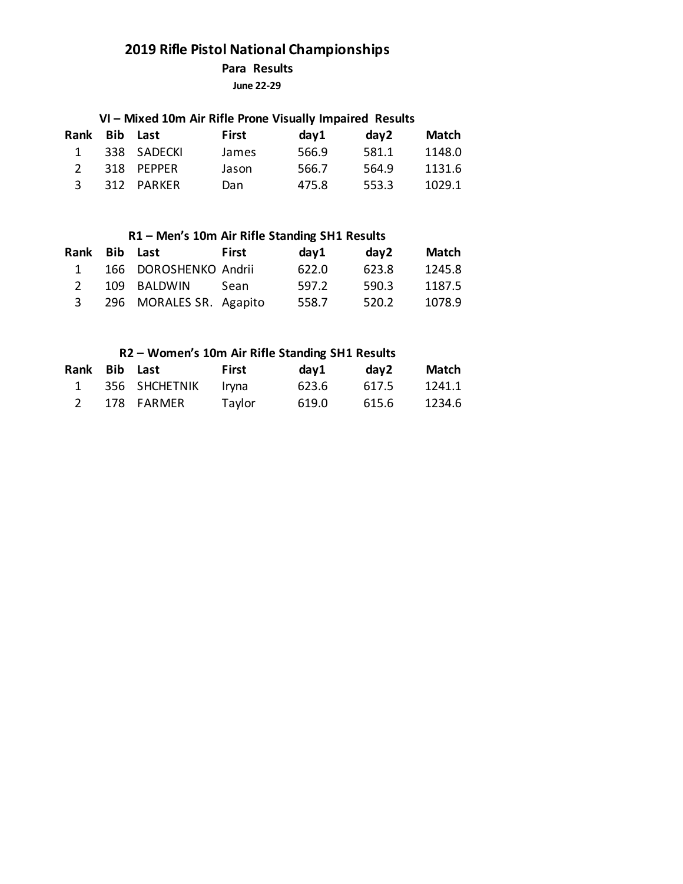**Para Results**

**June 22-29**

### **VI – Mixed 10m Air Rifle Prone Visually Impaired Results**

| Rank Bib Last |             | First | day1  | dav2  | Match  |
|---------------|-------------|-------|-------|-------|--------|
| 1             | 338 SADECKI | James | 566.9 | 581.1 | 1148.0 |
|               | 318 PEPPER  | Jason | 566.7 | 564.9 | 1131.6 |
| 3             | 312 PARKER  | Dan   | 475.8 | 553.3 | 1029.1 |

### **R1 – Men's 10m Air Rifle Standing SH1 Results**

| Rank Bib Last |                         | First | day1  | day2  | Match  |
|---------------|-------------------------|-------|-------|-------|--------|
| 1             | 166 DOROSHENKO Andrii   |       | 622.0 | 623.8 | 1245.8 |
|               | 109 BALDWIN             | Sean  | 597.2 | 590.3 | 1187.5 |
|               | 296 MORALES SR. Agapito |       | 558.7 | 520.2 | 1078.9 |

### **R2 – Women's 10m Air Rifle Standing SH1 Results**

| Rank Bib Last |               | First  | day1  | dav2  | Match  |
|---------------|---------------|--------|-------|-------|--------|
| $\mathbf{1}$  | 356 SHCHETNIK | lrvna  | 623.6 | 617.5 | 1241.1 |
|               | 178 FARMER    | Taylor | 619.0 | 615.6 | 1234.6 |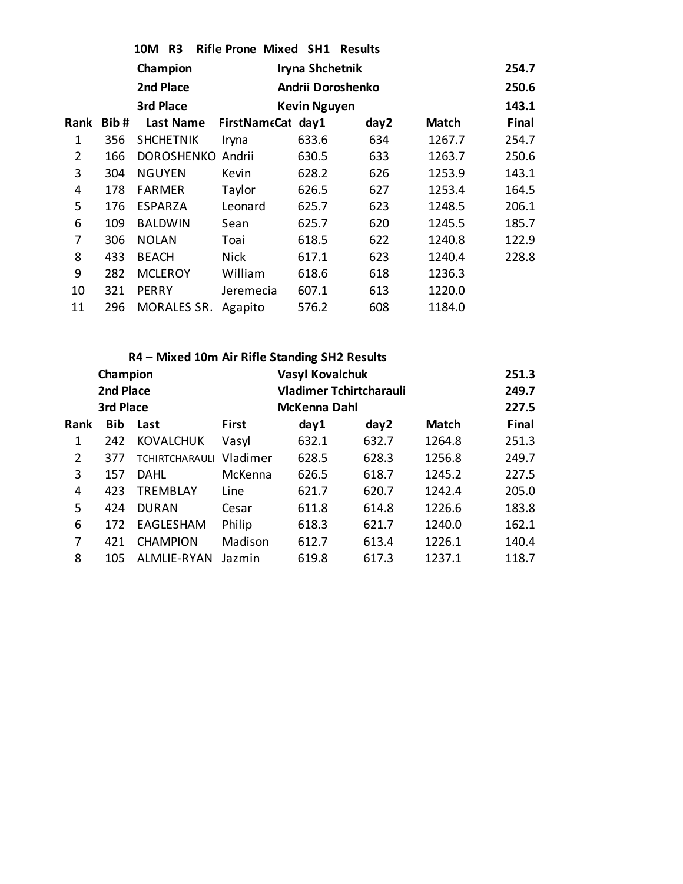|                |      | 10M R3            | Rifle Prone Mixed SH1 Results |                     |      |              |       |
|----------------|------|-------------------|-------------------------------|---------------------|------|--------------|-------|
|                |      | Champion          |                               | Iryna Shchetnik     |      |              | 254.7 |
|                |      | 2nd Place         |                               | Andrii Doroshenko   |      |              | 250.6 |
|                |      | 3rd Place         |                               | <b>Kevin Nguyen</b> |      |              | 143.1 |
| <b>Rank</b>    | Bib# | <b>Last Name</b>  | FirstNameCat day1             |                     | day2 | <b>Match</b> | Final |
| 1              | 356  | <b>SHCHETNIK</b>  | Iryna                         | 633.6               | 634  | 1267.7       | 254.7 |
| $\overline{2}$ | 166  | <b>DOROSHENKO</b> | Andrii                        | 630.5               | 633  | 1263.7       | 250.6 |
| 3              | 304  | <b>NGUYEN</b>     | Kevin                         | 628.2               | 626  | 1253.9       | 143.1 |
| 4              | 178  | <b>FARMER</b>     | Taylor                        | 626.5               | 627  | 1253.4       | 164.5 |
| 5              | 176  | <b>ESPARZA</b>    | Leonard                       | 625.7               | 623  | 1248.5       | 206.1 |
| 6              | 109  | <b>BALDWIN</b>    | Sean                          | 625.7               | 620  | 1245.5       | 185.7 |
| 7              | 306  | <b>NOLAN</b>      | Toai                          | 618.5               | 622  | 1240.8       | 122.9 |
| 8              | 433  | <b>BEACH</b>      | <b>Nick</b>                   | 617.1               | 623  | 1240.4       | 228.8 |
| 9              | 282  | <b>MCLEROY</b>    | William                       | 618.6               | 618  | 1236.3       |       |
| 10             | 321  | PERRY             | Jeremecia                     | 607.1               | 613  | 1220.0       |       |
| 11             | 296  | MORALES SR.       | Agapito                       | 576.2               | 608  | 1184.0       |       |

|      | R4 - Mixed 10m Air Rifle Standing SH2 Results |                       |              |                                |       |              |              |  |  |  |  |  |
|------|-----------------------------------------------|-----------------------|--------------|--------------------------------|-------|--------------|--------------|--|--|--|--|--|
|      | Champion                                      |                       |              | <b>Vasyl Kovalchuk</b>         |       |              | 251.3        |  |  |  |  |  |
|      | 2nd Place                                     |                       |              | <b>Vladimer Tchirtcharauli</b> |       |              | 249.7        |  |  |  |  |  |
|      | 3rd Place                                     |                       |              | McKenna Dahl                   |       |              | 227.5        |  |  |  |  |  |
| Rank | <b>Bib</b>                                    | Last                  | <b>First</b> | day1                           | day2  | <b>Match</b> | <b>Final</b> |  |  |  |  |  |
| 1    | 242                                           | <b>KOVALCHUK</b>      | Vasyl        | 632.1                          | 632.7 | 1264.8       | 251.3        |  |  |  |  |  |
| 2    | 377                                           | <b>TCHIRTCHARAULI</b> | Vladimer     | 628.5                          | 628.3 | 1256.8       | 249.7        |  |  |  |  |  |
| 3    | 157                                           | DAHL                  | McKenna      | 626.5                          | 618.7 | 1245.2       | 227.5        |  |  |  |  |  |
| 4    | 423                                           | <b>TREMBLAY</b>       | Line         | 621.7                          | 620.7 | 1242.4       | 205.0        |  |  |  |  |  |
| 5    | 424                                           | <b>DURAN</b>          | Cesar        | 611.8                          | 614.8 | 1226.6       | 183.8        |  |  |  |  |  |
| 6    | 172                                           | EAGLESHAM             | Philip       | 618.3                          | 621.7 | 1240.0       | 162.1        |  |  |  |  |  |
| 7    | 421                                           | <b>CHAMPION</b>       | Madison      | 612.7                          | 613.4 | 1226.1       | 140.4        |  |  |  |  |  |
| 8    | 105                                           | ALMLIE-RYAN           | Jazmin       | 619.8                          | 617.3 | 1237.1       | 118.7        |  |  |  |  |  |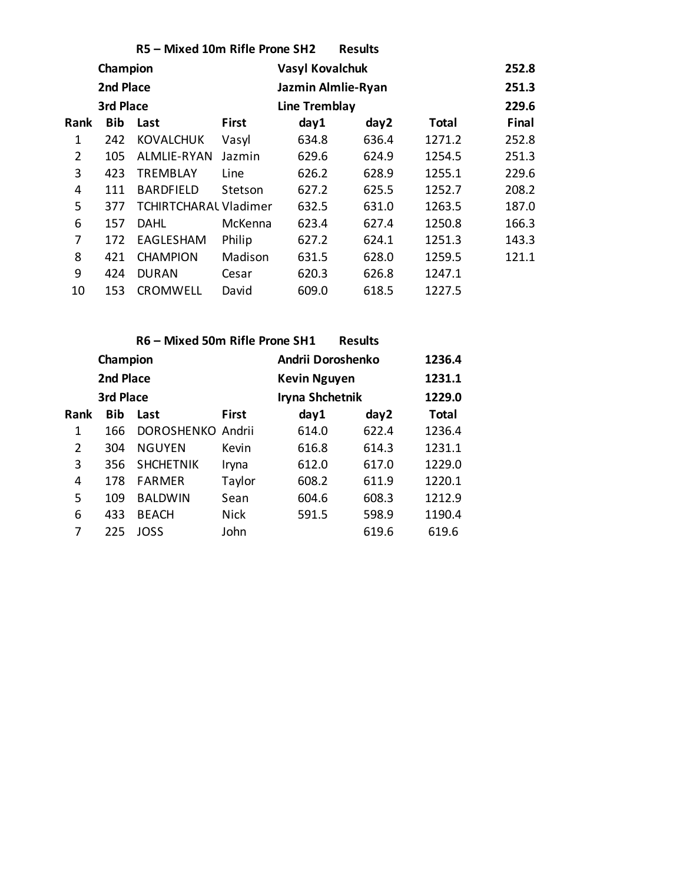| R5 - Mixed 10m Rifle Prone SH2<br><b>Results</b> |            |                       |              |                    |       |        |       |  |  |  |  |  |
|--------------------------------------------------|------------|-----------------------|--------------|--------------------|-------|--------|-------|--|--|--|--|--|
|                                                  | Champion   |                       |              | Vasyl Kovalchuk    |       |        | 252.8 |  |  |  |  |  |
|                                                  | 2nd Place  |                       |              | Jazmin Almlie-Ryan |       |        | 251.3 |  |  |  |  |  |
|                                                  | 3rd Place  |                       |              | Line Tremblay      |       |        | 229.6 |  |  |  |  |  |
| <b>Rank</b>                                      | <b>Bib</b> | Last                  | <b>First</b> | day1               | day2  | Total  | Final |  |  |  |  |  |
| 1                                                | 242        | <b>KOVALCHUK</b>      | Vasyl        | 634.8              | 636.4 | 1271.2 | 252.8 |  |  |  |  |  |
| $\overline{2}$                                   | 105        | ALMLIE-RYAN           | Jazmin       | 629.6              | 624.9 | 1254.5 | 251.3 |  |  |  |  |  |
| 3                                                | 423        | <b>TREMBLAY</b>       | Line         | 626.2              | 628.9 | 1255.1 | 229.6 |  |  |  |  |  |
| 4                                                | 111        | <b>BARDFIELD</b>      | Stetson      | 627.2              | 625.5 | 1252.7 | 208.2 |  |  |  |  |  |
| 5                                                | 377        | TCHIRTCHARAL Vladimer |              | 632.5              | 631.0 | 1263.5 | 187.0 |  |  |  |  |  |
| 6                                                | 157        | DAHL                  | McKenna      | 623.4              | 627.4 | 1250.8 | 166.3 |  |  |  |  |  |
| 7                                                | 172        | EAGLESHAM             | Philip       | 627.2              | 624.1 | 1251.3 | 143.3 |  |  |  |  |  |
| 8                                                | 421        | <b>CHAMPION</b>       | Madison      | 631.5              | 628.0 | 1259.5 | 121.1 |  |  |  |  |  |
| 9                                                | 424        | <b>DURAN</b>          | Cesar        | 620.3              | 626.8 | 1247.1 |       |  |  |  |  |  |
| 10                                               | 153        | <b>CROMWELL</b>       | David        | 609.0              | 618.5 | 1227.5 |       |  |  |  |  |  |

| R6 - Mixed 50m Rifle Prone SH1<br><b>Results</b> |            |                   |              |                        |       |        |  |  |  |  |  |
|--------------------------------------------------|------------|-------------------|--------------|------------------------|-------|--------|--|--|--|--|--|
|                                                  | Champion   |                   |              | Andrii Doroshenko      |       | 1236.4 |  |  |  |  |  |
|                                                  | 2nd Place  |                   |              | <b>Kevin Nguyen</b>    |       | 1231.1 |  |  |  |  |  |
|                                                  | 3rd Place  |                   |              | <b>Iryna Shchetnik</b> |       | 1229.0 |  |  |  |  |  |
| <b>Rank</b>                                      | <b>Bib</b> | Last              | <b>First</b> | day1                   | day2  | Total  |  |  |  |  |  |
| 1                                                | 166        | DOROSHENKO Andrii |              | 614.0                  | 622.4 | 1236.4 |  |  |  |  |  |
| 2                                                | 304        | <b>NGUYEN</b>     | Kevin        | 616.8                  | 614.3 | 1231.1 |  |  |  |  |  |
| 3                                                | 356        | <b>SHCHETNIK</b>  | Iryna        | 612.0                  | 617.0 | 1229.0 |  |  |  |  |  |
| 4                                                | 178        | <b>FARMER</b>     | Taylor       | 608.2                  | 611.9 | 1220.1 |  |  |  |  |  |
| 5                                                | 109        | <b>BALDWIN</b>    | Sean         | 604.6                  | 608.3 | 1212.9 |  |  |  |  |  |
| 6                                                | 433        | <b>BEACH</b>      | <b>Nick</b>  | 591.5                  | 598.9 | 1190.4 |  |  |  |  |  |
| 7                                                | 225        | JOSS              | John         |                        | 619.6 | 619.6  |  |  |  |  |  |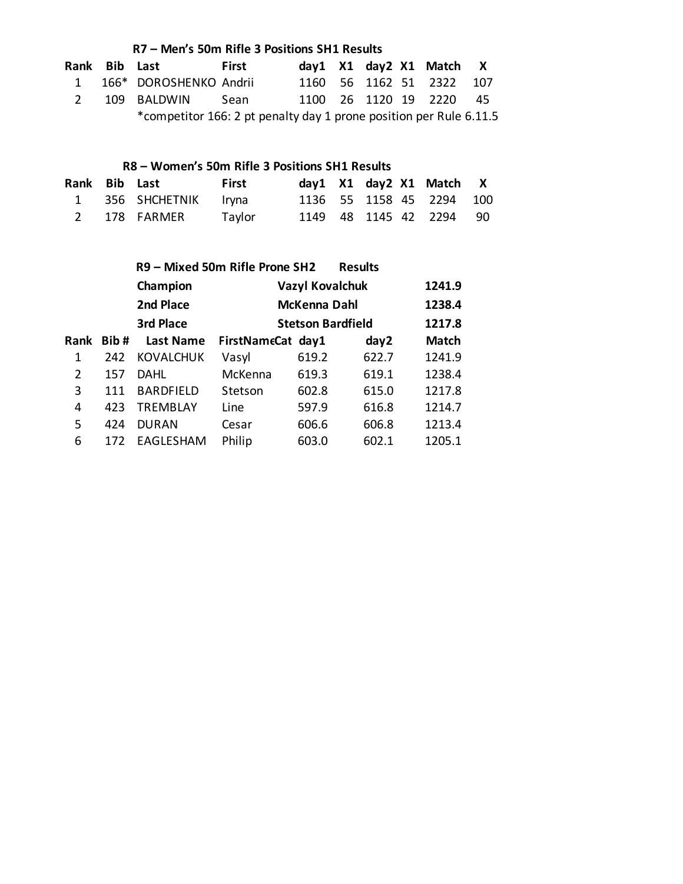|               | R7 - Men's 50m Rifle 3 Positions SH1 Results |                                                                    |       |  |  |  |  |                              |  |  |  |
|---------------|----------------------------------------------|--------------------------------------------------------------------|-------|--|--|--|--|------------------------------|--|--|--|
| Rank Bib Last |                                              |                                                                    | First |  |  |  |  | day1 X1 day2 X1 Match X      |  |  |  |
| $\sim$ 1      |                                              | 166* DOROSHENKO Andrii                                             |       |  |  |  |  | 1160 56 1162 51 2322 107     |  |  |  |
|               |                                              | 109 BALDWIN Sean                                                   |       |  |  |  |  | 1100  26  1120  19  2220  45 |  |  |  |
|               |                                              | *competitor 166: 2 pt penalty day 1 prone position per Rule 6.11.5 |       |  |  |  |  |                              |  |  |  |

### **R8 – Women's 50m Rifle 3 Positions SH1 Results**

| Rank Bib Last |                       | <b>First</b> |  |  | day1 X1 day2 X1 Match X  |  |
|---------------|-----------------------|--------------|--|--|--------------------------|--|
|               | 1 356 SHCHETNIK Iryna |              |  |  | 1136 55 1158 45 2294 100 |  |
|               | 2 178 FARMER          | Taylor       |  |  | 1149 48 1145 42 2294 90  |  |

|      |      |                  | R9 - Mixed 50m Rifle Prone SH2 | <b>Results</b>           |       |              |  |  |  |
|------|------|------------------|--------------------------------|--------------------------|-------|--------------|--|--|--|
|      |      | Champion         |                                | <b>Vazyl Kovalchuk</b>   |       | 1241.9       |  |  |  |
|      |      | 2nd Place        |                                | McKenna Dahl             |       | 1238.4       |  |  |  |
|      |      | 3rd Place        |                                | <b>Stetson Bardfield</b> |       | 1217.8       |  |  |  |
| Rank | Bib# | Last Name        | FirstNameCat day1              |                          | day2  | <b>Match</b> |  |  |  |
| 1    | 242  | <b>KOVALCHUK</b> | Vasyl                          | 619.2                    | 622.7 | 1241.9       |  |  |  |
| 2    | 157  | DAHL             | McKenna                        | 619.3                    | 619.1 | 1238.4       |  |  |  |
| 3    | 111  | <b>BARDFIELD</b> | Stetson                        | 602.8                    | 615.0 | 1217.8       |  |  |  |
| 4    | 423  | <b>TREMBLAY</b>  | Line                           | 597.9                    | 616.8 | 1214.7       |  |  |  |
| 5    | 424  | <b>DURAN</b>     | Cesar                          | 606.6                    | 606.8 | 1213.4       |  |  |  |
| 6    | 172  | EAGLESHAM        | Philip                         | 603.0                    | 602.1 | 1205.1       |  |  |  |
|      |      |                  |                                |                          |       |              |  |  |  |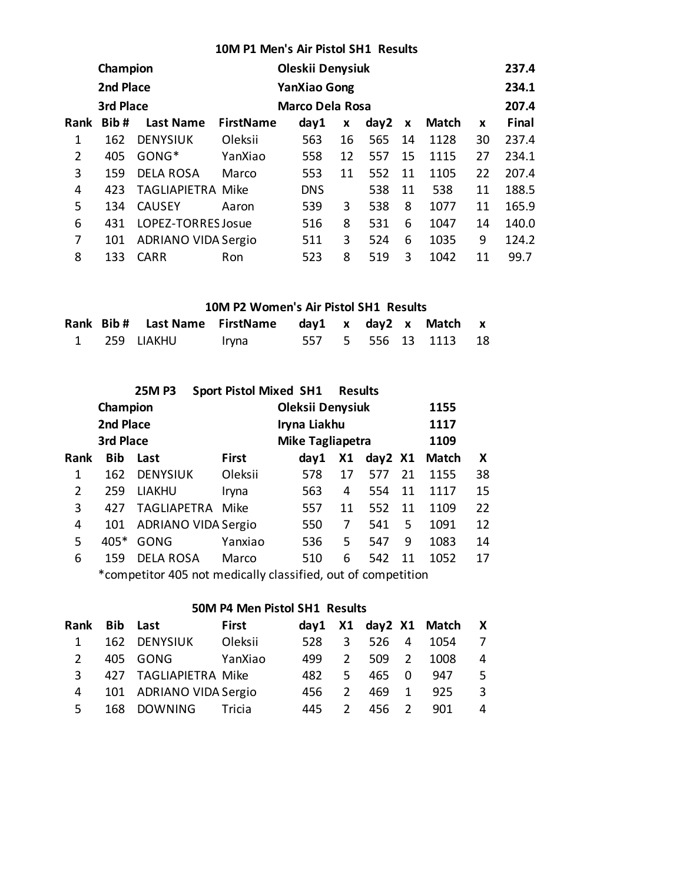|  |  |  | 10M P1 Men's Air Pistol SH1 Results |  |
|--|--|--|-------------------------------------|--|
|--|--|--|-------------------------------------|--|

|                | Champion  |                            | Oleskii Denysiuk |                        |    | 237.4 |    |              |    |       |
|----------------|-----------|----------------------------|------------------|------------------------|----|-------|----|--------------|----|-------|
|                | 2nd Place |                            |                  | <b>YanXiao Gong</b>    |    |       |    |              |    | 234.1 |
|                | 3rd Place |                            |                  | <b>Marco Dela Rosa</b> |    |       |    |              |    | 207.4 |
| <b>Rank</b>    | Bib#      | <b>Last Name</b>           | <b>FirstName</b> | day1                   | X  | day2  | X  | <b>Match</b> | X  | Final |
| 1              | 162       | <b>DENYSIUK</b>            | Oleksii          | 563                    | 16 | 565   | 14 | 1128         | 30 | 237.4 |
| $\overline{2}$ | 405       | $GONG*$                    | YanXiao          | 558                    | 12 | 557   | 15 | 1115         | 27 | 234.1 |
| 3              | 159       | <b>DELA ROSA</b>           | Marco            | 553                    | 11 | 552   | 11 | 1105         | 22 | 207.4 |
| 4              | 423       | <b>TAGLIAPIETRA Mike</b>   |                  | <b>DNS</b>             |    | 538   | 11 | 538          | 11 | 188.5 |
| 5              | 134       | <b>CAUSEY</b>              | Aaron            | 539                    | 3  | 538   | 8  | 1077         | 11 | 165.9 |
| 6              | 431       | LOPEZ-TORRES Josue         |                  | 516                    | 8  | 531   | 6  | 1047         | 14 | 140.0 |
| 7              | 101       | <b>ADRIANO VIDA Sergio</b> |                  | 511                    | 3  | 524   | 6  | 1035         | 9  | 124.2 |
| 8              | 133       | <b>CARR</b>                | Ron              | 523                    | 8  | 519   | 3  | 1042         | 11 | 99.7  |

#### **10M P2 Women's Air Pistol SH1 Results**

|  | Rank Bib # Last Name FirstName day1 x day2 x Match x |       |  |  |                      |  |
|--|------------------------------------------------------|-------|--|--|----------------------|--|
|  | 1            259     LIAKHU                          | Iryna |  |  | 557 5 556 13 1113 18 |  |

|      |            | <b>25MP3</b>                                                      |              | <b>Sport Pistol Mixed SH1</b> | <b>Results</b> |         |    |              |    |
|------|------------|-------------------------------------------------------------------|--------------|-------------------------------|----------------|---------|----|--------------|----|
|      | Champion   |                                                                   |              | <b>Oleksii Denysiuk</b>       |                |         |    | 1155         |    |
|      | 2nd Place  |                                                                   |              | Iryna Liakhu                  |                |         |    | 1117         |    |
|      | 3rd Place  |                                                                   |              | <b>Mike Tagliapetra</b>       |                |         |    | 1109         |    |
| Rank | <b>Bib</b> | Last                                                              | <b>First</b> | day1                          | <b>X1</b>      | day2 X1 |    | <b>Match</b> | X  |
| 1    | 162        | <b>DENYSIUK</b>                                                   | Oleksii      | 578                           | 17             | 577     | 21 | 1155         | 38 |
| 2    | 259        | <b>LIAKHU</b>                                                     | Iryna        | 563                           | 4              | 554     | 11 | 1117         | 15 |
| 3    | 427        | TAGLIAPETRA Mike                                                  |              | 557                           | 11             | 552     | 11 | 1109         | 22 |
| 4    | 101        | ADRIANO VIDA Sergio                                               |              | 550                           | 7              | 541     | 5  | 1091         | 12 |
| 5    | $405*$     | <b>GONG</b>                                                       | Yanxiao      | 536                           | 5.             | 547     | 9  | 1083         | 14 |
| 6    | 159        | <b>DELA ROSA</b>                                                  | Marco        | 510                           | 6              | 542     | 11 | 1052         | 17 |
|      |            | $*$ compatitor $AOE$ not modically classified, out of compatition |              |                               |                |         |    |              |    |

\*competitor 405 not medically classified, out of competition

#### **50M P4 Men Pistol SH1 Results**

| Rank Bib Last |                         | First   |      |                         |       | day1 X1 day2 X1 Match X |    |
|---------------|-------------------------|---------|------|-------------------------|-------|-------------------------|----|
| $\mathbf{1}$  | 162 DENYSIUK            | Oleksii | 528  | $\overline{\mathbf{3}}$ |       | 526 4 1054              | -7 |
|               | 405 GONG                | YanXiao | 499. | 2                       |       | 509 2 1008              | -4 |
| 3             | 427 TAGLIAPIETRA Mike   |         | 482. | 5.                      | 465 0 | 947                     | -5 |
| 4             | 101 ADRIANO VIDA Sergio |         | 456. | $\mathcal{P}$           | 469 1 | 925                     | -3 |
| 5.            | 168 DOWNING Tricia      |         | 445  | $\mathcal{L}$           | 456 2 | 901                     | 4  |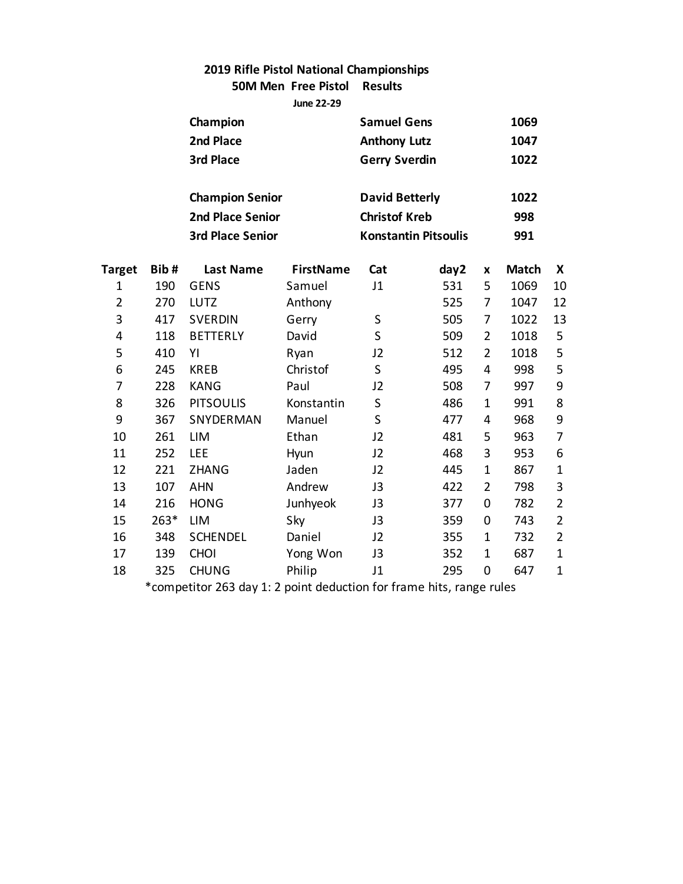### **2019 Rifle Pistol National Championships 50M Men Free Pistol Results**

**June 22-29**

|                |        | Champion                                                                   |                  | <b>Samuel Gens</b>    |                             |                | 1069         |                |
|----------------|--------|----------------------------------------------------------------------------|------------------|-----------------------|-----------------------------|----------------|--------------|----------------|
|                |        | 2nd Place                                                                  |                  | <b>Anthony Lutz</b>   |                             |                | 1047         |                |
|                |        | 3rd Place                                                                  |                  | <b>Gerry Sverdin</b>  |                             |                | 1022         |                |
|                |        | <b>Champion Senior</b>                                                     |                  | <b>David Betterly</b> |                             |                | 1022         |                |
|                |        | <b>2nd Place Senior</b>                                                    |                  | <b>Christof Kreb</b>  |                             |                |              |                |
|                |        |                                                                            |                  |                       |                             |                | 998          |                |
|                |        | <b>3rd Place Senior</b>                                                    |                  |                       | <b>Konstantin Pitsoulis</b> |                | 991          |                |
| Target         | Bib#   | <b>Last Name</b>                                                           | <b>FirstName</b> | Cat                   | day2                        | X              | <b>Match</b> | X              |
| 1              | 190    | <b>GENS</b>                                                                | Samuel           | J1                    | 531                         | 5              | 1069         | 10             |
| $\overline{2}$ | 270    | <b>LUTZ</b>                                                                | Anthony          |                       | 525                         | 7              | 1047         | 12             |
| 3              | 417    | <b>SVERDIN</b>                                                             | Gerry            | S                     | 505                         | 7              | 1022         | 13             |
| 4              | 118    | <b>BETTERLY</b>                                                            | David            | S                     | 509                         | $\overline{2}$ | 1018         | 5              |
| 5              | 410    | YI                                                                         | Ryan             | J2                    | 512                         | $\overline{2}$ | 1018         | 5              |
| 6              | 245    | <b>KREB</b>                                                                | Christof         | S                     | 495                         | 4              | 998          | 5              |
| 7              | 228    | <b>KANG</b>                                                                | Paul             | J2                    | 508                         | 7              | 997          | 9              |
| 8              | 326    | <b>PITSOULIS</b>                                                           | Konstantin       | S                     | 486                         | 1              | 991          | 8              |
| 9              | 367    | SNYDERMAN                                                                  | Manuel           | S                     | 477                         | 4              | 968          | 9              |
| 10             | 261    | <b>LIM</b>                                                                 | Ethan            | J2                    | 481                         | 5              | 963          | 7              |
| 11             | 252    | LEE                                                                        | Hyun             | J2                    | 468                         | 3              | 953          | 6              |
| 12             | 221    | <b>ZHANG</b>                                                               | Jaden            | J2                    | 445                         | $\mathbf{1}$   | 867          | $\mathbf{1}$   |
| 13             | 107    | <b>AHN</b>                                                                 | Andrew           | J3                    | 422                         | $\overline{2}$ | 798          | 3              |
| 14             | 216    | <b>HONG</b>                                                                | Junhyeok         | J3                    | 377                         | $\mathbf 0$    | 782          | $\overline{2}$ |
| 15             | $263*$ | <b>LIM</b>                                                                 | Sky              | J3                    | 359                         | $\mathbf 0$    | 743          | $\overline{2}$ |
| 16             | 348    | <b>SCHENDEL</b>                                                            | Daniel           | J2                    | 355                         | $\mathbf{1}$   | 732          | $\overline{2}$ |
| 17             | 139    | <b>CHOI</b>                                                                | Yong Won         | J3                    | 352                         | 1              | 687          | $\mathbf{1}$   |
| 18             | 325    | <b>CHUNG</b>                                                               | Philip           | J1                    | 295                         | $\mathbf 0$    | 647          | $\mathbf 1$    |
|                |        | $*$ compatitor $262$ day $1:2$ point deduction for frame bits, range rules |                  |                       |                             |                |              |                |

\*competitor 263 day 1: 2 point deduction for frame hits, range rules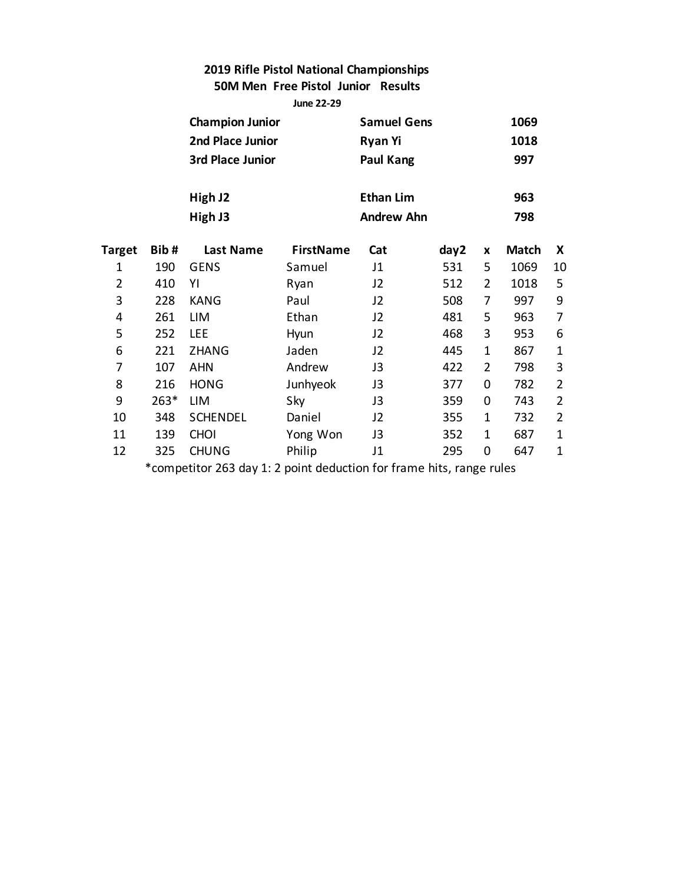### **2019 Rifle Pistol National Championships 50M Men Free Pistol Junior Results**

**June 22-29**

|                |        | <b>Champion Junior</b> |                  | <b>Samuel Gens</b> |      |                | 1069         |                |
|----------------|--------|------------------------|------------------|--------------------|------|----------------|--------------|----------------|
|                |        | 2nd Place Junior       |                  | Ryan Yi            |      |                | 1018         |                |
|                |        | 3rd Place Junior       |                  | Paul Kang          |      |                | 997          |                |
|                |        | High J2                |                  | <b>Ethan Lim</b>   |      |                | 963          |                |
|                |        | High J3                |                  | <b>Andrew Ahn</b>  |      |                | 798          |                |
| Target         | Bib#   | <b>Last Name</b>       | <b>FirstName</b> | Cat                | day2 | X              | <b>Match</b> | X              |
| 1              | 190    | <b>GENS</b>            | Samuel           | J1                 | 531  | 5              | 1069         | 10             |
| $\overline{2}$ | 410    | YI                     | Ryan             | J2                 | 512  | 2              | 1018         | 5              |
| 3              | 228    | <b>KANG</b>            | Paul             | J2                 | 508  | 7              | 997          | 9              |
| 4              | 261    | LIM                    | Ethan            | J2                 | 481  | 5              | 963          | 7              |
| 5              | 252    | <b>LEE</b>             | Hyun             | J2                 | 468  | 3              | 953          | 6              |
| 6              | 221    | <b>ZHANG</b>           | Jaden            | J2                 | 445  | 1              | 867          | $\mathbf{1}$   |
| 7              | 107    | <b>AHN</b>             | Andrew           | J3                 | 422  | $\overline{2}$ | 798          | 3              |
| 8              | 216    | <b>HONG</b>            | Junhyeok         | J3                 | 377  | 0              | 782          | $\overline{2}$ |
| 9              | $263*$ | LIM                    | Sky              | J3                 | 359  | 0              | 743          | $\overline{2}$ |
| 10             | 348    | <b>SCHENDEL</b>        | Daniel           | J2                 | 355  | 1              | 732          | $\overline{2}$ |
| 11             | 139    | <b>CHOI</b>            | Yong Won         | J3                 | 352  | 1              | 687          | $\mathbf 1$    |
| 12             | 325    | <b>CHUNG</b>           | Philip           | J1                 | 295  | $\mathbf 0$    | 647          | $\mathbf 1$    |
|                |        |                        |                  |                    |      |                |              |                |

\*competitor 263 day 1: 2 point deduction for frame hits, range rules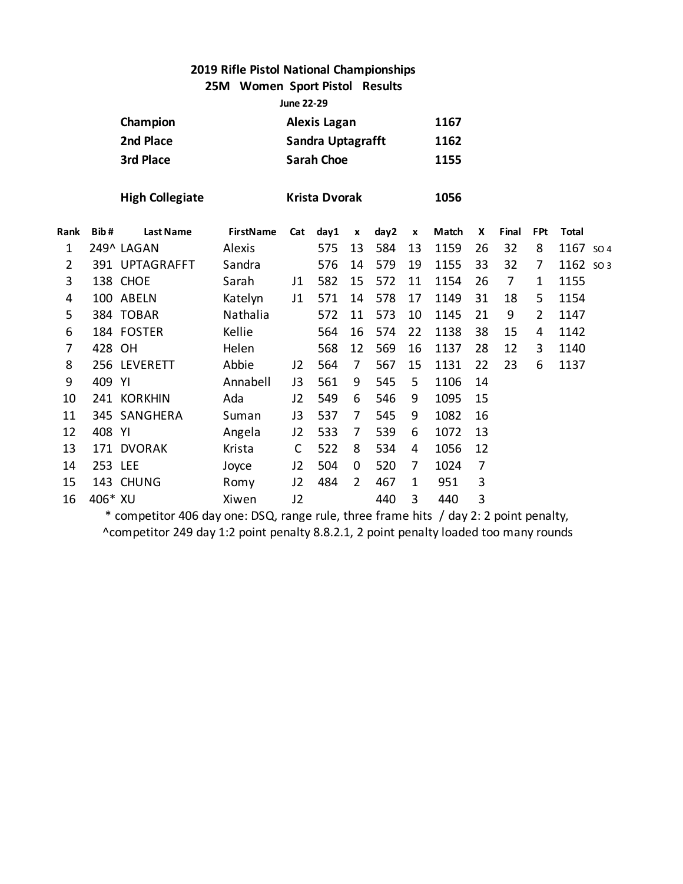**25M Women Sport Pistol Results**

**June 22-29**

|      | Champion<br>2nd Place<br>3rd Place |                        |                  | <b>Alexis Lagan</b><br><b>Sandra Uptagrafft</b><br><b>Sarah Choe</b> |                      |                    |      | 1167<br>1162<br>1155 |       |    |                |            |              |                 |
|------|------------------------------------|------------------------|------------------|----------------------------------------------------------------------|----------------------|--------------------|------|----------------------|-------|----|----------------|------------|--------------|-----------------|
|      |                                    | <b>High Collegiate</b> |                  |                                                                      | <b>Krista Dvorak</b> |                    |      |                      | 1056  |    |                |            |              |                 |
| Rank | Bib#                               | <b>Last Name</b>       | <b>FirstName</b> | Cat                                                                  | day1                 | $\pmb{\mathsf{x}}$ | day2 | $\pmb{\mathsf{x}}$   | Match | X  | Final          | <b>FPt</b> | <b>Total</b> |                 |
| 1    |                                    | 249^ LAGAN             | Alexis           |                                                                      | 575                  | 13                 | 584  | 13                   | 1159  | 26 | 32             | 8          | 1167         | SO <sub>4</sub> |
| 2    |                                    | 391 UPTAGRAFFT         | Sandra           |                                                                      | 576                  | 14                 | 579  | 19                   | 1155  | 33 | 32             | 7          | 1162 so 3    |                 |
| 3    |                                    | 138 CHOE               | Sarah            | J <sub>1</sub>                                                       | 582                  | 15                 | 572  | 11                   | 1154  | 26 | $\overline{7}$ | 1          | 1155         |                 |
| 4    |                                    | 100 ABELN              | Katelyn          | J1                                                                   | 571                  | 14                 | 578  | 17                   | 1149  | 31 | 18             | 5          | 1154         |                 |
| 5    |                                    | 384 TOBAR              | Nathalia         |                                                                      | 572                  | 11                 | 573  | 10                   | 1145  | 21 | 9              | 2          | 1147         |                 |
| 6    |                                    | 184 FOSTER             | Kellie           |                                                                      | 564                  | 16                 | 574  | 22                   | 1138  | 38 | 15             | 4          | 1142         |                 |
| 7    | 428 OH                             |                        | Helen            |                                                                      | 568                  | 12                 | 569  | 16                   | 1137  | 28 | 12             | 3          | 1140         |                 |
| 8    |                                    | 256 LEVERETT           | Abbie            | J2                                                                   | 564                  | 7                  | 567  | 15                   | 1131  | 22 | 23             | 6          | 1137         |                 |
| 9    | 409 YI                             |                        | Annabell         | J3                                                                   | 561                  | 9                  | 545  | 5                    | 1106  | 14 |                |            |              |                 |
| 10   |                                    | 241 KORKHIN            | Ada              | J <sub>2</sub>                                                       | 549                  | 6                  | 546  | 9                    | 1095  | 15 |                |            |              |                 |
| 11   |                                    | 345 SANGHERA           | Suman            | J3                                                                   | 537                  | 7                  | 545  | 9                    | 1082  | 16 |                |            |              |                 |
| 12   | 408 YI                             |                        | Angela           | J <sub>2</sub>                                                       | 533                  | 7                  | 539  | 6                    | 1072  | 13 |                |            |              |                 |
| 13   |                                    | 171 DVORAK             | Krista           | C                                                                    | 522                  | 8                  | 534  | 4                    | 1056  | 12 |                |            |              |                 |
| 14   | 253 LEE                            |                        | Joyce            | J <sub>2</sub>                                                       | 504                  | 0                  | 520  | 7                    | 1024  | 7  |                |            |              |                 |
| 15   |                                    | 143 CHUNG              | Romy             | J <sub>2</sub>                                                       | 484                  | 2                  | 467  | 1                    | 951   | 3  |                |            |              |                 |
| 16   | 406* XU                            |                        | Xiwen            | J2                                                                   |                      |                    | 440  | 3                    | 440   | 3  |                |            |              |                 |

\* competitor 406 day one: DSQ, range rule, three frame hits / day 2: 2 point penalty, ^competitor 249 day 1:2 point penalty 8.8.2.1, 2 point penalty loaded too many rounds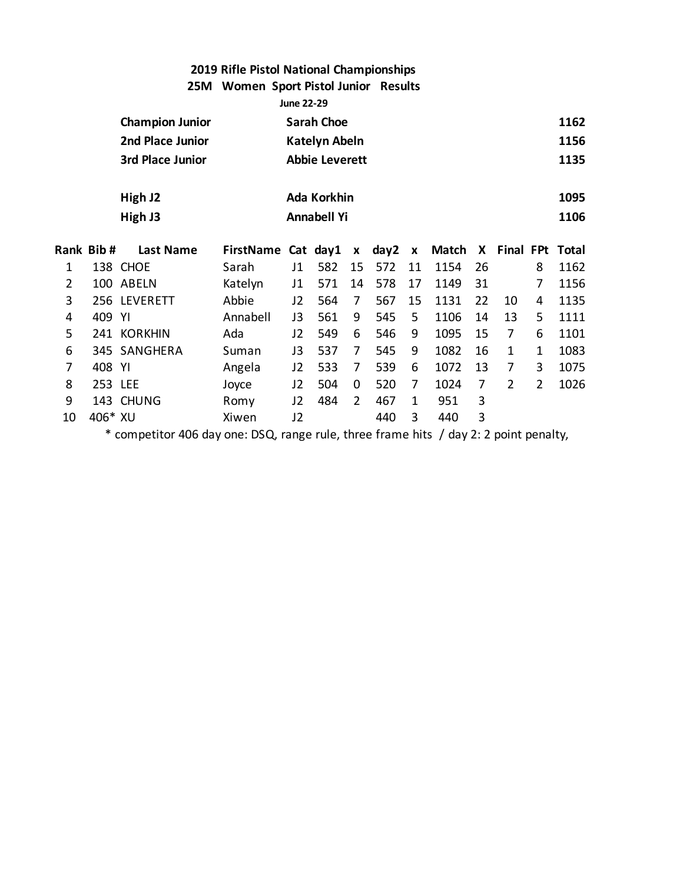### **25M Women Sport Pistol Junior Results**

|    | <b>June 22-29</b> |                         |                  |    |                       |    |      |    |              |    |                |                |              |
|----|-------------------|-------------------------|------------------|----|-----------------------|----|------|----|--------------|----|----------------|----------------|--------------|
|    |                   | <b>Champion Junior</b>  |                  |    | <b>Sarah Choe</b>     |    |      |    |              |    |                |                | 1162         |
|    |                   | 2nd Place Junior        |                  |    | <b>Katelyn Abeln</b>  |    |      |    |              |    |                |                | 1156         |
|    |                   | <b>3rd Place Junior</b> |                  |    | <b>Abbie Leverett</b> |    |      |    |              |    |                |                | 1135         |
|    |                   | High J2                 |                  |    | Ada Korkhin           |    |      |    |              |    |                |                | 1095         |
|    |                   | High J3                 |                  |    | <b>Annabell Yi</b>    |    |      |    |              |    |                |                | 1106         |
|    | Rank Bib#         | <b>Last Name</b>        | <b>FirstName</b> |    | Cat day1              | X  | day2 | X  | <b>Match</b> | X  | Final FPt      |                | <b>Total</b> |
| 1  |                   | 138 CHOE                | Sarah            | J1 | 582                   | 15 | 572  | 11 | 1154         | 26 |                | 8              | 1162         |
| 2  | 100               | <b>ABELN</b>            | Katelyn          | J1 | 571                   | 14 | 578  | 17 | 1149         | 31 |                | 7              | 1156         |
| 3  |                   | 256 LEVERETT            | Abbie            | J2 | 564                   | 7  | 567  | 15 | 1131         | 22 | 10             | 4              | 1135         |
| 4  | 409               | YI                      | Annabell         | J3 | 561                   | 9  | 545  | 5  | 1106         | 14 | 13             | 5              | 1111         |
| 5  |                   | 241 KORKHIN             | Ada              | J2 | 549                   | 6  | 546  | 9  | 1095         | 15 | 7              | 6              | 1101         |
| 6  | 345               | <b>SANGHERA</b>         | Suman            | J3 | 537                   | 7  | 545  | 9  | 1082         | 16 | 1              | 1              | 1083         |
| 7  | 408               | YI                      | Angela           | J2 | 533                   | 7  | 539  | 6  | 1072         | 13 | 7              | 3              | 1075         |
| 8  | 253 LEE           |                         | Joyce            | J2 | 504                   | 0  | 520  | 7  | 1024         | 7  | $\overline{2}$ | $\overline{2}$ | 1026         |
| 9  |                   | 143 CHUNG               | Romy             | J2 | 484                   | 2  | 467  | 1  | 951          | 3  |                |                |              |
| 10 | 406* XU           |                         | Xiwen            | J2 |                       |    | 440  | 3  | 440          | 3  |                |                |              |

\* competitor 406 day one: DSQ, range rule, three frame hits / day 2: 2 point penalty,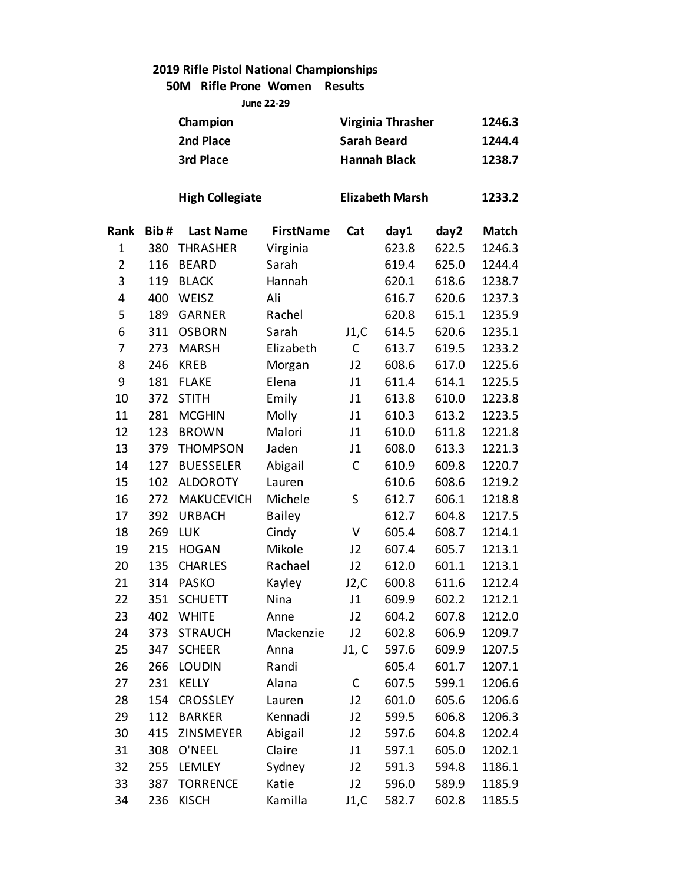**50M Rifle Prone Women Results**

**June 22-29**

|                |      | Champion               |                  |                    | Virginia Thrasher      |       | 1246.3 |
|----------------|------|------------------------|------------------|--------------------|------------------------|-------|--------|
|                |      | 2nd Place              |                  | <b>Sarah Beard</b> |                        |       | 1244.4 |
|                |      | 3rd Place              |                  |                    | <b>Hannah Black</b>    |       | 1238.7 |
|                |      |                        |                  |                    |                        |       |        |
|                |      | <b>High Collegiate</b> |                  |                    | <b>Elizabeth Marsh</b> |       | 1233.2 |
| Rank           | Bib# | <b>Last Name</b>       | <b>FirstName</b> | Cat                | day1                   | day2  | Match  |
| $\mathbf{1}$   | 380  | <b>THRASHER</b>        | Virginia         |                    | 623.8                  | 622.5 | 1246.3 |
| $\overline{2}$ | 116  | <b>BEARD</b>           | Sarah            |                    | 619.4                  | 625.0 | 1244.4 |
| 3              | 119  | <b>BLACK</b>           | Hannah           |                    | 620.1                  | 618.6 | 1238.7 |
| 4              | 400  | WEISZ                  | Ali              |                    | 616.7                  | 620.6 | 1237.3 |
| 5              | 189  | <b>GARNER</b>          | Rachel           |                    | 620.8                  | 615.1 | 1235.9 |
| 6              | 311  | <b>OSBORN</b>          | Sarah            | J1,C               | 614.5                  | 620.6 | 1235.1 |
| 7              | 273  | <b>MARSH</b>           | Elizabeth        | C                  | 613.7                  | 619.5 | 1233.2 |
| 8              | 246  | <b>KREB</b>            | Morgan           | J2                 | 608.6                  | 617.0 | 1225.6 |
| 9              | 181  | <b>FLAKE</b>           | Elena            | J1                 | 611.4                  | 614.1 | 1225.5 |
| 10             | 372  | <b>STITH</b>           | Emily            | J1                 | 613.8                  | 610.0 | 1223.8 |
| 11             | 281  | <b>MCGHIN</b>          | Molly            | J1                 | 610.3                  | 613.2 | 1223.5 |
| 12             | 123  | <b>BROWN</b>           | Malori           | J1                 | 610.0                  | 611.8 | 1221.8 |
| 13             | 379  | <b>THOMPSON</b>        | Jaden            | J1                 | 608.0                  | 613.3 | 1221.3 |
| 14             | 127  | <b>BUESSELER</b>       | Abigail          | $\mathsf C$        | 610.9                  | 609.8 | 1220.7 |
| 15             | 102  | <b>ALDOROTY</b>        | Lauren           |                    | 610.6                  | 608.6 | 1219.2 |
| 16             | 272  | <b>MAKUCEVICH</b>      | Michele          | S                  | 612.7                  | 606.1 | 1218.8 |
| 17             | 392  | <b>URBACH</b>          | <b>Bailey</b>    |                    | 612.7                  | 604.8 | 1217.5 |
| 18             | 269  | <b>LUK</b>             | Cindy            | V                  | 605.4                  | 608.7 | 1214.1 |
| 19             | 215  | <b>HOGAN</b>           | Mikole           | J2                 | 607.4                  | 605.7 | 1213.1 |
| 20             | 135  | <b>CHARLES</b>         | Rachael          | J2                 | 612.0                  | 601.1 | 1213.1 |
| 21             | 314  | <b>PASKO</b>           | Kayley           | J2,C               | 600.8                  | 611.6 | 1212.4 |
| 22             | 351  | <b>SCHUETT</b>         | Nina             | J1                 | 609.9                  | 602.2 | 1212.1 |
| 23             | 402  | <b>WHITE</b>           | Anne             | J2                 | 604.2                  | 607.8 | 1212.0 |
| 24             | 373  | <b>STRAUCH</b>         | Mackenzie        | J2                 | 602.8                  | 606.9 | 1209.7 |
| 25             | 347  | <b>SCHEER</b>          | Anna             | J1, C              | 597.6                  | 609.9 | 1207.5 |
| 26             | 266  | <b>LOUDIN</b>          | Randi            |                    | 605.4                  | 601.7 | 1207.1 |
| 27             | 231  | <b>KELLY</b>           | Alana            | С                  | 607.5                  | 599.1 | 1206.6 |
| 28             | 154  | <b>CROSSLEY</b>        | Lauren           | J <sub>2</sub>     | 601.0                  | 605.6 | 1206.6 |
| 29             | 112  | <b>BARKER</b>          | Kennadi          | J <sub>2</sub>     | 599.5                  | 606.8 | 1206.3 |
| 30             | 415  | ZINSMEYER              | Abigail          | J <sub>2</sub>     | 597.6                  | 604.8 | 1202.4 |
| 31             | 308  | O'NEEL                 | Claire           | J1                 | 597.1                  | 605.0 | 1202.1 |
| 32             | 255  | <b>LEMLEY</b>          | Sydney           | J <sub>2</sub>     | 591.3                  | 594.8 | 1186.1 |
| 33             | 387  | <b>TORRENCE</b>        | Katie            | J2                 | 596.0                  | 589.9 | 1185.9 |
| 34             | 236  | <b>KISCH</b>           | Kamilla          | J1,C               | 582.7                  | 602.8 | 1185.5 |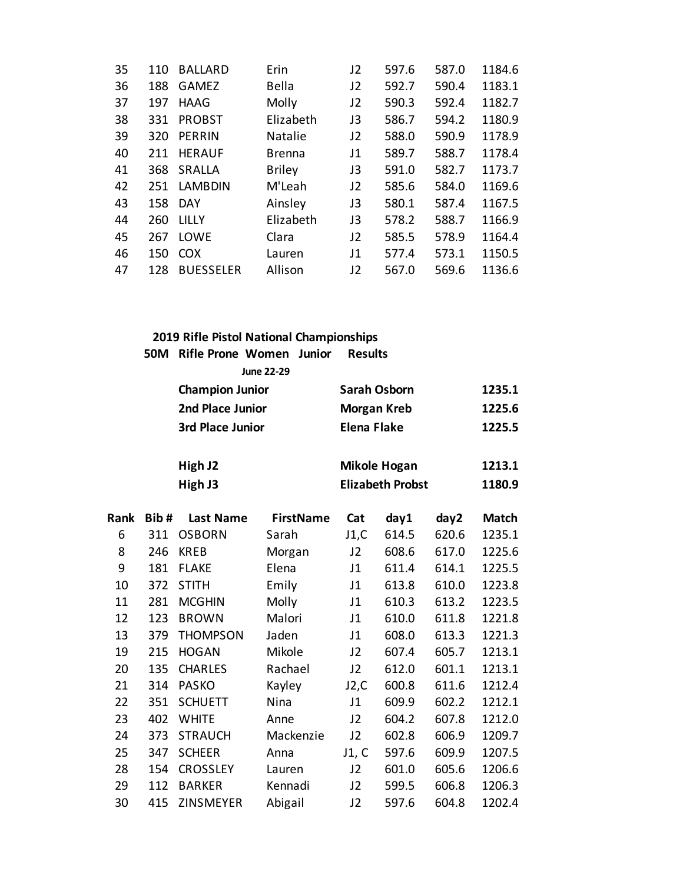| 35 | 110 | <b>BALLARD</b>   | Erin          | J2             | 597.6 | 587.0 | 1184.6 |
|----|-----|------------------|---------------|----------------|-------|-------|--------|
| 36 | 188 | <b>GAMEZ</b>     | Bella         | J <sub>2</sub> | 592.7 | 590.4 | 1183.1 |
| 37 | 197 | <b>HAAG</b>      | Molly         | J2             | 590.3 | 592.4 | 1182.7 |
| 38 | 331 | <b>PROBST</b>    | Elizabeth     | J3             | 586.7 | 594.2 | 1180.9 |
| 39 | 320 | <b>PERRIN</b>    | Natalie       | J2             | 588.0 | 590.9 | 1178.9 |
| 40 | 211 | <b>HERAUF</b>    | <b>Brenna</b> | J1             | 589.7 | 588.7 | 1178.4 |
| 41 | 368 | SRALLA           | <b>Briley</b> | J3             | 591.0 | 582.7 | 1173.7 |
| 42 | 251 | <b>LAMBDIN</b>   | M'Leah        | J2             | 585.6 | 584.0 | 1169.6 |
| 43 |     | 158 DAY          | Ainsley       | J3             | 580.1 | 587.4 | 1167.5 |
| 44 | 260 | LILLY            | Elizabeth     | J3             | 578.2 | 588.7 | 1166.9 |
| 45 | 267 | <b>LOWE</b>      | Clara         | J2             | 585.5 | 578.9 | 1164.4 |
| 46 | 150 | <b>COX</b>       | Lauren        | J1             | 577.4 | 573.1 | 1150.5 |
| 47 | 128 | <b>BUESSELER</b> | Allison       | J2             | 567.0 | 569.6 | 1136.6 |
|    |     |                  |               |                |       |       |        |

|      | <b>50M</b> | <b>Rifle Prone Women</b> | Junior<br><b>June 22-29</b> | <b>Results</b>     |                         |       |        |
|------|------------|--------------------------|-----------------------------|--------------------|-------------------------|-------|--------|
|      |            | <b>Champion Junior</b>   |                             |                    | <b>Sarah Osborn</b>     |       | 1235.1 |
|      |            | 2nd Place Junior         |                             |                    | <b>Morgan Kreb</b>      |       | 1225.6 |
|      |            | 3rd Place Junior         |                             | <b>Elena Flake</b> |                         |       | 1225.5 |
|      |            | High J2                  |                             |                    | <b>Mikole Hogan</b>     |       | 1213.1 |
|      |            | High J3                  |                             |                    | <b>Elizabeth Probst</b> |       | 1180.9 |
| Rank | Bib#       | <b>Last Name</b>         | <b>FirstName</b>            | Cat                | day1                    | day2  | Match  |
| 6    | 311        | <b>OSBORN</b>            | Sarah                       | J1,C               | 614.5                   | 620.6 | 1235.1 |
| 8    | 246        | <b>KREB</b>              | Morgan                      | J2                 | 608.6                   | 617.0 | 1225.6 |
| 9    | 181        | <b>FLAKE</b>             | Elena                       | J1                 | 611.4                   | 614.1 | 1225.5 |
| 10   | 372        | <b>STITH</b>             | Emily                       | J1                 | 613.8                   | 610.0 | 1223.8 |
| 11   | 281        | <b>MCGHIN</b>            | Molly                       | J1                 | 610.3                   | 613.2 | 1223.5 |
| 12   | 123        | <b>BROWN</b>             | Malori                      | J1                 | 610.0                   | 611.8 | 1221.8 |
| 13   | 379        | <b>THOMPSON</b>          | Jaden                       | J1                 | 608.0                   | 613.3 | 1221.3 |
| 19   | 215        | <b>HOGAN</b>             | Mikole                      | J2                 | 607.4                   | 605.7 | 1213.1 |
| 20   | 135        | <b>CHARLES</b>           | Rachael                     | J2                 | 612.0                   | 601.1 | 1213.1 |
| 21   | 314        | <b>PASKO</b>             | Kayley                      | J2,C               | 600.8                   | 611.6 | 1212.4 |
| 22   | 351        | <b>SCHUETT</b>           | Nina                        | J1                 | 609.9                   | 602.2 | 1212.1 |
| 23   | 402        | <b>WHITE</b>             | Anne                        | J2                 | 604.2                   | 607.8 | 1212.0 |

 373 STRAUCH Mackenzie J2 602.8 606.9 1209.7 347 SCHEER Anna J1, C 597.6 609.9 1207.5 154 CROSSLEY Lauren J2 601.0 605.6 1206.6 112 BARKER Kennadi J2 599.5 606.8 1206.3 415 ZINSMEYER Abigail J2 597.6 604.8 1202.4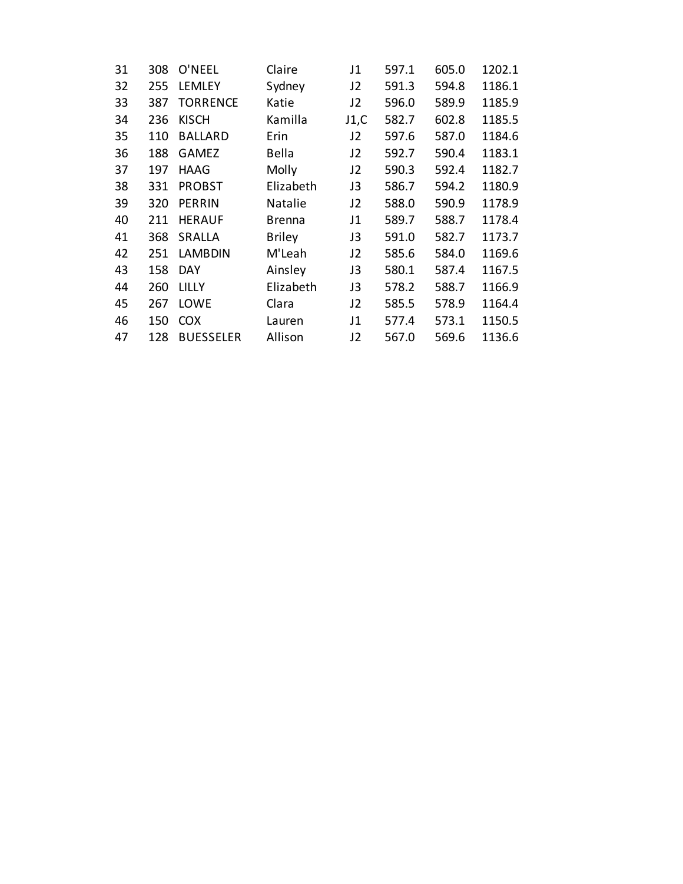| 31 | 308 | O'NEEL           | Claire        | J1   | 597.1 | 605.0 | 1202.1 |
|----|-----|------------------|---------------|------|-------|-------|--------|
| 32 | 255 | <b>LEMLEY</b>    | Sydney        | J2   | 591.3 | 594.8 | 1186.1 |
| 33 | 387 | <b>TORRENCE</b>  | Katie         | J2   | 596.0 | 589.9 | 1185.9 |
| 34 | 236 | <b>KISCH</b>     | Kamilla       | J1,C | 582.7 | 602.8 | 1185.5 |
| 35 | 110 | <b>BALLARD</b>   | Erin          | J2   | 597.6 | 587.0 | 1184.6 |
| 36 | 188 | <b>GAMEZ</b>     | Bella         | J2   | 592.7 | 590.4 | 1183.1 |
| 37 | 197 | <b>HAAG</b>      | Molly         | J2   | 590.3 | 592.4 | 1182.7 |
| 38 | 331 | <b>PROBST</b>    | Elizabeth     | J3   | 586.7 | 594.2 | 1180.9 |
| 39 | 320 | <b>PERRIN</b>    | Natalie       | J2   | 588.0 | 590.9 | 1178.9 |
| 40 | 211 | <b>HERAUF</b>    | <b>Brenna</b> | J1   | 589.7 | 588.7 | 1178.4 |
| 41 | 368 | <b>SRALLA</b>    | <b>Briley</b> | J3   | 591.0 | 582.7 | 1173.7 |
| 42 | 251 | <b>LAMBDIN</b>   | M'Leah        | J2   | 585.6 | 584.0 | 1169.6 |
| 43 | 158 | <b>DAY</b>       | Ainsley       | J3   | 580.1 | 587.4 | 1167.5 |
| 44 | 260 | <b>LILLY</b>     | Elizabeth     | J3   | 578.2 | 588.7 | 1166.9 |
| 45 | 267 | LOWE             | Clara         | J2   | 585.5 | 578.9 | 1164.4 |
| 46 | 150 | <b>COX</b>       | Lauren        | J1   | 577.4 | 573.1 | 1150.5 |
| 47 | 128 | <b>BUESSELER</b> | Allison       | J2   | 567.0 | 569.6 | 1136.6 |
|    |     |                  |               |      |       |       |        |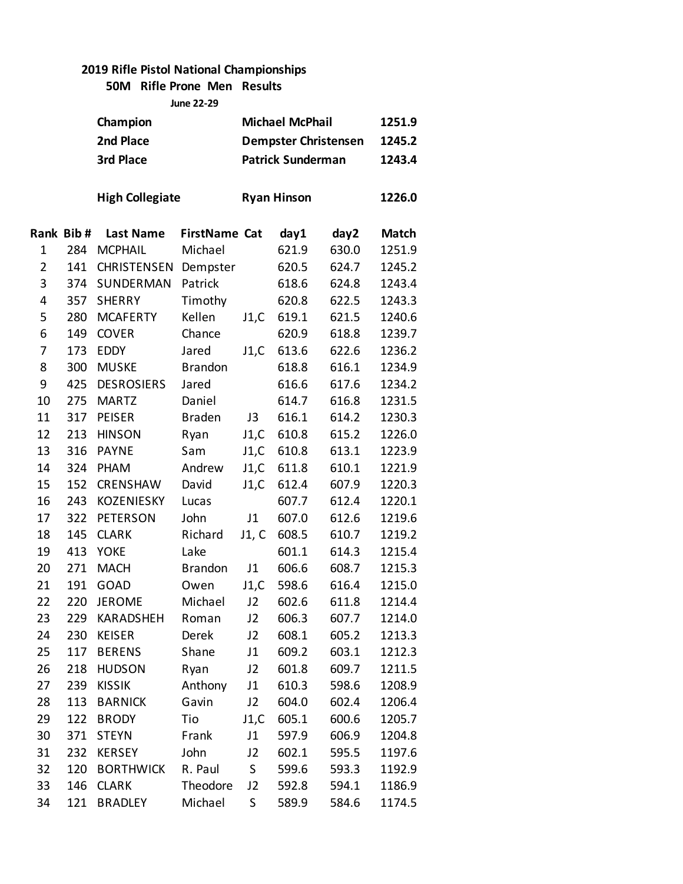#### **50M Rifle Prone Men Results June 22-29**

|                |           | Champion<br>2nd Place<br>3rd Place |                      |         | <b>Michael McPhail</b><br><b>Dempster Christensen</b><br><b>Patrick Sunderman</b> |       | 1251.9<br>1245.2<br>1243.4 |
|----------------|-----------|------------------------------------|----------------------|---------|-----------------------------------------------------------------------------------|-------|----------------------------|
|                |           | <b>High Collegiate</b>             |                      |         | <b>Ryan Hinson</b>                                                                |       | 1226.0                     |
|                | Rank Bib# | <b>Last Name</b>                   | <b>FirstName Cat</b> |         | day1                                                                              | day2  | <b>Match</b>               |
| 1              | 284       | <b>MCPHAIL</b>                     | Michael              |         | 621.9                                                                             | 630.0 | 1251.9                     |
| $\overline{2}$ | 141       | <b>CHRISTENSEN</b>                 | Dempster             |         | 620.5                                                                             | 624.7 | 1245.2                     |
| 3              | 374       | SUNDERMAN                          | Patrick              |         | 618.6                                                                             | 624.8 | 1243.4                     |
| 4              | 357       | <b>SHERRY</b>                      | Timothy              |         | 620.8                                                                             | 622.5 | 1243.3                     |
| 5              | 280       | <b>MCAFERTY</b>                    | Kellen               | J1,C    | 619.1                                                                             | 621.5 | 1240.6                     |
| 6              | 149       | <b>COVER</b>                       | Chance               |         | 620.9                                                                             | 618.8 | 1239.7                     |
| 7              | 173       | <b>EDDY</b>                        | Jared                | J1,C    | 613.6                                                                             | 622.6 | 1236.2                     |
| 8              | 300       | <b>MUSKE</b>                       | <b>Brandon</b>       |         | 618.8                                                                             | 616.1 | 1234.9                     |
| 9              | 425       | <b>DESROSIERS</b>                  | Jared                |         | 616.6                                                                             | 617.6 | 1234.2                     |
| 10             | 275       | <b>MARTZ</b>                       | Daniel               |         | 614.7                                                                             | 616.8 | 1231.5                     |
| 11             | 317       | <b>PEISER</b>                      | <b>Braden</b>        | J3      | 616.1                                                                             | 614.2 | 1230.3                     |
| 12             | 213       | <b>HINSON</b>                      | Ryan                 | J1,C    | 610.8                                                                             | 615.2 | 1226.0                     |
| 13             | 316       | <b>PAYNE</b>                       | Sam                  | J1,C    | 610.8                                                                             | 613.1 | 1223.9                     |
| 14             | 324       | <b>PHAM</b>                        | Andrew               | J1,C    | 611.8                                                                             | 610.1 | 1221.9                     |
| 15             | 152       | CRENSHAW                           | David                | J1,C    | 612.4                                                                             | 607.9 | 1220.3                     |
| 16             | 243       | KOZENIESKY                         | Lucas                |         | 607.7                                                                             | 612.4 | 1220.1                     |
| 17             | 322       | <b>PETERSON</b>                    | John                 | J1      | 607.0                                                                             | 612.6 | 1219.6                     |
| 18             | 145       | <b>CLARK</b>                       | Richard              | J1, C   | 608.5                                                                             | 610.7 | 1219.2                     |
| 19             | 413       | <b>YOKE</b>                        | Lake                 |         | 601.1                                                                             | 614.3 | 1215.4                     |
| 20             | 271       | <b>MACH</b>                        | <b>Brandon</b>       | J1      | 606.6                                                                             | 608.7 | 1215.3                     |
| 21             | 191       | <b>GOAD</b>                        | Owen                 | J1,C    | 598.6                                                                             | 616.4 | 1215.0                     |
| 22             | 220       | <b>JEROME</b>                      | Michael              | J2      | 602.6                                                                             | 611.8 | 1214.4                     |
| 23             | 229       | <b>KARADSHEH</b>                   | Roman                | J2      | 606.3                                                                             | 607.7 | 1214.0                     |
| 24             | 230       | <b>KEISER</b>                      | Derek                | J2      | 608.1                                                                             | 605.2 | 1213.3                     |
| 25             | 117       | <b>BERENS</b>                      | Shane                | J1      | 609.2                                                                             | 603.1 | 1212.3                     |
| 26             | 218       | <b>HUDSON</b>                      | Ryan                 | J2      | 601.8                                                                             | 609.7 | 1211.5                     |
| 27             | 239       | <b>KISSIK</b>                      | Anthony              | J1      | 610.3                                                                             | 598.6 | 1208.9                     |
| 28             | 113       | <b>BARNICK</b>                     | Gavin                | J2      | 604.0                                                                             | 602.4 | 1206.4                     |
| 29             | 122       | <b>BRODY</b>                       | Tio                  | J1,C    | 605.1                                                                             | 600.6 | 1205.7                     |
| 30             | 371       | <b>STEYN</b>                       | Frank                | J1      | 597.9                                                                             | 606.9 | 1204.8                     |
| 31             | 232       | <b>KERSEY</b>                      | John                 | J2      | 602.1                                                                             | 595.5 | 1197.6                     |
| 32             | 120       | <b>BORTHWICK</b>                   | R. Paul              | S       | 599.6                                                                             | 593.3 | 1192.9                     |
| 33             | 146       | <b>CLARK</b>                       | Theodore             | J2      | 592.8                                                                             | 594.1 | 1186.9                     |
| 34             | 121       | <b>BRADLEY</b>                     | Michael              | $\sf S$ | 589.9                                                                             | 584.6 | 1174.5                     |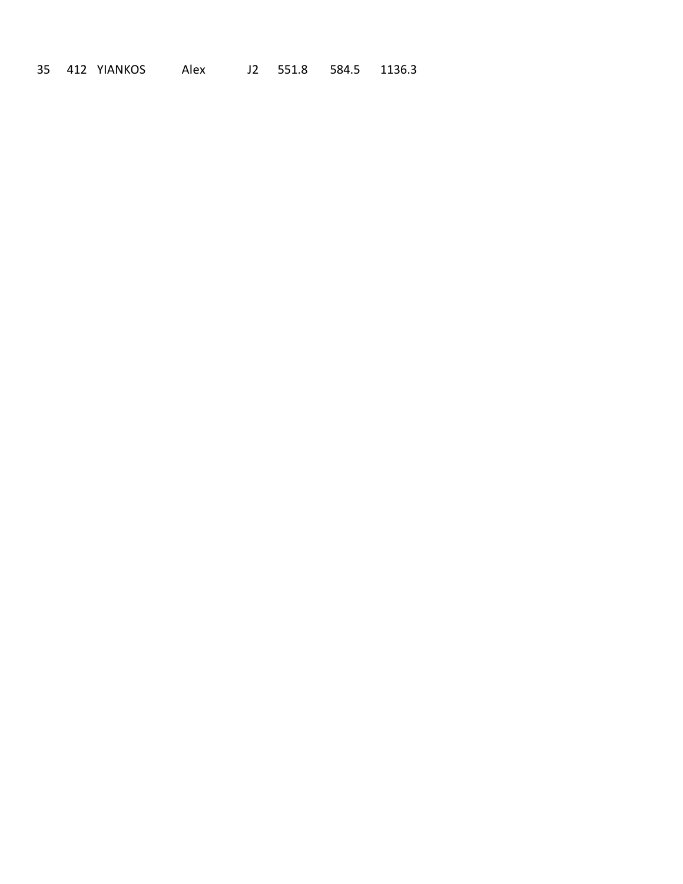412 YIANKOS Alex J2 551.8 584.5 1136.3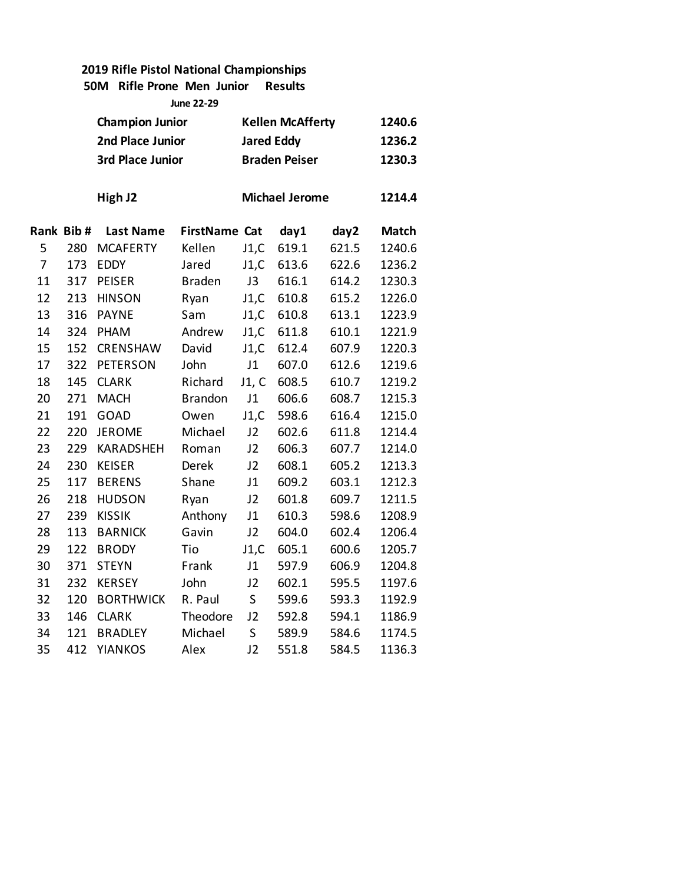**50M Rifle Prone Men Junior Results**

| <b>June 22-29</b> |           |                        |                      |                         |                       |        |              |  |  |  |
|-------------------|-----------|------------------------|----------------------|-------------------------|-----------------------|--------|--------------|--|--|--|
|                   |           | <b>Champion Junior</b> |                      | <b>Kellen McAfferty</b> |                       | 1240.6 |              |  |  |  |
|                   |           | 2nd Place Junior       |                      | <b>Jared Eddy</b>       |                       |        | 1236.2       |  |  |  |
|                   |           | 3rd Place Junior       |                      |                         | <b>Braden Peiser</b>  |        | 1230.3       |  |  |  |
|                   |           |                        |                      |                         |                       |        |              |  |  |  |
|                   |           | High J2                |                      |                         | <b>Michael Jerome</b> |        | 1214.4       |  |  |  |
|                   | Rank Bib# | <b>Last Name</b>       | <b>FirstName Cat</b> |                         | day1                  | day2   | <b>Match</b> |  |  |  |
| 5                 | 280       | <b>MCAFERTY</b>        | Kellen               | J1,C                    | 619.1                 | 621.5  | 1240.6       |  |  |  |
| $\overline{7}$    | 173       | <b>EDDY</b>            | Jared                | J1,C                    | 613.6                 | 622.6  | 1236.2       |  |  |  |
| 11                | 317       | <b>PEISER</b>          | <b>Braden</b>        | J3                      | 616.1                 | 614.2  | 1230.3       |  |  |  |
| 12                | 213       | <b>HINSON</b>          | Ryan                 | J1,C                    | 610.8                 | 615.2  | 1226.0       |  |  |  |
| 13                | 316       | <b>PAYNE</b>           | Sam                  | J1,C                    | 610.8                 | 613.1  | 1223.9       |  |  |  |
| 14                | 324       | PHAM                   | Andrew               | J1,C                    | 611.8                 | 610.1  | 1221.9       |  |  |  |
| 15                | 152       | CRENSHAW               | David                | J1,C                    | 612.4                 | 607.9  | 1220.3       |  |  |  |
| 17                | 322       | <b>PETERSON</b>        | John                 | J1                      | 607.0                 | 612.6  | 1219.6       |  |  |  |
| 18                | 145       | <b>CLARK</b>           | Richard              | J1, C                   | 608.5                 | 610.7  | 1219.2       |  |  |  |
| 20                | 271       | <b>MACH</b>            | <b>Brandon</b>       | J1                      | 606.6                 | 608.7  | 1215.3       |  |  |  |
| 21                | 191       | <b>GOAD</b>            | Owen                 | J1,C                    | 598.6                 | 616.4  | 1215.0       |  |  |  |
| 22                | 220       | <b>JEROME</b>          | Michael              | J2                      | 602.6                 | 611.8  | 1214.4       |  |  |  |
| 23                | 229       | <b>KARADSHEH</b>       | Roman                | J2                      | 606.3                 | 607.7  | 1214.0       |  |  |  |
| 24                | 230       | <b>KEISER</b>          | <b>Derek</b>         | J2                      | 608.1                 | 605.2  | 1213.3       |  |  |  |
| 25                | 117       | <b>BERENS</b>          | Shane                | J1                      | 609.2                 | 603.1  | 1212.3       |  |  |  |
| 26                | 218       | <b>HUDSON</b>          | Ryan                 | J2                      | 601.8                 | 609.7  | 1211.5       |  |  |  |
| 27                | 239       | <b>KISSIK</b>          | Anthony              | J1                      | 610.3                 | 598.6  | 1208.9       |  |  |  |
| 28                | 113       | <b>BARNICK</b>         | Gavin                | J <sub>2</sub>          | 604.0                 | 602.4  | 1206.4       |  |  |  |
| 29                | 122       | <b>BRODY</b>           | Tio                  | J1,C                    | 605.1                 | 600.6  | 1205.7       |  |  |  |
| 30                | 371       | <b>STEYN</b>           | Frank                | J1                      | 597.9                 | 606.9  | 1204.8       |  |  |  |
| 31                | 232       | <b>KERSEY</b>          | John                 | J2                      | 602.1                 | 595.5  | 1197.6       |  |  |  |
| 32                | 120       | <b>BORTHWICK</b>       | R. Paul              | S                       | 599.6                 | 593.3  | 1192.9       |  |  |  |
| 33                | 146       | <b>CLARK</b>           | Theodore             | J2                      | 592.8                 | 594.1  | 1186.9       |  |  |  |
| 34                | 121       | <b>BRADLEY</b>         | Michael              | $\sf S$                 | 589.9                 | 584.6  | 1174.5       |  |  |  |
| 35                | 412       | <b>YIANKOS</b>         | Alex                 | J2                      | 551.8                 | 584.5  | 1136.3       |  |  |  |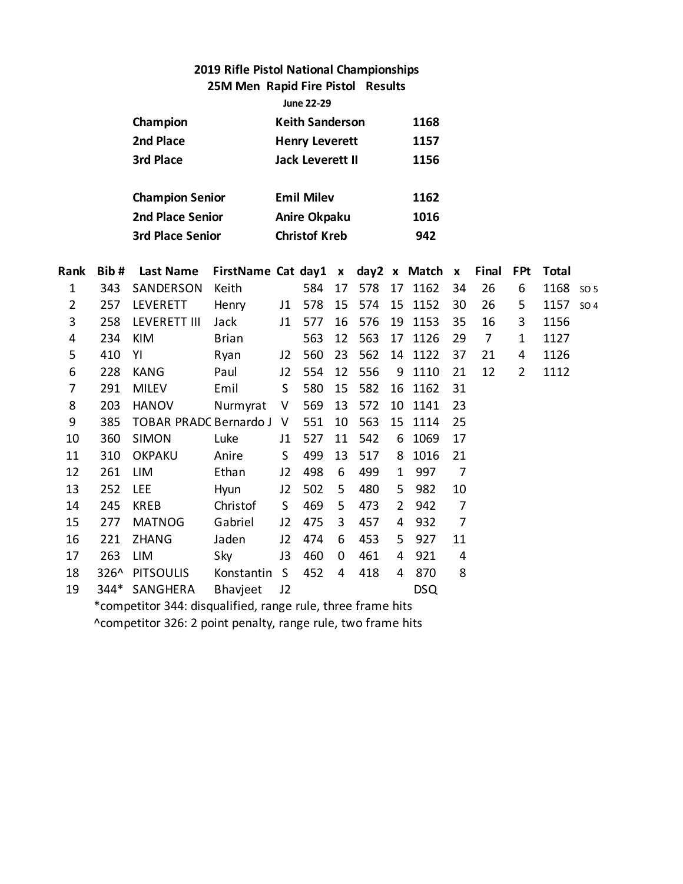**25M Men Rapid Fire Pistol Results**

| <b>June 22-29</b> |
|-------------------|
|                   |
|                   |

| Champion               | <b>Keith Sanderson</b>  | 1168 |
|------------------------|-------------------------|------|
| 2nd Place              | <b>Henry Leverett</b>   | 1157 |
| 3rd Place              | <b>Jack Leverett II</b> | 1156 |
|                        |                         |      |
| <b>Champion Senior</b> | <b>Emil Milev</b>       | 1162 |
| 2nd Place Senior       | <b>Anire Okpaku</b>     | 1016 |
| 3rd Place Senior       | <b>Christof Kreb</b>    | 942  |

| Rank | Bib# | <b>Last Name</b>                                            | FirstName Cat day1 x day2 x Match |                |     |    |     |                |            | $\mathbf{x}$   | Final | <b>FPt</b> | Total |                 |
|------|------|-------------------------------------------------------------|-----------------------------------|----------------|-----|----|-----|----------------|------------|----------------|-------|------------|-------|-----------------|
| 1    | 343  | SANDERSON                                                   | Keith                             |                | 584 | 17 | 578 | 17             | 1162       | 34             | 26    | 6          | 1168  | SO <sub>5</sub> |
| 2    | 257  | LEVERETT                                                    | Henry                             | J1             | 578 | 15 | 574 | 15             | 1152       | 30             | 26    | 5          | 1157  | SO <sub>4</sub> |
| 3    | 258  | <b>LEVERETT III</b>                                         | Jack                              | J1             | 577 | 16 | 576 | 19             | 1153       | 35             | 16    | 3          | 1156  |                 |
| 4    | 234  | KIM                                                         | <b>Brian</b>                      |                | 563 | 12 | 563 | 17             | 1126       | 29             | 7     | 1          | 1127  |                 |
| 5    | 410  | YI                                                          | Ryan                              | J2             | 560 | 23 | 562 | 14             | 1122       | 37             | 21    | 4          | 1126  |                 |
| 6    | 228  | <b>KANG</b>                                                 | Paul                              | J2             | 554 | 12 | 556 | 9              | 1110       | 21             | 12    | 2          | 1112  |                 |
| 7    | 291  | <b>MILEV</b>                                                | Emil                              | S              | 580 | 15 | 582 | 16             | 1162       | 31             |       |            |       |                 |
| 8    | 203  | <b>HANOV</b>                                                | Nurmyrat                          | V              | 569 | 13 | 572 | 10             | 1141       | 23             |       |            |       |                 |
| 9    | 385  | <b>TOBAR PRADC Bernardo J</b>                               |                                   | V              | 551 | 10 | 563 | 15             | 1114       | 25             |       |            |       |                 |
| 10   | 360  | <b>SIMON</b>                                                | Luke                              | J1             | 527 | 11 | 542 | 6              | 1069       | 17             |       |            |       |                 |
| 11   | 310  | <b>OKPAKU</b>                                               | Anire                             | S              | 499 | 13 | 517 | 8              | 1016       | 21             |       |            |       |                 |
| 12   | 261  | <b>LIM</b>                                                  | Ethan                             | J2             | 498 | 6  | 499 | 1              | 997        | $\overline{7}$ |       |            |       |                 |
| 13   | 252  | <b>LEE</b>                                                  | Hyun                              | J2             | 502 | 5  | 480 | 5              | 982        | 10             |       |            |       |                 |
| 14   | 245  | <b>KREB</b>                                                 | Christof                          | S.             | 469 | 5  | 473 | $\overline{2}$ | 942        | $\overline{7}$ |       |            |       |                 |
| 15   | 277  | <b>MATNOG</b>                                               | Gabriel                           | J2             | 475 | 3  | 457 | 4              | 932        | 7              |       |            |       |                 |
| 16   | 221  | <b>ZHANG</b>                                                | Jaden                             | J2             | 474 | 6  | 453 | 5              | 927        | 11             |       |            |       |                 |
| 17   | 263  | LIM                                                         | Sky                               | J3             | 460 | 0  | 461 | 4              | 921        | 4              |       |            |       |                 |
| 18   | 326^ | <b>PITSOULIS</b>                                            | Konstantin                        | S              | 452 | 4  | 418 | 4              | 870        | 8              |       |            |       |                 |
| 19   |      | 344* SANGHERA                                               | Bhavjeet                          | J <sub>2</sub> |     |    |     |                | <b>DSQ</b> |                |       |            |       |                 |
|      |      | *competitor 344: disqualified, range rule, three frame hits |                                   |                |     |    |     |                |            |                |       |            |       |                 |

^competitor 326: 2 point penalty, range rule, two frame hits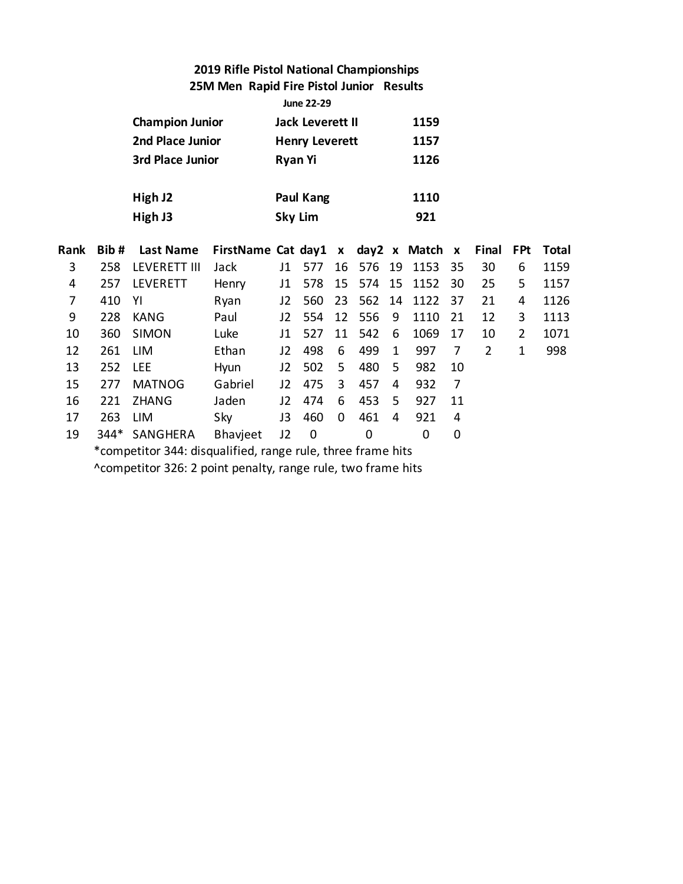### **2019 Rifle Pistol National Championships 25M Men Rapid Fire Pistol Junior Results**

|                |                                                             |                        |                                     |                       | June 22-29     |    |     |      |             |    |                |                |              |
|----------------|-------------------------------------------------------------|------------------------|-------------------------------------|-----------------------|----------------|----|-----|------|-------------|----|----------------|----------------|--------------|
|                |                                                             | <b>Champion Junior</b> |                                     | Jack Leverett II      |                |    |     | 1159 |             |    |                |                |              |
|                |                                                             | 2nd Place Junior       |                                     | <b>Henry Leverett</b> |                |    |     | 1157 |             |    |                |                |              |
|                |                                                             | 3rd Place Junior       |                                     | <b>Ryan Yi</b>        |                |    |     |      | 1126        |    |                |                |              |
|                |                                                             | High J2                |                                     | Paul Kang             |                |    |     |      | 1110        |    |                |                |              |
|                |                                                             |                        |                                     |                       |                |    |     |      | 921         |    |                |                |              |
|                |                                                             | High J3                |                                     |                       | <b>Sky Lim</b> |    |     |      |             |    |                |                |              |
| Rank           | Bib#                                                        | Last Name              | FirstName Cat day1 x day2 x Match x |                       |                |    |     |      |             |    | Final          | <b>FPt</b>     | <b>Total</b> |
| 3              | 258                                                         | <b>LEVERETT III</b>    | Jack                                | J1                    | 577            | 16 | 576 | 19   | 1153        | 35 | 30             | 6              | 1159         |
| 4              | 257                                                         | <b>LEVERETT</b>        | Henry                               | J1                    | 578            | 15 | 574 | 15   | 1152        | 30 | 25             | 5              | 1157         |
| $\overline{7}$ | 410                                                         | YI                     | Ryan                                | J2                    | 560            | 23 | 562 | 14   | 1122        | 37 | 21             | 4              | 1126         |
| 9              | 228                                                         | <b>KANG</b>            | Paul                                | J2                    | 554            | 12 | 556 | 9    | 1110        | 21 | 12             | 3              | 1113         |
| 10             | 360                                                         | <b>SIMON</b>           | Luke                                | J1                    | 527            | 11 | 542 | 6    | 1069        | 17 | 10             | $\overline{2}$ | 1071         |
| 12             | 261                                                         | LIM                    | Ethan                               | J2                    | 498            | 6  | 499 | 1    | 997         | 7  | $\overline{2}$ | $\mathbf 1$    | 998          |
| 13             | 252                                                         | <b>LEE</b>             | Hyun                                | J2                    | 502            | 5  | 480 | 5    | 982         | 10 |                |                |              |
| 15             | 277                                                         | <b>MATNOG</b>          | Gabriel                             | J2                    | 475            | 3  | 457 | 4    | 932         | 7  |                |                |              |
| 16             | 221                                                         | <b>ZHANG</b>           | Jaden                               | J2                    | 474            | 6  | 453 | 5    | 927         | 11 |                |                |              |
| 17             | 263                                                         | LIM                    | Sky                                 | J3                    | 460            | 0  | 461 | 4    | 921         | 4  |                |                |              |
| 19             | 344*                                                        | SANGHERA               | Bhavjeet                            | J2                    | $\mathbf 0$    |    | 0   |      | $\mathbf 0$ | 0  |                |                |              |
|                | *competitor 344: disqualified, range rule, three frame hits |                        |                                     |                       |                |    |     |      |             |    |                |                |              |

^competitor 326: 2 point penalty, range rule, two frame hits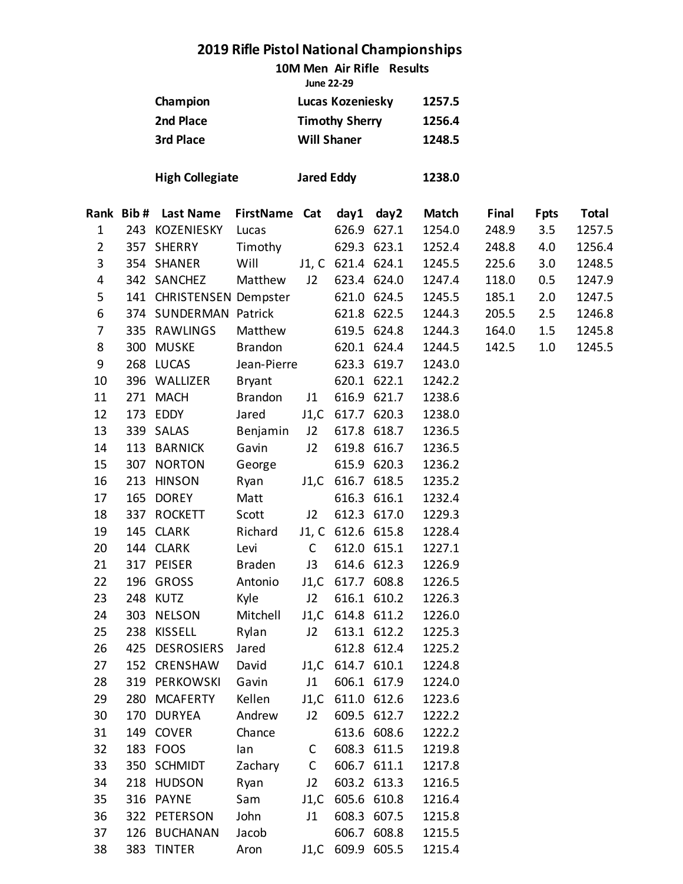**10M Men Air Rifle Results**

|                 | June 22-29            |        |
|-----------------|-----------------------|--------|
| <b>Champion</b> | Lucas Kozeniesky      | 1257.5 |
| 2nd Place       | <b>Timothy Sherry</b> | 1256.4 |
| 3rd Place       | <b>Will Shaner</b>    | 1248.5 |
|                 |                       |        |

**High Collegiate Jared Eddy 1238.0**

|                | Rank Bib# | <b>Last Name</b>         | FirstName Cat  |              | day1              | day2        | <b>Match</b> | Final | <b>Fpts</b> | Total  |
|----------------|-----------|--------------------------|----------------|--------------|-------------------|-------------|--------------|-------|-------------|--------|
| $\mathbf{1}$   |           | 243 KOZENIESKY           | Lucas          |              |                   | 626.9 627.1 | 1254.0       | 248.9 | 3.5         | 1257.5 |
| $\overline{2}$ |           | 357 SHERRY               | Timothy        |              |                   | 629.3 623.1 | 1252.4       | 248.8 | 4.0         | 1256.4 |
| 3              |           | 354 SHANER               | Will           |              | J1, C 621.4 624.1 |             | 1245.5       | 225.6 | 3.0         | 1248.5 |
| 4              |           | 342 SANCHEZ              | Matthew        | J2           | 623.4 624.0       |             | 1247.4       | 118.0 | 0.5         | 1247.9 |
| 5              |           | 141 CHRISTENSEN Dempster |                |              |                   | 621.0 624.5 | 1245.5       | 185.1 | 2.0         | 1247.5 |
| 6              |           | 374 SUNDERMAN Patrick    |                |              |                   | 621.8 622.5 | 1244.3       | 205.5 | 2.5         | 1246.8 |
| $\overline{7}$ |           | 335 RAWLINGS             | Matthew        |              |                   | 619.5 624.8 | 1244.3       | 164.0 | 1.5         | 1245.8 |
| 8              | 300       | <b>MUSKE</b>             | Brandon        |              | 620.1 624.4       |             | 1244.5       | 142.5 | $1.0\,$     | 1245.5 |
| 9              |           | 268 LUCAS                | Jean-Pierre    |              |                   | 623.3 619.7 | 1243.0       |       |             |        |
| 10             |           | 396 WALLIZER             | <b>Bryant</b>  |              |                   | 620.1 622.1 | 1242.2       |       |             |        |
| 11             |           | 271 MACH                 | <b>Brandon</b> | J1           |                   | 616.9 621.7 | 1238.6       |       |             |        |
| 12             |           | 173 EDDY                 | Jared          |              | J1,C 617.7 620.3  |             | 1238.0       |       |             |        |
| 13             |           | 339 SALAS                | Benjamin       | J2           |                   | 617.8 618.7 | 1236.5       |       |             |        |
| 14             | 113       | <b>BARNICK</b>           | Gavin          | J2           |                   | 619.8 616.7 | 1236.5       |       |             |        |
| 15             | 307       | <b>NORTON</b>            | George         |              |                   | 615.9 620.3 | 1236.2       |       |             |        |
| 16             | 213       | <b>HINSON</b>            | Ryan           |              | J1,C 616.7 618.5  |             | 1235.2       |       |             |        |
| 17             | 165       | <b>DOREY</b>             | Matt           |              |                   | 616.3 616.1 | 1232.4       |       |             |        |
| 18             |           | 337 ROCKETT              | Scott          | J2           |                   | 612.3 617.0 | 1229.3       |       |             |        |
| 19             |           | 145 CLARK                | Richard        |              | J1, C 612.6 615.8 |             | 1228.4       |       |             |        |
| 20             |           | 144 CLARK                | Levi           | $\mathsf{C}$ | 612.0 615.1       |             | 1227.1       |       |             |        |
| 21             |           | 317 PEISER               | <b>Braden</b>  | J3           |                   | 614.6 612.3 | 1226.9       |       |             |        |
| 22             | 196       | GROSS                    | Antonio        |              | J1,C 617.7 608.8  |             | 1226.5       |       |             |        |
| 23             |           | 248 KUTZ                 | Kyle           | J2           |                   | 616.1 610.2 | 1226.3       |       |             |        |
| 24             | 303       | <b>NELSON</b>            | Mitchell       |              | J1,C 614.8 611.2  |             | 1226.0       |       |             |        |
| 25             | 238       | <b>KISSELL</b>           | Rylan          | J2           |                   | 613.1 612.2 | 1225.3       |       |             |        |
| 26             |           | 425 DESROSIERS           | Jared          |              |                   | 612.8 612.4 | 1225.2       |       |             |        |
| 27             |           | 152 CRENSHAW             | David          |              | J1,C 614.7 610.1  |             | 1224.8       |       |             |        |
| 28             |           | 319 PERKOWSKI            | Gavin          | J1           |                   | 606.1 617.9 | 1224.0       |       |             |        |
| 29             |           | 280 MCAFERTY             | Kellen         |              | J1,C 611.0 612.6  |             | 1223.6       |       |             |        |
| 30             | 170       | <b>DURYEA</b>            | Andrew         | J2           |                   | 609.5 612.7 | 1222.2       |       |             |        |
| 31             |           | 149 COVER                | Chance         |              |                   | 613.6 608.6 | 1222.2       |       |             |        |
| 32             |           | 183 FOOS                 | lan            | С            | 608.3 611.5       |             | 1219.8       |       |             |        |
| 33             |           | 350 SCHMIDT              | Zachary        | C            | 606.7 611.1       |             | 1217.8       |       |             |        |
| 34             |           | 218 HUDSON               | Ryan           | J2           | 603.2 613.3       |             | 1216.5       |       |             |        |
| 35             | 316       | <b>PAYNE</b>             | Sam            | J1,C         | 605.6 610.8       |             | 1216.4       |       |             |        |
| 36             | 322       | PETERSON                 | John           | J1           |                   | 608.3 607.5 | 1215.8       |       |             |        |
| 37             | 126       | <b>BUCHANAN</b>          | Jacob          |              | 606.7             | 608.8       | 1215.5       |       |             |        |
| 38             |           | 383 TINTER               | Aron           |              | J1,C 609.9 605.5  |             | 1215.4       |       |             |        |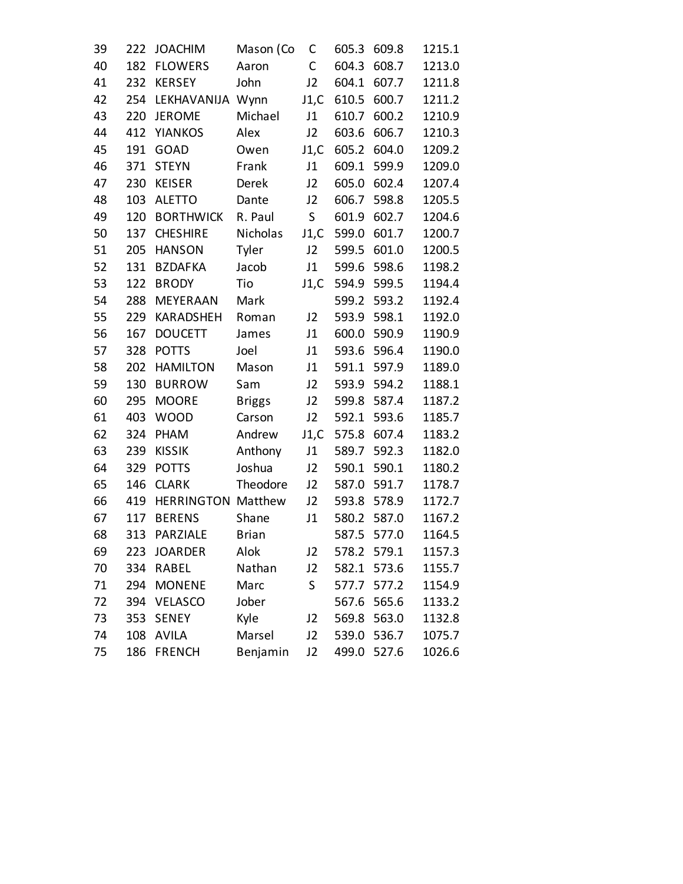| 39 | 222 | <b>JOACHIM</b>            | Mason (Co     | С              | 605.3 | 609.8 | 1215.1 |
|----|-----|---------------------------|---------------|----------------|-------|-------|--------|
| 40 | 182 | <b>FLOWERS</b>            | Aaron         | C              | 604.3 | 608.7 | 1213.0 |
| 41 | 232 | <b>KERSEY</b>             | John          | J2             | 604.1 | 607.7 | 1211.8 |
| 42 | 254 | LEKHAVANIJA               | Wynn          | J1,C           | 610.5 | 600.7 | 1211.2 |
| 43 | 220 | <b>JEROME</b>             | Michael       | J1             | 610.7 | 600.2 | 1210.9 |
| 44 | 412 | <b>YIANKOS</b>            | Alex          | J2             | 603.6 | 606.7 | 1210.3 |
| 45 | 191 | GOAD                      | Owen          | J1,C           | 605.2 | 604.0 | 1209.2 |
| 46 | 371 | <b>STEYN</b>              | Frank         | J1             | 609.1 | 599.9 | 1209.0 |
| 47 | 230 | <b>KEISER</b>             | Derek         | J2             | 605.0 | 602.4 | 1207.4 |
| 48 | 103 | <b>ALETTO</b>             | Dante         | J2             | 606.7 | 598.8 | 1205.5 |
| 49 | 120 | <b>BORTHWICK</b>          | R. Paul       | S              | 601.9 | 602.7 | 1204.6 |
| 50 | 137 | <b>CHESHIRE</b>           | Nicholas      | J1,C           | 599.0 | 601.7 | 1200.7 |
| 51 | 205 | <b>HANSON</b>             | Tyler         | J2             | 599.5 | 601.0 | 1200.5 |
| 52 | 131 | <b>BZDAFKA</b>            | Jacob         | J1             | 599.6 | 598.6 | 1198.2 |
| 53 | 122 | <b>BRODY</b>              | Tio           | J1,C           | 594.9 | 599.5 | 1194.4 |
| 54 | 288 | MEYERAAN                  | Mark          |                | 599.2 | 593.2 | 1192.4 |
| 55 | 229 | <b>KARADSHEH</b>          | Roman         | J2             | 593.9 | 598.1 | 1192.0 |
| 56 | 167 | <b>DOUCETT</b>            | James         | J1             | 600.0 | 590.9 | 1190.9 |
| 57 | 328 | <b>POTTS</b>              | Joel          | J1             | 593.6 | 596.4 | 1190.0 |
| 58 | 202 | <b>HAMILTON</b>           | Mason         | J1             | 591.1 | 597.9 | 1189.0 |
| 59 | 130 | <b>BURROW</b>             | Sam           | J2             | 593.9 | 594.2 | 1188.1 |
| 60 | 295 | <b>MOORE</b>              | <b>Briggs</b> | J2             | 599.8 | 587.4 | 1187.2 |
| 61 | 403 | <b>WOOD</b>               | Carson        | J2             | 592.1 | 593.6 | 1185.7 |
| 62 | 324 | PHAM                      | Andrew        | J1,C           | 575.8 | 607.4 | 1183.2 |
| 63 | 239 | <b>KISSIK</b>             | Anthony       | J1             | 589.7 | 592.3 | 1182.0 |
| 64 | 329 | <b>POTTS</b>              | Joshua        | J2             | 590.1 | 590.1 | 1180.2 |
| 65 | 146 | <b>CLARK</b>              | Theodore      | J2             | 587.0 | 591.7 | 1178.7 |
| 66 | 419 | <b>HERRINGTON Matthew</b> |               | J2             | 593.8 | 578.9 | 1172.7 |
| 67 | 117 | <b>BERENS</b>             | Shane         | J1             | 580.2 | 587.0 | 1167.2 |
| 68 | 313 | PARZIALE                  | <b>Brian</b>  |                | 587.5 | 577.0 | 1164.5 |
| 69 | 223 | <b>JOARDER</b>            | Alok          | J2             | 578.2 | 579.1 | 1157.3 |
| 70 | 334 | RABEL                     | Nathan        | J2             | 582.1 | 573.6 | 1155.7 |
| 71 | 294 | <b>MONENE</b>             | Marc          | S              | 577.7 | 577.2 | 1154.9 |
| 72 | 394 | <b>VELASCO</b>            | Jober         |                | 567.6 | 565.6 | 1133.2 |
| 73 | 353 | <b>SENEY</b>              | Kyle          | J <sub>2</sub> | 569.8 | 563.0 | 1132.8 |
| 74 | 108 | <b>AVILA</b>              | Marsel        | J <sub>2</sub> | 539.0 | 536.7 | 1075.7 |
| 75 | 186 | <b>FRENCH</b>             | Benjamin      | J <sub>2</sub> | 499.0 | 527.6 | 1026.6 |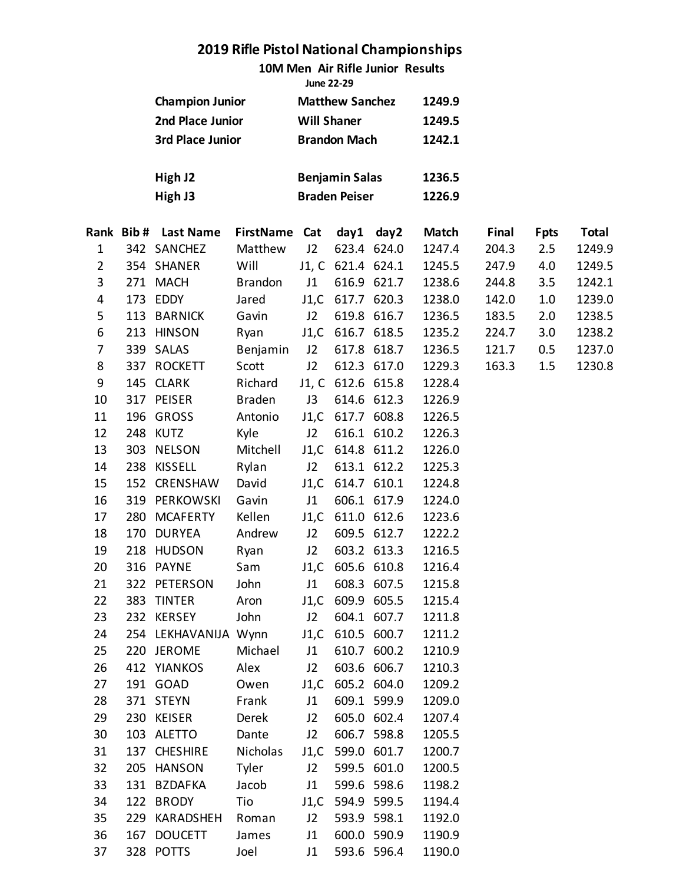**10M Men Air Rifle Junior Results**

|                        | June 22-29             |        |
|------------------------|------------------------|--------|
| <b>Champion Junior</b> | <b>Matthew Sanchez</b> | 1249.9 |
| 2nd Place Junior       | <b>Will Shaner</b>     | 1249.5 |
| 3rd Place Junior       | <b>Brandon Mach</b>    | 1242.1 |
| High J2                | <b>Benjamin Salas</b>  | 1236.5 |

| High J3 | <b>Braden Peiser</b> | 1226.9 |  |  |
|---------|----------------------|--------|--|--|
|         |                      |        |  |  |

|                |     | Rank Bib# Last Name  | FirstName Cat  |      |                   | day1 day2   | <b>Match</b> | Final | <b>Fpts</b> | Total  |
|----------------|-----|----------------------|----------------|------|-------------------|-------------|--------------|-------|-------------|--------|
| $\mathbf 1$    |     | 342 SANCHEZ          | Matthew        | J2   |                   | 623.4 624.0 | 1247.4       | 204.3 | 2.5         | 1249.9 |
| $\overline{2}$ |     | 354 SHANER           | Will           |      | J1, C 621.4 624.1 |             | 1245.5       | 247.9 | 4.0         | 1249.5 |
| 3              |     | 271 MACH             | <b>Brandon</b> | J1   |                   | 616.9 621.7 | 1238.6       | 244.8 | 3.5         | 1242.1 |
| 4              |     | 173 EDDY             | Jared          |      | J1,C 617.7 620.3  |             | 1238.0       | 142.0 | 1.0         | 1239.0 |
| 5              |     | 113 BARNICK          | Gavin          | J2   |                   | 619.8 616.7 | 1236.5       | 183.5 | 2.0         | 1238.5 |
| 6              | 213 | <b>HINSON</b>        | Ryan           |      | J1,C 616.7 618.5  |             | 1235.2       | 224.7 | 3.0         | 1238.2 |
| $\overline{7}$ |     | 339 SALAS            | Benjamin       | J2   | 617.8 618.7       |             | 1236.5       | 121.7 | 0.5         | 1237.0 |
| 8              |     | 337 ROCKETT          | Scott          | J2   |                   | 612.3 617.0 | 1229.3       | 163.3 | 1.5         | 1230.8 |
| 9              |     | 145 CLARK            | Richard        |      | J1, C 612.6 615.8 |             | 1228.4       |       |             |        |
| 10             |     | 317 PEISER           | <b>Braden</b>  | J3   | 614.6 612.3       |             | 1226.9       |       |             |        |
| 11             |     | 196 GROSS            | Antonio        |      | J1,C 617.7 608.8  |             | 1226.5       |       |             |        |
| 12             |     | 248 KUTZ             | Kyle           | J2   |                   | 616.1 610.2 | 1226.3       |       |             |        |
| 13             | 303 | NELSON               | Mitchell       |      | J1,C 614.8 611.2  |             | 1226.0       |       |             |        |
| 14             |     | 238 KISSELL          | Rylan          | J2   |                   | 613.1 612.2 | 1225.3       |       |             |        |
| 15             |     | 152 CRENSHAW         | David          |      | J1,C 614.7 610.1  |             | 1224.8       |       |             |        |
| 16             |     | 319 PERKOWSKI        | Gavin          | J1   |                   | 606.1 617.9 | 1224.0       |       |             |        |
| 17             | 280 | MCAFERTY             | Kellen         |      | J1,C 611.0 612.6  |             | 1223.6       |       |             |        |
| 18             | 170 | <b>DURYEA</b>        | Andrew         | J2   |                   | 609.5 612.7 | 1222.2       |       |             |        |
| 19             |     | 218 HUDSON           | Ryan           | J2   | 603.2 613.3       |             | 1216.5       |       |             |        |
| 20             | 316 | <b>PAYNE</b>         | Sam            |      | J1,C 605.6 610.8  |             | 1216.4       |       |             |        |
| 21             |     | 322 PETERSON         | John           | J1   |                   | 608.3 607.5 | 1215.8       |       |             |        |
| 22             | 383 | <b>TINTER</b>        | Aron           |      | J1,C 609.9 605.5  |             | 1215.4       |       |             |        |
| 23             |     | 232 KERSEY           | John           | J2   |                   | 604.1 607.7 | 1211.8       |       |             |        |
| 24             |     | 254 LEKHAVANIJA Wynn |                |      | J1,C 610.5 600.7  |             | 1211.2       |       |             |        |
| 25             |     | 220 JEROME           | Michael        | J1   | 610.7 600.2       |             | 1210.9       |       |             |        |
| 26             |     | 412 YIANKOS          | Alex           | J2   |                   | 603.6 606.7 | 1210.3       |       |             |        |
| 27             |     | 191 GOAD             | Owen           |      | J1,C 605.2 604.0  |             | 1209.2       |       |             |        |
| 28             |     | 371 STEYN            | Frank          | J1   | 609.1 599.9       |             | 1209.0       |       |             |        |
| 29             |     | 230 KEISER           | Derek          | J2   | 605.0 602.4       |             | 1207.4       |       |             |        |
| 30             |     | 103 ALETTO           | Dante          | J2   | 606.7 598.8       |             | 1205.5       |       |             |        |
| 31             |     | 137 CHESHIRE         | Nicholas       | J1,C | 599.0 601.7       |             | 1200.7       |       |             |        |
| 32             | 205 | <b>HANSON</b>        | Tyler          | J2   | 599.5 601.0       |             | 1200.5       |       |             |        |
| 33             |     | 131 BZDAFKA          | Jacob          | J1   | 599.6 598.6       |             | 1198.2       |       |             |        |
| 34             | 122 | <b>BRODY</b>         | Tio            | J1,C | 594.9 599.5       |             | 1194.4       |       |             |        |
| 35             | 229 | KARADSHEH            | Roman          | J2   | 593.9 598.1       |             | 1192.0       |       |             |        |
| 36             | 167 | <b>DOUCETT</b>       | James          | J1   | 600.0 590.9       |             | 1190.9       |       |             |        |
| 37             |     | 328 POTTS            | Joel           | J1   |                   | 593.6 596.4 | 1190.0       |       |             |        |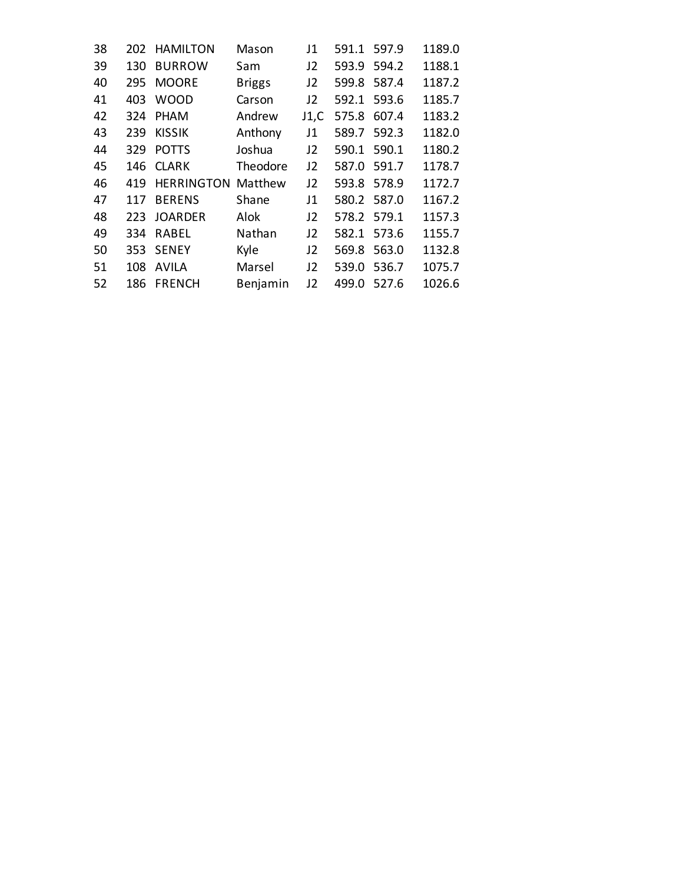| 38 |     | 202 HAMILTON  | Mason         | J1             | 591.1       | 597.9 | 1189.0 |
|----|-----|---------------|---------------|----------------|-------------|-------|--------|
| 39 | 130 | <b>BURROW</b> | Sam           | J2             | 593.9       | 594.2 | 1188.1 |
| 40 | 295 | <b>MOORE</b>  | <b>Briggs</b> | J <sub>2</sub> | 599.8       | 587.4 | 1187.2 |
| 41 | 403 | <b>WOOD</b>   | Carson        | J2             | 592.1       | 593.6 | 1185.7 |
| 42 | 324 | <b>PHAM</b>   | Andrew        | J1,C           | 575.8       | 607.4 | 1183.2 |
| 43 | 239 | <b>KISSIK</b> | Anthony       | J1             | 589.7       | 592.3 | 1182.0 |
| 44 | 329 | <b>POTTS</b>  | Joshua        | J2             | 590.1       | 590.1 | 1180.2 |
| 45 |     | 146 CLARK     | Theodore      | J <sub>2</sub> | 587.0       | 591.7 | 1178.7 |
| 46 | 419 | HERRINGTON    | Matthew       | J <sub>2</sub> | 593.8       | 578.9 | 1172.7 |
| 47 | 117 | <b>BERENS</b> | Shane         | J1             | 580.2 587.0 |       | 1167.2 |
| 48 |     | 223 JOARDER   | Alok          | J2             | 578.2 579.1 |       | 1157.3 |
| 49 | 334 | RABEL         | Nathan        | J2             | 582.1       | 573.6 | 1155.7 |
| 50 |     | 353 SENEY     | Kyle          | J2             | 569.8       | 563.0 | 1132.8 |
| 51 | 108 | <b>AVILA</b>  | Marsel        | J <sub>2</sub> | 539.0       | 536.7 | 1075.7 |
| 52 | 186 | <b>FRENCH</b> | Benjamin      | 12             | 499.0       | 527.6 | 1026.6 |
|    |     |               |               |                |             |       |        |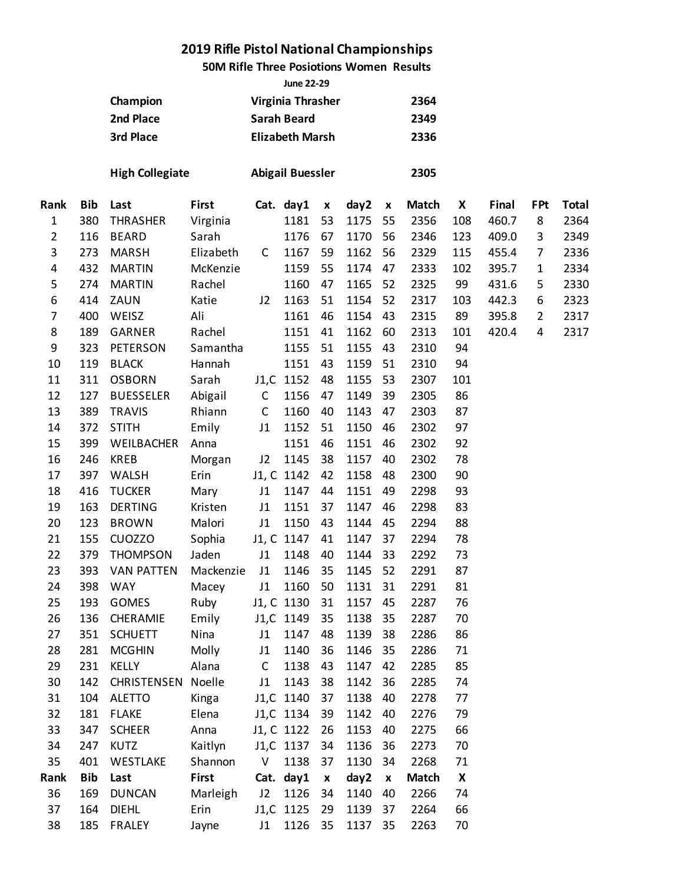### **50M Rifle Three Posiotions Women Results**

|                | <b>June 22-29</b><br>Virginia Thrasher |                         |           |              |                         |                    |      |                    |              |     |       |                |              |  |
|----------------|----------------------------------------|-------------------------|-----------|--------------|-------------------------|--------------------|------|--------------------|--------------|-----|-------|----------------|--------------|--|
|                |                                        | Champion                |           |              |                         |                    |      |                    | 2364         |     |       |                |              |  |
|                |                                        | 2nd Place               |           |              | <b>Sarah Beard</b>      |                    |      |                    | 2349         |     |       |                |              |  |
|                |                                        | 3rd Place               |           |              | <b>Elizabeth Marsh</b>  |                    |      |                    | 2336         |     |       |                |              |  |
|                |                                        | <b>High Collegiate</b>  |           |              | <b>Abigail Buessler</b> |                    |      |                    | 2305         |     |       |                |              |  |
| Rank           | <b>Bib</b>                             | Last                    | First     |              | Cat. day1               | $\pmb{\mathsf{x}}$ | day2 | $\pmb{\mathsf{x}}$ | <b>Match</b> | X   | Final | <b>FPt</b>     | <b>Total</b> |  |
| $\mathbf 1$    | 380                                    | <b>THRASHER</b>         | Virginia  |              | 1181                    | 53                 | 1175 | 55                 | 2356         | 108 | 460.7 | 8              | 2364         |  |
| $\overline{2}$ | 116                                    | <b>BEARD</b>            | Sarah     |              | 1176                    | 67                 | 1170 | 56                 | 2346         | 123 | 409.0 | 3              | 2349         |  |
| 3              | 273                                    | <b>MARSH</b>            | Elizabeth | $\mathsf{C}$ | 1167                    | 59                 | 1162 | 56                 | 2329         | 115 | 455.4 | 7              | 2336         |  |
| 4              | 432                                    | <b>MARTIN</b>           | McKenzie  |              | 1159                    | 55                 | 1174 | 47                 | 2333         | 102 | 395.7 | $\mathbf{1}$   | 2334         |  |
| 5              | 274                                    | <b>MARTIN</b>           | Rachel    |              | 1160                    | 47                 | 1165 | 52                 | 2325         | 99  | 431.6 | 5              | 2330         |  |
| 6              | 414                                    | ZAUN                    | Katie     | J2           | 1163                    | 51                 | 1154 | 52                 | 2317         | 103 | 442.3 | 6              | 2323         |  |
| 7              | 400                                    | WEISZ                   | Ali       |              | 1161                    | 46                 | 1154 | 43                 | 2315         | 89  | 395.8 | $\overline{2}$ | 2317         |  |
| 8              | 189                                    | <b>GARNER</b>           | Rachel    |              | 1151                    | 41                 | 1162 | 60                 | 2313         | 101 | 420.4 | 4              | 2317         |  |
| 9              | 323                                    | <b>PETERSON</b>         | Samantha  |              | 1155                    | 51                 | 1155 | 43                 | 2310         | 94  |       |                |              |  |
| 10             | 119                                    | <b>BLACK</b>            | Hannah    |              | 1151                    | 43                 | 1159 | 51                 | 2310         | 94  |       |                |              |  |
| 11             | 311                                    | <b>OSBORN</b>           | Sarah     |              | J1,C 1152               | 48                 | 1155 | 53                 | 2307         | 101 |       |                |              |  |
| 12             | 127                                    | <b>BUESSELER</b>        | Abigail   | $\mathsf C$  | 1156                    | 47                 | 1149 | 39                 | 2305         | 86  |       |                |              |  |
| 13             | 389                                    | <b>TRAVIS</b><br>Rhiann |           | $\mathsf C$  | 1160                    | 40                 | 1143 | 47                 | 2303         | 87  |       |                |              |  |
| 14             | 372                                    | <b>STITH</b>            | Emily     | J1           | 1152                    | 51                 | 1150 | 46                 | 2302         | 97  |       |                |              |  |
| 15             | 399                                    | WEILBACHER              | Anna      |              | 1151                    | 46                 | 1151 | 46                 | 2302         | 92  |       |                |              |  |
| 16             | 246                                    | <b>KREB</b>             | Morgan    | J2           | 1145                    | 38                 | 1157 | 40                 | 2302         | 78  |       |                |              |  |
| 17             | 397                                    | WALSH                   | Erin      |              | J1, C 1142              | 42                 | 1158 | 48                 | 2300         | 90  |       |                |              |  |
| 18             | 416                                    | <b>TUCKER</b>           | Mary      | J1           | 1147                    | 44                 | 1151 | 49                 | 2298         | 93  |       |                |              |  |
| 19             | 163                                    | <b>DERTING</b>          | Kristen   | J1           | 1151                    | 37                 | 1147 | 46                 | 2298         | 83  |       |                |              |  |
| 20             | 123                                    | <b>BROWN</b>            | Malori    | J1           | 1150                    | 43                 | 1144 | 45                 | 2294         | 88  |       |                |              |  |
| 21             | 155                                    | <b>CUOZZO</b>           | Sophia    |              | J1, C 1147              | 41                 | 1147 | 37                 | 2294         | 78  |       |                |              |  |
| 22             | 379                                    | <b>THOMPSON</b>         | Jaden     | J1           | 1148                    | 40                 | 1144 | 33                 | 2292         | 73  |       |                |              |  |
| 23             | 393                                    | <b>VAN PATTEN</b>       | Mackenzie | J1           | 1146                    | 35                 | 1145 | 52                 | 2291         | 87  |       |                |              |  |
| 24             | 398                                    | <b>WAY</b>              | Macey     | J1           | 1160                    | 50                 | 1131 | 31                 | 2291         | 81  |       |                |              |  |
| 25             | 193                                    | <b>GOMES</b>            | Ruby      |              | J1, C 1130              | 31                 | 1157 | 45                 | 2287         | 76  |       |                |              |  |
| 26             | 136                                    | CHERAMIE                | Emily     |              | J1,C 1149               | 35                 | 1138 | 35                 | 2287         | 70  |       |                |              |  |
| 27             | 351                                    | <b>SCHUETT</b>          | Nina      | J1           | 1147                    | 48                 | 1139 | 38                 | 2286         | 86  |       |                |              |  |
| 28             | 281                                    | <b>MCGHIN</b>           | Molly     | J1           | 1140                    | 36                 | 1146 | 35                 | 2286         | 71  |       |                |              |  |
| 29             | 231                                    | <b>KELLY</b>            | Alana     | $\mathsf C$  | 1138                    | 43                 | 1147 | 42                 | 2285         | 85  |       |                |              |  |
| 30             | 142                                    | CHRISTENSEN Noelle      |           | J1           | 1143                    | 38                 | 1142 | 36                 | 2285         | 74  |       |                |              |  |
| 31             | 104                                    | <b>ALETTO</b>           | Kinga     |              | J1,C 1140               | 37                 | 1138 | 40                 | 2278         | 77  |       |                |              |  |
| 32             | 181                                    | <b>FLAKE</b>            | Elena     |              | J1,C 1134               | 39                 | 1142 | 40                 | 2276         | 79  |       |                |              |  |
| 33             | 347                                    | <b>SCHEER</b>           | Anna      |              | J1, C 1122              | 26                 | 1153 | 40                 | 2275         | 66  |       |                |              |  |
| 34             | 247                                    | <b>KUTZ</b>             | Kaitlyn   |              | J1,C 1137               | 34                 | 1136 | 36                 | 2273         | 70  |       |                |              |  |
| 35             | 401                                    | WESTLAKE                | Shannon   | V            | 1138                    | 37                 | 1130 | 34                 | 2268         | 71  |       |                |              |  |
| Rank           | <b>Bib</b>                             | Last                    | First     |              | Cat. day1               | $\pmb{\mathsf{x}}$ | day2 | $\pmb{\mathsf{x}}$ | <b>Match</b> | X   |       |                |              |  |
| 36             | 169                                    | <b>DUNCAN</b>           | Marleigh  | J2           | 1126                    | 34                 | 1140 | 40                 | 2266         | 74  |       |                |              |  |
| 37             | 164                                    | <b>DIEHL</b>            | Erin      |              | J1,C 1125               | 29                 | 1139 | 37                 | 2264         | 66  |       |                |              |  |
| 38             | 185                                    | <b>FRALEY</b>           | Jayne     | J1           | 1126                    | 35                 | 1137 | 35                 | 2263         | 70  |       |                |              |  |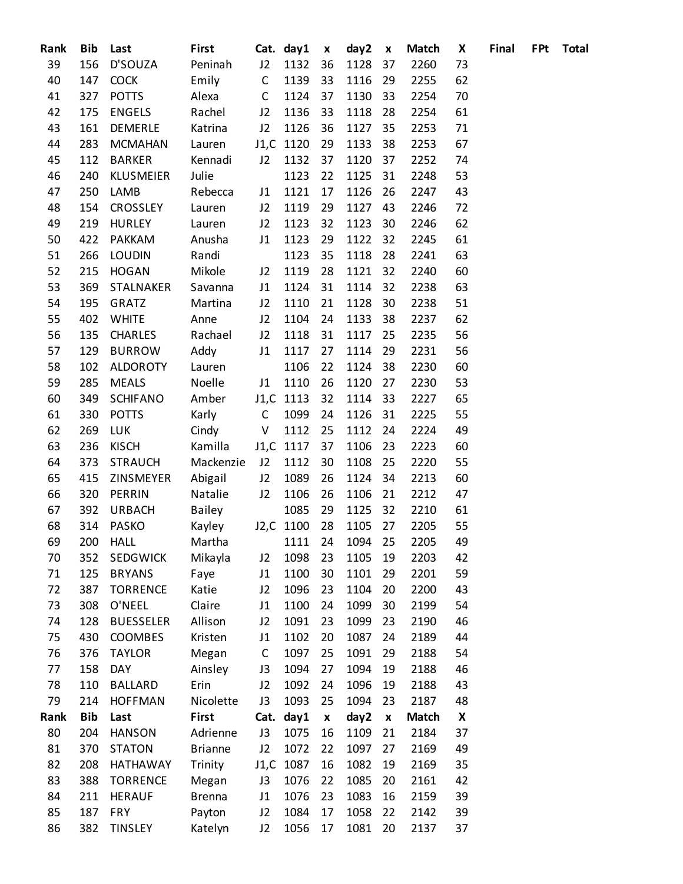| Rank | Bib        | Last             | First          |              | Cat. day1 | $\boldsymbol{x}$   | day2            | X                  | <b>Match</b> | X  | Final | <b>FPt</b> | <b>Total</b> |
|------|------------|------------------|----------------|--------------|-----------|--------------------|-----------------|--------------------|--------------|----|-------|------------|--------------|
| 39   | 156        | D'SOUZA          | Peninah        | J2           | 1132      | 36                 | 1128            | 37                 | 2260         | 73 |       |            |              |
| 40   | 147        | <b>COCK</b>      | Emily          | $\mathsf{C}$ | 1139      | 33                 | 1116            | 29                 | 2255         | 62 |       |            |              |
| 41   | 327        | <b>POTTS</b>     | Alexa          | $\mathsf{C}$ | 1124      | 37                 | 1130            | 33                 | 2254         | 70 |       |            |              |
| 42   | 175        | <b>ENGELS</b>    | Rachel         | J2           | 1136      | 33                 | 1118            | 28                 | 2254         | 61 |       |            |              |
| 43   | 161        | DEMERLE          | Katrina        | J2           | 1126      | 36                 | 1127            | 35                 | 2253         | 71 |       |            |              |
| 44   | 283        | <b>MCMAHAN</b>   | Lauren         |              | J1,C 1120 | 29                 | 1133            | 38                 | 2253         | 67 |       |            |              |
| 45   | 112        | <b>BARKER</b>    | Kennadi        | J2           | 1132      | 37                 | 1120            | 37                 | 2252         | 74 |       |            |              |
| 46   | 240        | KLUSMEIER        | Julie          |              | 1123      | 22                 | 1125            | 31                 | 2248         | 53 |       |            |              |
| 47   | 250        | LAMB             | Rebecca        | J1           | 1121      | 17                 | 1126            | 26                 | 2247         | 43 |       |            |              |
| 48   | 154        | <b>CROSSLEY</b>  | Lauren         | J2           | 1119      | 29                 | 1127            | 43                 | 2246         | 72 |       |            |              |
| 49   | 219        | <b>HURLEY</b>    | Lauren         | J2           | 1123      | 32                 | 1123            | 30                 | 2246         | 62 |       |            |              |
| 50   | 422        | <b>PAKKAM</b>    | Anusha         | J1           | 1123      | 29                 | 1122            | 32                 | 2245         | 61 |       |            |              |
| 51   | 266        | <b>LOUDIN</b>    | Randi          |              | 1123      | 35                 | 1118            | 28                 | 2241         | 63 |       |            |              |
| 52   | 215        | <b>HOGAN</b>     | Mikole         | J2           | 1119      | 28                 | 1121            | 32                 | 2240         | 60 |       |            |              |
| 53   | 369        | STALNAKER        | Savanna        | J1           | 1124      | 31                 | 1114            | 32                 | 2238         | 63 |       |            |              |
| 54   | 195        | GRATZ            | Martina        | J2           | 1110      | 21                 | 1128            | 30                 | 2238         | 51 |       |            |              |
| 55   | 402        | <b>WHITE</b>     | Anne           | J2           | 1104      | 24                 | 1133            | 38                 | 2237         | 62 |       |            |              |
| 56   | 135        | <b>CHARLES</b>   | Rachael        | J2           | 1118      | 31                 | 1117            | 25                 | 2235         | 56 |       |            |              |
| 57   | 129        | <b>BURROW</b>    | Addy           | J1           | 1117      | 27                 | 1114            | 29                 | 2231         | 56 |       |            |              |
| 58   | 102        | <b>ALDOROTY</b>  | Lauren         |              | 1106      | 22                 | 1124            | 38                 | 2230         | 60 |       |            |              |
| 59   | 285        | <b>MEALS</b>     | Noelle         | J1           | 1110      | 26                 | 1120            | 27                 | 2230         | 53 |       |            |              |
| 60   | 349        | <b>SCHIFANO</b>  | Amber          |              | J1,C 1113 | 32                 | 1114            | 33                 | 2227         | 65 |       |            |              |
| 61   | 330        | <b>POTTS</b>     | Karly          | $\mathsf{C}$ | 1099      | 24                 | 1126            | 31                 | 2225         | 55 |       |            |              |
| 62   | 269        | <b>LUK</b>       | Cindy          | V            | 1112      | 25                 | 1112            | 24                 | 2224         | 49 |       |            |              |
| 63   | 236        | <b>KISCH</b>     | Kamilla        |              | J1,C 1117 | 37                 | 1106            | 23                 | 2223         | 60 |       |            |              |
| 64   | 373        | <b>STRAUCH</b>   | Mackenzie      | J2           | 1112      | 30                 | 1108            | 25                 | 2220         | 55 |       |            |              |
| 65   | 415        | ZINSMEYER        | Abigail        | J2           | 1089      | 26                 | 1124            | 34                 | 2213         | 60 |       |            |              |
| 66   | 320        | PERRIN           | Natalie        | J2           | 1106      | 26                 | 1106            | 21                 | 2212         | 47 |       |            |              |
| 67   | 392        | <b>URBACH</b>    | Bailey         |              | 1085      | 29                 | 1125            | 32                 | 2210         | 61 |       |            |              |
| 68   | 314        | <b>PASKO</b>     | Kayley         |              | J2,C 1100 | 28                 | 1105            | 27                 | 2205         | 55 |       |            |              |
| 69   |            | 200 HALL         | Martha         |              |           |                    | 1111 24 1094 25 |                    | 2205         | 49 |       |            |              |
| 70   | 352        | <b>SEDGWICK</b>  | Mikayla        | J2           | 1098      | 23                 | 1105            | 19                 | 2203         | 42 |       |            |              |
| 71   | 125        | <b>BRYANS</b>    | Faye           | J1           | 1100      | 30                 | 1101            | 29                 | 2201         | 59 |       |            |              |
| 72   | 387        | <b>TORRENCE</b>  | Katie          | J2           | 1096      | 23                 | 1104            | 20                 | 2200         | 43 |       |            |              |
| 73   | 308        | O'NEEL           | Claire         | J1           | 1100      | 24                 | 1099            | 30                 | 2199         | 54 |       |            |              |
| 74   | 128        | <b>BUESSELER</b> | Allison        | J2           | 1091      | 23                 | 1099            | 23                 | 2190         | 46 |       |            |              |
| 75   | 430        | COOMBES          | Kristen        | J1           | 1102      | 20                 | 1087            | 24                 | 2189         | 44 |       |            |              |
| 76   | 376        | <b>TAYLOR</b>    | Megan          | $\mathsf C$  | 1097      | 25                 | 1091            | 29                 | 2188         | 54 |       |            |              |
| 77   | 158        | <b>DAY</b>       | Ainsley        | J3           | 1094      | 27                 | 1094            | 19                 | 2188         | 46 |       |            |              |
| 78   | 110        | <b>BALLARD</b>   | Erin           | J2           | 1092      | 24                 | 1096            | 19                 | 2188         | 43 |       |            |              |
| 79   | 214        | <b>HOFFMAN</b>   | Nicolette      | J3           | 1093      | 25                 | 1094            | 23                 | 2187         | 48 |       |            |              |
| Rank | <b>Bib</b> | Last             | First          | Cat.         | day1      | $\pmb{\mathsf{x}}$ | day2            | $\pmb{\mathsf{x}}$ | <b>Match</b> | X  |       |            |              |
| 80   | 204        | <b>HANSON</b>    | Adrienne       | J3           | 1075      | 16                 | 1109            | 21                 | 2184         | 37 |       |            |              |
| 81   | 370        | <b>STATON</b>    | <b>Brianne</b> | J2           | 1072      | 22                 | 1097            | 27                 | 2169         | 49 |       |            |              |
| 82   | 208        | <b>HATHAWAY</b>  | Trinity        |              | J1,C 1087 | 16                 | 1082            | 19                 | 2169         | 35 |       |            |              |
| 83   | 388        | <b>TORRENCE</b>  | Megan          | J3           | 1076      | 22                 | 1085            | 20                 | 2161         | 42 |       |            |              |
| 84   | 211        | <b>HERAUF</b>    | <b>Brenna</b>  | J1           | 1076      | 23                 | 1083            | 16                 | 2159         | 39 |       |            |              |
| 85   | 187        | <b>FRY</b>       | Payton         | J2           | 1084      | 17                 | 1058            | 22                 | 2142         | 39 |       |            |              |
| 86   | 382        | <b>TINSLEY</b>   | Katelyn        | J2           | 1056      | 17                 | 1081            | 20                 | 2137         | 37 |       |            |              |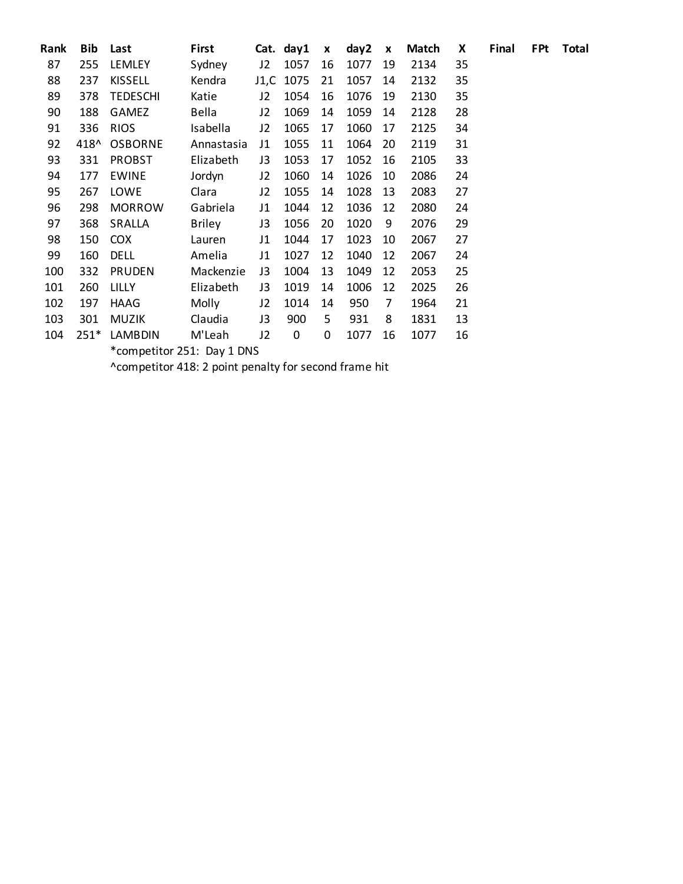| Rank | Bib  | Last                       | First         |    | Cat. day1 | X  | day2 | $\boldsymbol{x}$ | <b>Match</b> | X  | Final | <b>FPt</b> | <b>Total</b> |
|------|------|----------------------------|---------------|----|-----------|----|------|------------------|--------------|----|-------|------------|--------------|
| 87   | 255  | <b>LEMLEY</b>              | Sydney        | J2 | 1057      | 16 | 1077 | 19               | 2134         | 35 |       |            |              |
| 88   | 237  | <b>KISSELL</b>             | Kendra        |    | J1,C 1075 | 21 | 1057 | 14               | 2132         | 35 |       |            |              |
| 89   | 378  | <b>TEDESCHI</b>            | Katie         | J2 | 1054      | 16 | 1076 | 19               | 2130         | 35 |       |            |              |
| 90   | 188  | <b>GAMEZ</b>               | Bella         | J2 | 1069      | 14 | 1059 | 14               | 2128         | 28 |       |            |              |
| 91   | 336  | <b>RIOS</b>                | Isabella      | J2 | 1065      | 17 | 1060 | 17               | 2125         | 34 |       |            |              |
| 92   | 418^ | <b>OSBORNE</b>             | Annastasia    | J1 | 1055      | 11 | 1064 | 20               | 2119         | 31 |       |            |              |
| 93   | 331  | <b>PROBST</b>              | Elizabeth     | J3 | 1053      | 17 | 1052 | 16               | 2105         | 33 |       |            |              |
| 94   | 177  | <b>EWINE</b>               | Jordyn        | J2 | 1060      | 14 | 1026 | 10               | 2086         | 24 |       |            |              |
| 95   | 267  | LOWE                       | Clara         | J2 | 1055      | 14 | 1028 | 13               | 2083         | 27 |       |            |              |
| 96   | 298  | <b>MORROW</b>              | Gabriela      | J1 | 1044      | 12 | 1036 | 12               | 2080         | 24 |       |            |              |
| 97   | 368  | SRALLA                     | <b>Briley</b> | J3 | 1056      | 20 | 1020 | 9                | 2076         | 29 |       |            |              |
| 98   | 150  | <b>COX</b>                 | Lauren        | J1 | 1044      | 17 | 1023 | 10               | 2067         | 27 |       |            |              |
| 99   | 160  | <b>DELL</b>                | Amelia        | J1 | 1027      | 12 | 1040 | 12               | 2067         | 24 |       |            |              |
| 100  | 332  | <b>PRUDEN</b>              | Mackenzie     | J3 | 1004      | 13 | 1049 | 12               | 2053         | 25 |       |            |              |
| 101  | 260  | LILLY                      | Elizabeth     | J3 | 1019      | 14 | 1006 | 12               | 2025         | 26 |       |            |              |
| 102  | 197  | HAAG                       | Molly         | J2 | 1014      | 14 | 950  | 7                | 1964         | 21 |       |            |              |
| 103  | 301  | <b>MUZIK</b>               | Claudia       | J3 | 900       | 5  | 931  | 8                | 1831         | 13 |       |            |              |
| 104  | 251* | LAMBDIN                    | M'Leah        | J2 | 0         | 0  | 1077 | 16               | 1077         | 16 |       |            |              |
|      |      | *competitor 251: Day 1 DNS |               |    |           |    |      |                  |              |    |       |            |              |

^competitor 418: 2 point penalty for second frame hit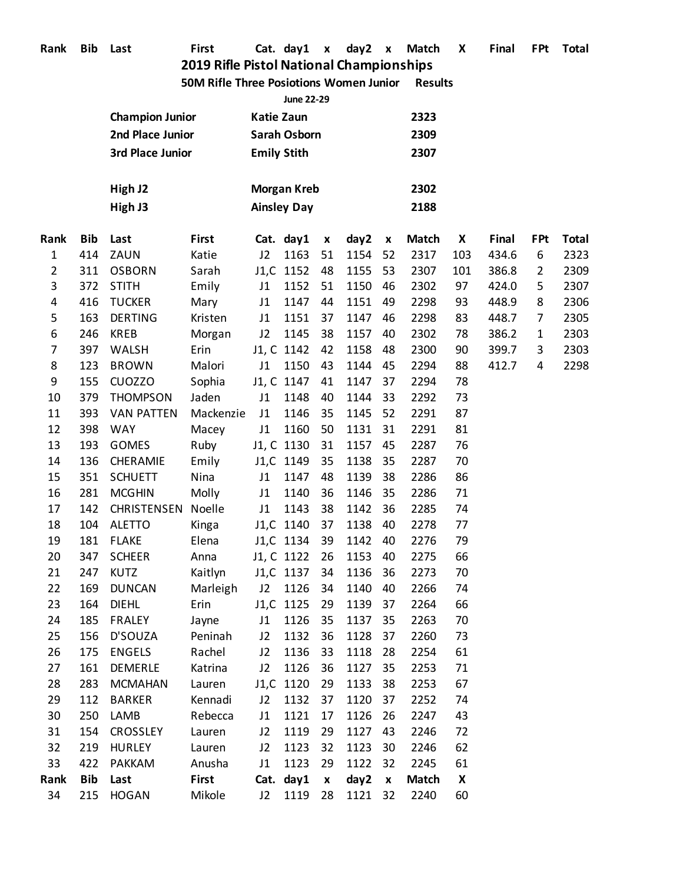| Rank | Bib | Last |
|------|-----|------|
|------|-----|------|

**Rank Bib Last First Cat. day1 x day2 x Match X Final FPt Total**

### **2019 Rifle Pistol National Championships 50M Rifle Three Posiotions Women Junior Results**

|                |            |                        |              |                          | <b>June 22-29</b>                        |                    |         |                    |              |     |       |                |              |
|----------------|------------|------------------------|--------------|--------------------------|------------------------------------------|--------------------|---------|--------------------|--------------|-----|-------|----------------|--------------|
|                |            | <b>Champion Junior</b> |              | <b>Katie Zaun</b>        |                                          |                    |         |                    | 2323         |     |       |                |              |
|                |            | 2nd Place Junior       |              |                          | <b>Sarah Osborn</b>                      |                    |         |                    | 2309         |     |       |                |              |
|                |            | 3rd Place Junior       |              |                          | <b>Emily Stith</b>                       |                    |         |                    | 2307         |     |       |                |              |
|                |            | High J2<br>High J3     |              |                          | <b>Morgan Kreb</b><br><b>Ainsley Day</b> |                    |         |                    | 2302<br>2188 |     |       |                |              |
| Rank           | <b>Bib</b> | Last                   | <b>First</b> |                          | Cat. day1                                | $\pmb{\mathsf{x}}$ | day2    | $\pmb{\mathsf{x}}$ | <b>Match</b> | X   | Final | <b>FPt</b>     | <b>Total</b> |
| $\mathbf{1}$   | 414        | ZAUN                   | Katie        | J2                       | 1163                                     | 51                 | 1154    | 52                 | 2317         | 103 | 434.6 | 6              | 2323         |
| $\overline{2}$ | 311        | <b>OSBORN</b>          | Sarah        |                          | J1,C 1152                                | 48                 | 1155    | 53                 | 2307         | 101 | 386.8 | $\overline{2}$ | 2309         |
| 3              | 372        | <b>STITH</b>           | Emily        | J1                       | 1152                                     | 51                 | 1150    | 46                 | 2302         | 97  | 424.0 | 5              | 2307         |
| 4              | 416        | <b>TUCKER</b>          | Mary         | J1                       | 1147                                     | 44                 | 1151    | 49                 | 2298         | 93  | 448.9 | 8              | 2306         |
| 5              | 163        | <b>DERTING</b>         | Kristen      | J1                       | 1151                                     | 37                 | 1147    | 46                 | 2298         | 83  | 448.7 | 7              | 2305         |
| 6              | 246        | <b>KREB</b>            | Morgan       | J2                       | 1145                                     | 38                 | 1157    | 40                 | 2302         | 78  | 386.2 | 1              | 2303         |
| 7              | 397        | WALSH                  | Erin         |                          | J1, C 1142                               | 42                 | 1158    | 48                 | 2300         | 90  | 399.7 | 3              | 2303         |
| 8              | 123        | <b>BROWN</b>           | Malori       | J1                       | 1150                                     | 43                 | 1144    | 45                 | 2294         | 88  | 412.7 | 4              | 2298         |
| 9              | 155        | <b>CUOZZO</b>          | Sophia       |                          | J1, C 1147                               | 41                 | 1147    | 37                 | 2294         | 78  |       |                |              |
| 10             | 379        | <b>THOMPSON</b>        | Jaden        | J1                       | 1148                                     | 40                 | 1144    | 33                 | 2292         | 73  |       |                |              |
| 11             | 393        | <b>VAN PATTEN</b>      | Mackenzie    | J1                       | 1146                                     | 35                 | 1145    | 52                 | 2291         | 87  |       |                |              |
| 12             | 398        | <b>WAY</b>             | Macey        | J1                       | 1160                                     | 50                 | 1131    | 31                 | 2291         | 81  |       |                |              |
| 13             | 193        | <b>GOMES</b>           | Ruby         |                          | J1, C 1130                               | 31                 | 1157    | 45                 | 2287         | 76  |       |                |              |
| 14             | 136        | CHERAMIE               | Emily        |                          | J1,C 1149                                | 35                 | 1138    | 35                 | 2287         | 70  |       |                |              |
| 15             | 351        | <b>SCHUETT</b>         | Nina         | J1                       | 1147                                     | 48                 | 1139    | 38                 | 2286         | 86  |       |                |              |
| 16             | 281        | <b>MCGHIN</b>          | Molly        | J1                       | 1140                                     | 36                 | 1146    | 35                 | 2286         | 71  |       |                |              |
| 17             | 142        | <b>CHRISTENSEN</b>     | Noelle       | J1                       | 1143                                     | 38                 | 1142    | 36                 | 2285         | 74  |       |                |              |
| 18             | 104        | <b>ALETTO</b>          | Kinga        |                          | J1,C 1140                                | 37                 | 1138    | 40                 | 2278         | 77  |       |                |              |
| 19             | 181        | <b>FLAKE</b>           | Elena        |                          | J1,C 1134                                | 39                 | 1142    | 40                 | 2276         | 79  |       |                |              |
| 20             | 347        | <b>SCHEER</b>          | Anna         |                          | J1, C 1122                               | 26                 | 1153    | 40                 | 2275         | 66  |       |                |              |
| 21             | 247        | <b>KUTZ</b>            | Kaitlyn      |                          | J1,C 1137                                | 34                 | 1136    | 36                 | 2273         | 70  |       |                |              |
| 22             | 169        | <b>DUNCAN</b>          | Marleigh     | J2                       | 1126                                     | 34                 | 1140    | 40                 | 2266         | 74  |       |                |              |
| 23             | 164        | <b>DIEHL</b>           | Erin         |                          | J1,C 1125                                | 29                 | 1139    | 37                 | 2264         | 66  |       |                |              |
| 24             | 185        | FRALEY                 | Jayne        | J1                       | 1126                                     | 35                 | 1137    | 35                 | 2263         | 70  |       |                |              |
| 25             | 156        | D'SOUZA                | Peninah      | J2                       | 1132                                     | 36                 | 1128    | 37                 | 2260         | 73  |       |                |              |
| 26             | 175        | <b>ENGELS</b>          | Rachel       | J2                       | 1136                                     | 33                 | 1118    | 28                 | 2254         | 61  |       |                |              |
| 27             | 161        | <b>DEMERLE</b>         | Katrina      | J2                       | 1126                                     | 36                 | 1127    | 35                 | 2253         | 71  |       |                |              |
| 28             | 283        | <b>MCMAHAN</b>         | Lauren       |                          | J1,C 1120                                | 29                 | 1133    | 38                 | 2253         | 67  |       |                |              |
| 29             | 112        | <b>BARKER</b>          | Kennadi      | J2                       | 1132                                     | 37                 | 1120    | 37                 | 2252         | 74  |       |                |              |
| 30             | 250        | LAMB                   | Rebecca      | J1                       | 1121                                     | 17                 | 1126    | 26                 | 2247         | 43  |       |                |              |
| 31             | 154        | <b>CROSSLEY</b>        | Lauren       | J2                       | 1119                                     | 29                 | 1127    | 43                 | 2246         | 72  |       |                |              |
| 32             | 219        | <b>HURLEY</b>          | Lauren       | J2                       | 1123                                     | 32                 | 1123    | 30                 | 2246         | 62  |       |                |              |
| 33             | 422        | <b>PAKKAM</b>          | Anusha       | 1123<br>1122<br>J1<br>29 |                                          |                    |         | 32                 | 2245         | 61  |       |                |              |
| Rank           | Bib        | Last                   | <b>First</b> |                          | Cat. day1                                | $\pmb{\chi}$       | day2    | $\mathbf{x}$       | <b>Match</b> | X   |       |                |              |
| 34             | 215        | <b>HOGAN</b>           | Mikole       | J2                       | 1119                                     | 28                 | 1121 32 |                    | 2240         | 60  |       |                |              |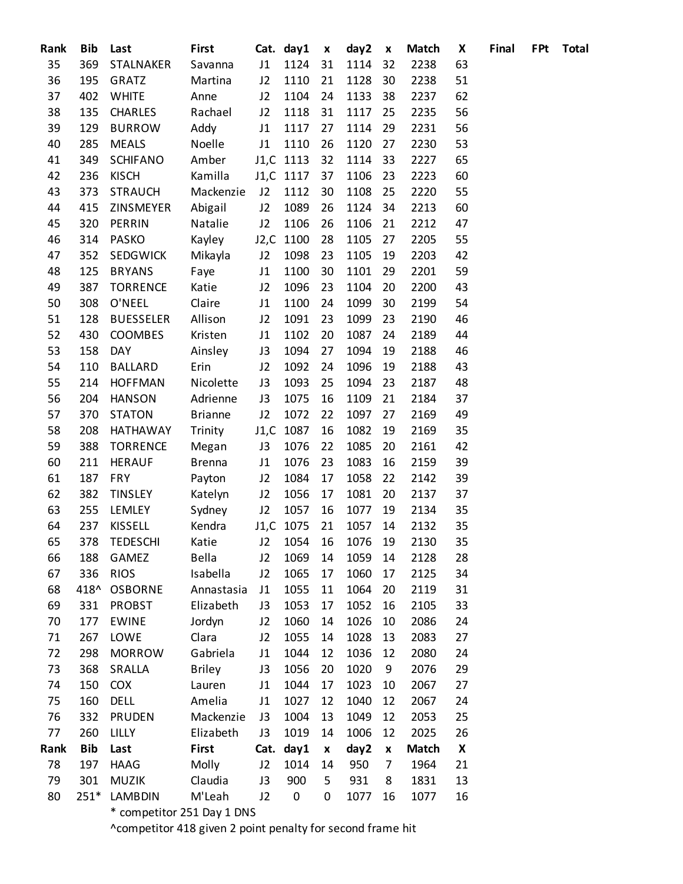| Rank | <b>Bib</b> | Last                                         | <b>First</b>   |      | Cat. day1 | $\pmb{\mathsf{x}}$ | day2               | $\pmb{\mathsf{x}}$ | <b>Match</b> | X  | Final | <b>FPt</b> | <b>Total</b> |
|------|------------|----------------------------------------------|----------------|------|-----------|--------------------|--------------------|--------------------|--------------|----|-------|------------|--------------|
| 35   | 369        | STALNAKER                                    | Savanna        | J1   | 1124      | 31                 | 1114               | 32                 | 2238         | 63 |       |            |              |
| 36   | 195        | GRATZ                                        | Martina        | J2   | 1110      | 21                 | 1128               | 30                 | 2238         | 51 |       |            |              |
| 37   | 402        | <b>WHITE</b>                                 | Anne           | J2   | 1104      | 24                 | 1133               | 38                 | 2237         | 62 |       |            |              |
| 38   | 135        | <b>CHARLES</b>                               | Rachael        | J2   | 1118      | 31                 | 1117               | 25                 | 2235         | 56 |       |            |              |
| 39   | 129        | <b>BURROW</b>                                | Addy           | J1   | 1117      | 27                 | 1114               | 29                 | 2231         | 56 |       |            |              |
| 40   | 285        | <b>MEALS</b>                                 | Noelle         | J1   | 1110      | 26                 | 1120               | 27                 | 2230         | 53 |       |            |              |
| 41   | 349        | <b>SCHIFANO</b>                              | Amber          |      | J1,C 1113 | 32                 | 1114               | 33                 | 2227         | 65 |       |            |              |
| 42   | 236        | <b>KISCH</b>                                 | Kamilla        |      | J1,C 1117 | 37                 | 1106               | 23                 | 2223         | 60 |       |            |              |
| 43   | 373        | <b>STRAUCH</b>                               | Mackenzie      | J2   | 1112      | 30                 | 1108               | 25                 | 2220         | 55 |       |            |              |
| 44   | 415        | ZINSMEYER                                    | Abigail        | J2   | 1089      | 26                 | 1124               | 34                 | 2213         | 60 |       |            |              |
| 45   | 320        | PERRIN                                       | Natalie        | J2   | 1106      | 26                 | 1106               | 21                 | 2212         | 47 |       |            |              |
| 46   | 314        | <b>PASKO</b>                                 | Kayley         |      | J2,C 1100 | 28                 | 1105               | 27                 | 2205         | 55 |       |            |              |
| 47   | 352        | <b>SEDGWICK</b>                              | Mikayla        | J2   | 1098      | 23                 | 1105               | 19                 | 2203         | 42 |       |            |              |
| 48   | 125        | <b>BRYANS</b>                                | Faye           | J1   | 1100      | 30                 | 1101               | 29                 | 2201         | 59 |       |            |              |
| 49   | 387        | <b>TORRENCE</b>                              | Katie          | J2   | 1096      | 23                 | 1104               | 20                 | 2200         | 43 |       |            |              |
| 50   | 308        | O'NEEL                                       | Claire         | J1   | 1100      | 24                 | 1099               | 30                 | 2199         | 54 |       |            |              |
| 51   | 128        | <b>BUESSELER</b>                             | Allison        | J2   | 1091      | 23                 | 1099               | 23                 | 2190         | 46 |       |            |              |
| 52   | 430        | COOMBES                                      | Kristen        | J1   | 1102      | 20                 | 1087               | 24                 | 2189         | 44 |       |            |              |
| 53   | 158        | DAY                                          | Ainsley        | J3   | 1094      | 27                 | 1094               | 19                 | 2188         | 46 |       |            |              |
| 54   | 110        | <b>BALLARD</b>                               | Erin           | J2   | 1092      | 24                 | 1096               | 19                 | 2188         | 43 |       |            |              |
| 55   | 214        | <b>HOFFMAN</b>                               | Nicolette      | J3   | 1093      | 25                 | 1094               | 23                 | 2187         | 48 |       |            |              |
| 56   | 204        | <b>HANSON</b>                                | Adrienne       | J3   | 1075      | 16                 | 1109               | 21                 | 2184         | 37 |       |            |              |
| 57   | 370        | <b>STATON</b>                                | <b>Brianne</b> | J2   | 1072      | 22                 | 1097               | 27                 | 2169         | 49 |       |            |              |
| 58   | 208        | HATHAWAY                                     | Trinity        |      | J1,C 1087 | 16                 | 1082               | 19                 | 2169         | 35 |       |            |              |
| 59   | 388        | <b>TORRENCE</b>                              | Megan          | J3   | 1076      | 22                 | 1085               | 20                 | 2161         | 42 |       |            |              |
| 60   | 211        | <b>HERAUF</b>                                | <b>Brenna</b>  | J1   | 1076      | 23                 | 1083               | 16                 | 2159         | 39 |       |            |              |
| 61   | 187        | <b>FRY</b>                                   | Payton         | J2   | 1084      | 17                 | 1058               | 22                 | 2142         | 39 |       |            |              |
| 62   | 382        | <b>TINSLEY</b>                               | Katelyn        | J2   | 1056      | 17                 | 1081               | 20                 | 2137         | 37 |       |            |              |
| 63   | 255        | LEMLEY                                       | Sydney         | J2   | 1057      | 16                 | 1077               | 19                 | 2134         | 35 |       |            |              |
| 64   | 237        | KISSELL                                      | Kendra         |      | J1,C 1075 | 21                 | 1057               | 14                 | 2132         | 35 |       |            |              |
| 65   | 378        | <b>TEDESCHI</b>                              | Katie          |      |           |                    | J2 1054 16 1076 19 |                    | 2130         | 35 |       |            |              |
| 66   | 188        | GAMEZ                                        | Bella          | J2   | 1069      | 14                 | 1059               | 14                 | 2128         | 28 |       |            |              |
| 67   | 336        | <b>RIOS</b>                                  | Isabella       | J2   | 1065      | 17                 | 1060               | 17                 | 2125         | 34 |       |            |              |
| 68   | 418^       | <b>OSBORNE</b>                               | Annastasia     | J1   | 1055      | 11                 | 1064               | 20                 | 2119         | 31 |       |            |              |
| 69   | 331        | <b>PROBST</b>                                | Elizabeth      | J3   | 1053      | 17                 | 1052               | 16                 | 2105         | 33 |       |            |              |
| 70   | 177        | <b>EWINE</b>                                 | Jordyn         | J2   | 1060      | 14                 | 1026               | 10                 | 2086         | 24 |       |            |              |
| 71   | 267        | LOWE                                         | Clara          | J2   | 1055      | 14                 | 1028               | 13                 | 2083         | 27 |       |            |              |
| 72   | 298        | <b>MORROW</b>                                | Gabriela       | J1   | 1044      | 12                 | 1036               | 12                 | 2080         | 24 |       |            |              |
| 73   | 368        | SRALLA                                       | <b>Briley</b>  | J3   | 1056      | 20                 | 1020               | 9                  | 2076         | 29 |       |            |              |
| 74   | 150        | <b>COX</b>                                   | Lauren         | J1   | 1044      | 17                 | 1023               | 10                 | 2067         | 27 |       |            |              |
| 75   | 160        | <b>DELL</b>                                  | Amelia         | J1   | 1027      | 12                 | 1040               | 12                 | 2067         | 24 |       |            |              |
| 76   | 332        | PRUDEN                                       | Mackenzie      | J3   | 1004      | 13                 | 1049               | 12                 | 2053         | 25 |       |            |              |
| 77   | 260        | LILLY                                        | Elizabeth      | J3   | 1019      | 14                 | 1006               | 12                 | 2025         | 26 |       |            |              |
| Rank | <b>Bib</b> | Last                                         | <b>First</b>   | Cat. | day1      | $\pmb{\chi}$       | day2               | $\pmb{\mathsf{x}}$ | <b>Match</b> | X  |       |            |              |
| 78   | 197        | <b>HAAG</b>                                  | Molly          | J2   | 1014      | 14                 | 950                | 7                  | 1964         | 21 |       |            |              |
| 79   | 301        | <b>MUZIK</b>                                 | Claudia        | J3   | 900       | 5                  | 931                | 8                  | 1831         | 13 |       |            |              |
| 80   | $251*$     | <b>LAMBDIN</b><br>* compotitor 251 Day 1 DNC | M'Leah         | J2   | $\pmb{0}$ | 0                  | 1077               | 16                 | 1077         | 16 |       |            |              |
|      |            |                                              |                |      |           |                    |                    |                    |              |    |       |            |              |

competitor 251 Day 1 DNS

^competitor 418 given 2 point penalty for second frame hit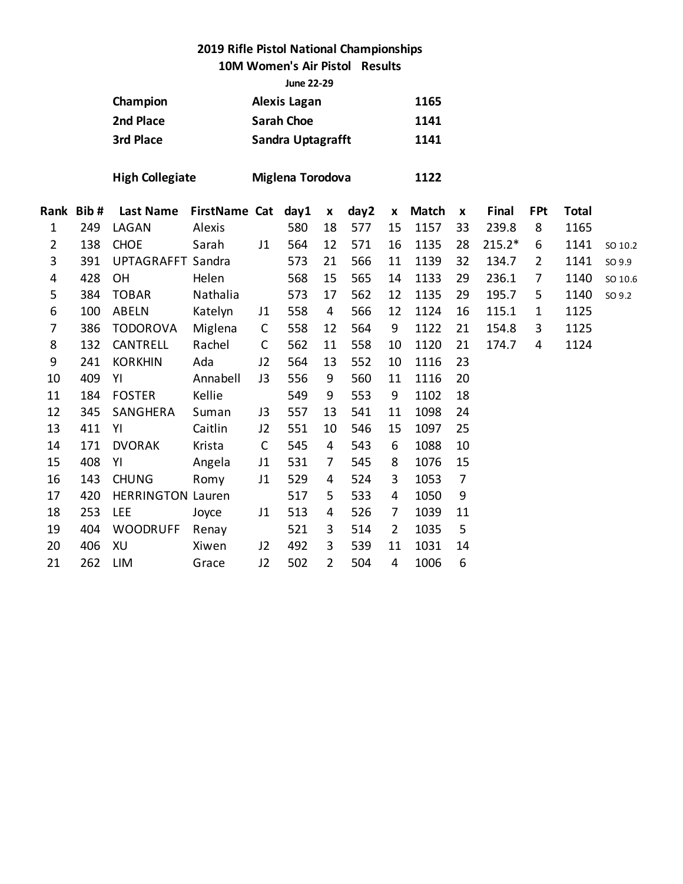### **10M Women's Air Pistol Results**

**June 22-29**

|                |      | Champion                 |                      | <b>Alexis Lagan</b><br>1165 |                   |                    |      |                    |              |                    |          |                |              |         |
|----------------|------|--------------------------|----------------------|-----------------------------|-------------------|--------------------|------|--------------------|--------------|--------------------|----------|----------------|--------------|---------|
|                |      | 2nd Place                |                      |                             | <b>Sarah Choe</b> |                    |      |                    | 1141         |                    |          |                |              |         |
|                |      | 3rd Place                |                      |                             | Sandra Uptagrafft |                    |      |                    | 1141         |                    |          |                |              |         |
|                |      | <b>High Collegiate</b>   |                      |                             | Miglena Torodova  |                    |      |                    | 1122         |                    |          |                |              |         |
| Rank           | Bib# | <b>Last Name</b>         | <b>FirstName Cat</b> |                             | day1              | $\pmb{\mathsf{x}}$ | day2 | $\pmb{\mathsf{x}}$ | <b>Match</b> | $\pmb{\mathsf{x}}$ | Final    | <b>FPt</b>     | <b>Total</b> |         |
| $\mathbf{1}$   | 249  | LAGAN                    | Alexis               |                             | 580               | 18                 | 577  | 15                 | 1157         | 33                 | 239.8    | 8              | 1165         |         |
| $\overline{2}$ | 138  | <b>CHOE</b>              | Sarah                | J1                          | 564               | 12                 | 571  | 16                 | 1135         | 28                 | $215.2*$ | 6              | 1141         | SO 10.2 |
| 3              | 391  | <b>UPTAGRAFFT Sandra</b> |                      |                             | 573               | 21                 | 566  | 11                 | 1139         | 32                 | 134.7    | $\overline{2}$ | 1141         | SO 9.9  |
| 4              | 428  | OH                       | Helen                |                             | 568               | 15                 | 565  | 14                 | 1133         | 29                 | 236.1    | 7              | 1140         | SO 10.6 |
| 5              | 384  | <b>TOBAR</b>             | Nathalia             |                             | 573               | 17                 | 562  | 12                 | 1135         | 29                 | 195.7    | 5              | 1140         | SO 9.2  |
| 6              | 100  | ABELN                    | Katelyn              | J <sub>1</sub>              | 558               | 4                  | 566  | 12                 | 1124         | 16                 | 115.1    | $\mathbf{1}$   | 1125         |         |
| 7              | 386  | <b>TODOROVA</b>          | Miglena              | $\mathsf{C}$                | 558               | 12                 | 564  | 9                  | 1122         | 21                 | 154.8    | 3              | 1125         |         |
| 8              | 132  | CANTRELL                 | Rachel               | $\mathsf{C}$                | 562               | 11                 | 558  | 10                 | 1120         | 21                 | 174.7    | 4              | 1124         |         |
| 9              | 241  | <b>KORKHIN</b>           | Ada                  | J2                          | 564               | 13                 | 552  | 10                 | 1116         | 23                 |          |                |              |         |
| 10             | 409  | YI                       | Annabell             | J3                          | 556               | 9                  | 560  | 11                 | 1116         | 20                 |          |                |              |         |
| 11             | 184  | <b>FOSTER</b>            | Kellie               |                             | 549               | 9                  | 553  | 9                  | 1102         | 18                 |          |                |              |         |
| 12             | 345  | SANGHERA                 | Suman                | J3                          | 557               | 13                 | 541  | 11                 | 1098         | 24                 |          |                |              |         |
| 13             | 411  | YI                       | Caitlin              | J2                          | 551               | 10                 | 546  | 15                 | 1097         | 25                 |          |                |              |         |
| 14             | 171  | <b>DVORAK</b>            | Krista               | $\mathsf{C}$                | 545               | 4                  | 543  | 6                  | 1088         | 10                 |          |                |              |         |
| 15             | 408  | YI                       | Angela               | J1                          | 531               | $\overline{7}$     | 545  | 8                  | 1076         | 15                 |          |                |              |         |
| 16             | 143  | <b>CHUNG</b>             | Romy                 | J1                          | 529               | 4                  | 524  | 3                  | 1053         | $\overline{7}$     |          |                |              |         |
| 17             | 420  | <b>HERRINGTON Lauren</b> |                      |                             | 517               | 5                  | 533  | 4                  | 1050         | 9                  |          |                |              |         |
| 18             | 253  | <b>LEE</b>               | Joyce                | J1                          | 513               | 4                  | 526  | $\overline{7}$     | 1039         | 11                 |          |                |              |         |
| 19             | 404  | <b>WOODRUFF</b>          | Renay                |                             | 521               | 3                  | 514  | $\overline{2}$     | 1035         | 5                  |          |                |              |         |
| 20             | 406  | XU                       | Xiwen                | J2                          | 492               | 3                  | 539  | 11                 | 1031         | 14                 |          |                |              |         |
| 21             | 262  | <b>LIM</b>               | Grace                | J2                          | 502               | $\overline{2}$     | 504  | $\overline{4}$     | 1006         | 6                  |          |                |              |         |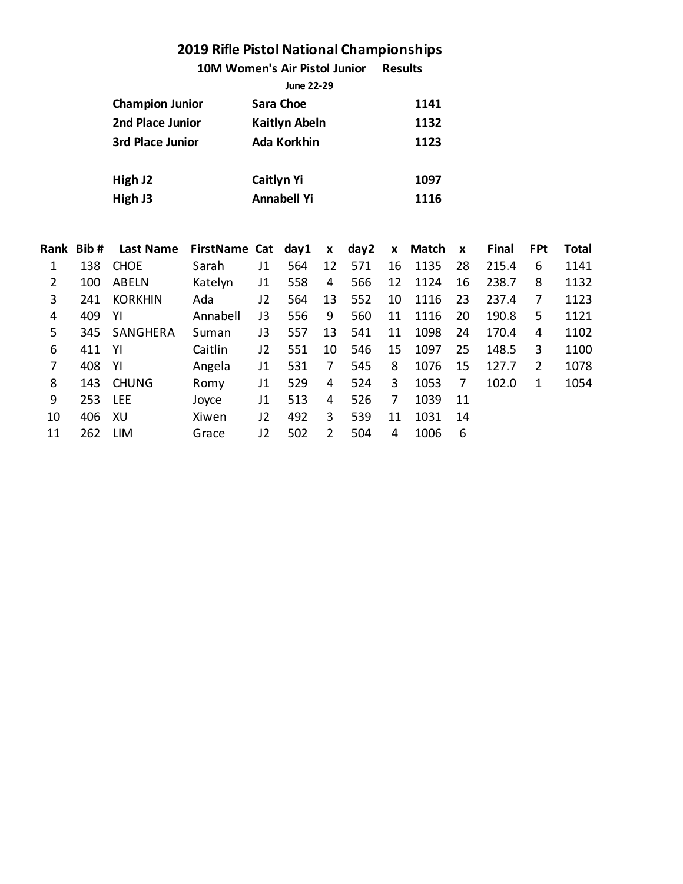**10M Women's Air Pistol Junior Results**

|                        | June 22-29           |      |
|------------------------|----------------------|------|
| <b>Champion Junior</b> | Sara Choe            | 1141 |
| 2nd Place Junior       | <b>Kaitlyn Abeln</b> | 1132 |
| 3rd Place Junior       | Ada Korkhin          | 1123 |
| High J2                | <b>Caitlyn Yi</b>    | 1097 |
| High J3                | <b>Annabell Yi</b>   | 1116 |
|                        |                      |      |

|                | Rank Bib# | <b>Last Name</b> | FirstName Cat day1 |    |     | $\mathbf{x}$  | day2 |    | x Match | $\mathbf{x}$ | Final | <b>FPt</b>     | <b>Total</b> |
|----------------|-----------|------------------|--------------------|----|-----|---------------|------|----|---------|--------------|-------|----------------|--------------|
|                | 138       | <b>CHOE</b>      | Sarah              | J1 | 564 | 12            | 571  | 16 | 1135    | 28           | 215.4 | 6              | 1141         |
| $\overline{2}$ | 100       | <b>ABELN</b>     | Katelyn            | J1 | 558 | 4             | 566  | 12 | 1124    | 16           | 238.7 | 8              | 1132         |
| 3              | 241       | <b>KORKHIN</b>   | Ada                | J2 | 564 | 13            | 552  | 10 | 1116    | 23           | 237.4 | 7              | 1123         |
| 4              | 409       | -YI              | Annabell           | J3 | 556 | 9             | 560  | 11 | 1116    | 20           | 190.8 | 5              | 1121         |
| 5              | 345       | SANGHERA         | Suman              | JЗ | 557 | 13            | 541  | 11 | 1098    | 24           | 170.4 | 4              | 1102         |
| 6              | 411       | -YI              | Caitlin            | J2 | 551 | 10            | 546  | 15 | 1097    | 25           | 148.5 | 3              | 1100         |
| 7              | 408       | -YI              | Angela             | J1 | 531 | 7             | 545  | 8  | 1076    | 15           | 127.7 | $\overline{2}$ | 1078         |
| 8              | 143       | <b>CHUNG</b>     | Romy               | J1 | 529 | 4             | 524  | 3  | 1053    | 7            | 102.0 | 1              | 1054         |
| 9              | 253       | <b>LEE</b>       | Joyce              | J1 | 513 | 4             | 526  | 7  | 1039    | -11          |       |                |              |
| 10             | 406       | XU               | Xiwen              | J2 | 492 | 3             | 539  | 11 | 1031    | 14           |       |                |              |
| 11             | 262       | <b>LIM</b>       | Grace              | J2 | 502 | $\mathcal{P}$ | 504  | 4  | 1006    | 6            |       |                |              |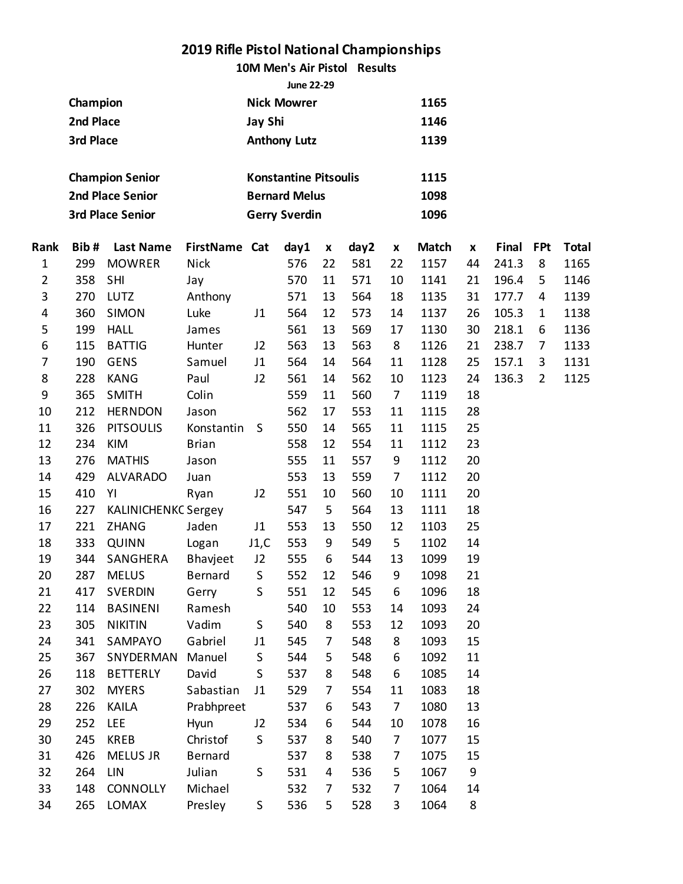**10M Men's Air Pistol Results**

|                |           |                            |               |                | <b>June 22-29</b>            |                    |      |                |              |    |       |                |              |
|----------------|-----------|----------------------------|---------------|----------------|------------------------------|--------------------|------|----------------|--------------|----|-------|----------------|--------------|
|                | Champion  |                            |               |                | <b>Nick Mowrer</b>           |                    |      |                | 1165         |    |       |                |              |
|                | 2nd Place |                            |               | <b>Jay Shi</b> |                              |                    |      |                | 1146         |    |       |                |              |
|                | 3rd Place |                            |               |                | <b>Anthony Lutz</b>          |                    |      |                | 1139         |    |       |                |              |
|                |           |                            |               |                |                              |                    |      |                |              |    |       |                |              |
|                |           | <b>Champion Senior</b>     |               |                | <b>Konstantine Pitsoulis</b> |                    |      |                | 1115         |    |       |                |              |
|                |           | <b>2nd Place Senior</b>    |               |                | <b>Bernard Melus</b>         |                    |      |                | 1098         |    |       |                |              |
|                |           | <b>3rd Place Senior</b>    |               |                | <b>Gerry Sverdin</b>         |                    |      |                | 1096         |    |       |                |              |
| Rank           | Bib#      | <b>Last Name</b>           | FirstName Cat |                | day1                         | $\pmb{\mathsf{x}}$ | day2 | X              | <b>Match</b> | X  | Final | <b>FPt</b>     | <b>Total</b> |
| $\mathbf{1}$   | 299       | <b>MOWRER</b>              | <b>Nick</b>   |                | 576                          | 22                 | 581  | 22             | 1157         | 44 | 241.3 | 8              | 1165         |
| $\overline{2}$ | 358       | SHI                        | Jay           |                | 570                          | 11                 | 571  | 10             | 1141         | 21 | 196.4 | 5              | 1146         |
| 3              | 270       | LUTZ                       | Anthony       |                | 571                          | 13                 | 564  | 18             | 1135         | 31 | 177.7 | 4              | 1139         |
| 4              | 360       | <b>SIMON</b>               | Luke          | J1             | 564                          | 12                 | 573  | 14             | 1137         | 26 | 105.3 | 1              | 1138         |
| 5              | 199       | <b>HALL</b>                | James         |                | 561                          | 13                 | 569  | 17             | 1130         | 30 | 218.1 | 6              | 1136         |
| 6              | 115       | <b>BATTIG</b>              | Hunter        | J2             | 563                          | 13                 | 563  | 8              | 1126         | 21 | 238.7 | $\overline{7}$ | 1133         |
| $\overline{7}$ | 190       | <b>GENS</b>                | Samuel        | J1             | 564                          | 14                 | 564  | 11             | 1128         | 25 | 157.1 | 3              | 1131         |
| 8              | 228       | <b>KANG</b>                | Paul          | J2             | 561                          | 14                 | 562  | 10             | 1123         | 24 | 136.3 | $\overline{2}$ | 1125         |
| 9              | 365       | <b>SMITH</b>               | Colin         |                | 559                          | 11                 | 560  | $\overline{7}$ | 1119         | 18 |       |                |              |
| 10             | 212       | <b>HERNDON</b>             |               | 562            | 17                           | 553                | 11   | 1115           | 28           |    |       |                |              |
| 11             | 326       | <b>PITSOULIS</b>           | Konstantin    | S              | 550                          | 14                 | 565  | 11             | 1115         | 25 |       |                |              |
| 12             | 234       | KIM                        | <b>Brian</b>  |                | 558                          | 12                 | 554  | 11             | 1112         | 23 |       |                |              |
| 13             | 276       | <b>MATHIS</b>              | Jason         |                | 555                          | 11                 | 557  | 9              | 1112         | 20 |       |                |              |
| 14             | 429       | <b>ALVARADO</b>            | Juan          |                | 553                          | 13                 | 559  | $\overline{7}$ | 1112         | 20 |       |                |              |
| 15             | 410       | YI                         | Ryan          | J2             | 551                          | 10                 | 560  | 10             | 1111         | 20 |       |                |              |
| 16             | 227       | <b>KALINICHENKC Sergey</b> |               |                | 547                          | 5                  | 564  | 13             | 1111         | 18 |       |                |              |
| 17             | 221       | <b>ZHANG</b>               | Jaden         | J1             | 553                          | 13                 | 550  | 12             | 1103         | 25 |       |                |              |
| 18             | 333       | <b>QUINN</b>               | Logan         | J1,C           | 553                          | 9                  | 549  | 5              | 1102         | 14 |       |                |              |
| 19             | 344       | SANGHERA                   | Bhavjeet      | J2             | 555                          | 6                  | 544  | 13             | 1099         | 19 |       |                |              |
| 20             | 287       | <b>MELUS</b>               | Bernard S     |                | 552                          | 12                 | 546  | 9              | 1098         | 21 |       |                |              |
| 21             | 417       | <b>SVERDIN</b>             | Gerry         | S              | 551                          | 12                 | 545  | 6              | 1096         | 18 |       |                |              |
| 22             | 114       | <b>BASINENI</b>            | Ramesh        |                | 540                          | 10                 | 553  | 14             | 1093         | 24 |       |                |              |
| 23             | 305       | <b>NIKITIN</b>             | Vadim         | $\sf S$        | 540                          | 8                  | 553  | 12             | 1093         | 20 |       |                |              |
| 24             | 341       | SAMPAYO                    | Gabriel       | J1             | 545                          | $\overline{7}$     | 548  | 8              | 1093         | 15 |       |                |              |
| 25             | 367       | SNYDERMAN                  | Manuel        | $\sf S$        | 544                          | 5                  | 548  | 6              | 1092         | 11 |       |                |              |
| 26             | 118       | <b>BETTERLY</b>            | David         | S              | 537                          | 8                  | 548  | 6              | 1085         | 14 |       |                |              |
| 27             | 302       | <b>MYERS</b>               | Sabastian     | J1             | 529                          | 7                  | 554  | 11             | 1083         | 18 |       |                |              |
| 28             | 226       | <b>KAILA</b>               | Prabhpreet    |                | 537                          | 6                  | 543  | $\overline{7}$ | 1080         | 13 |       |                |              |
| 29             | 252       | <b>LEE</b>                 | Hyun          | J2             | 534                          | 6                  | 544  | 10             | 1078         | 16 |       |                |              |
| 30             | 245       | <b>KREB</b>                | Christof      | S              | 537                          | 8                  | 540  | 7              | 1077         | 15 |       |                |              |
| 31             | 426       | MELUS JR                   | Bernard       |                | 537                          | 8                  | 538  | 7              | 1075         | 15 |       |                |              |
| 32             | 264       | LIN                        | Julian        | S              | 531                          | 4                  | 536  | 5              | 1067         | 9  |       |                |              |
| 33             | 148       | <b>CONNOLLY</b>            | Michael       |                | 532                          | $\overline{7}$     | 532  | 7              | 1064         | 14 |       |                |              |
| 34             | 265       | LOMAX                      | Presley       | $\sf S$        | 536                          | 5                  | 528  | 3              | 1064         | 8  |       |                |              |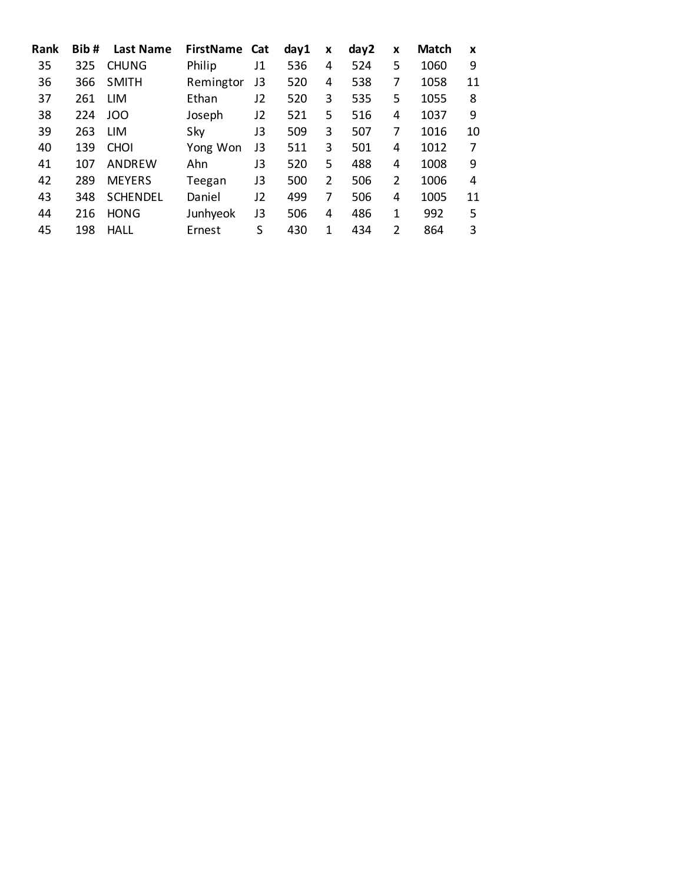| Bib# | <b>Last Name</b> |           |    | day1                 | X | day2 | X              | <b>Match</b> | X  |
|------|------------------|-----------|----|----------------------|---|------|----------------|--------------|----|
| 325  | <b>CHUNG</b>     | Philip    | J1 | 536                  | 4 | 524  | 5              | 1060         | 9  |
| 366  | <b>SMITH</b>     | Remingtor | J3 | 520                  | 4 | 538  | 7              | 1058         | 11 |
| 261  | LIM              | Ethan     | J2 | 520                  | 3 | 535  | 5              | 1055         | 8  |
| 224  | JOO              | Joseph    | J2 | 521                  | 5 | 516  | 4              | 1037         | 9  |
| 263  | <b>LIM</b>       | Sky       | J3 | 509                  | 3 | 507  | 7              | 1016         | 10 |
| 139  | <b>CHOI</b>      | Yong Won  | J3 | 511                  | 3 | 501  | 4              | 1012         | 7  |
| 107  | ANDREW           | Ahn       | JЗ | 520                  | 5 | 488  | 4              | 1008         | 9  |
| 289  | <b>MEYERS</b>    | Teegan    | J3 | 500                  | 2 | 506  | $\overline{2}$ | 1006         | 4  |
| 348  | <b>SCHENDEL</b>  | Daniel    | J2 | 499                  | 7 | 506  | 4              | 1005         | 11 |
| 216  | <b>HONG</b>      | Junhyeok  | J3 | 506                  | 4 | 486  | 1              | 992          | 5  |
| 198  | HALL             | Ernest    | S  | 430                  | 1 | 434  | $\overline{2}$ | 864          | 3  |
|      |                  |           |    | <b>FirstName Cat</b> |   |      |                |              |    |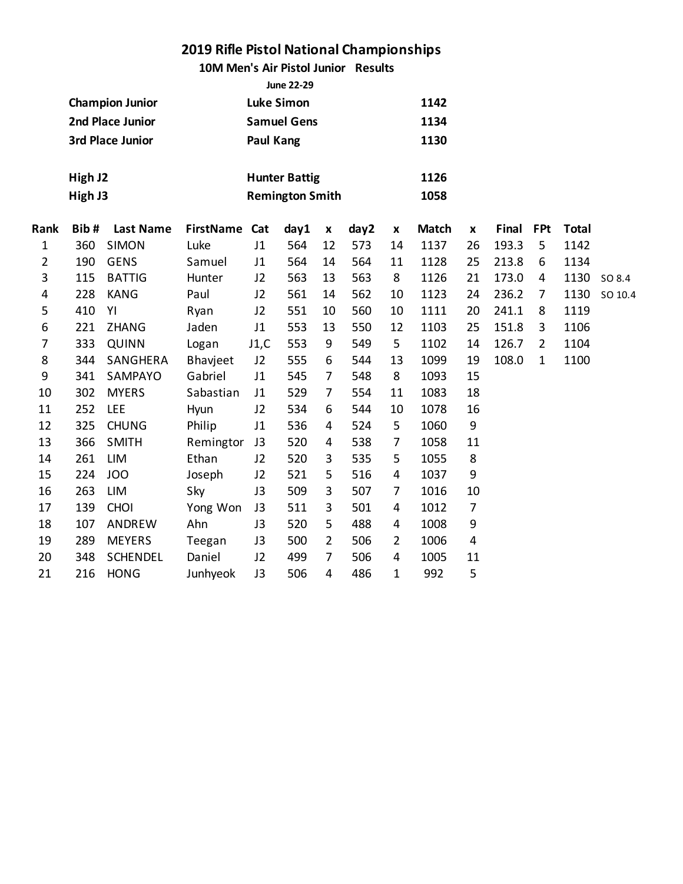**10M Men's Air Pistol Junior Results**

|      | <b>June 22-29</b> |                        |                  |                  |                        |                    |      |                    |              |                    |       |                |              |         |
|------|-------------------|------------------------|------------------|------------------|------------------------|--------------------|------|--------------------|--------------|--------------------|-------|----------------|--------------|---------|
|      |                   | <b>Champion Junior</b> |                  |                  | <b>Luke Simon</b>      |                    |      |                    | 1142         |                    |       |                |              |         |
|      |                   | 2nd Place Junior       |                  |                  | <b>Samuel Gens</b>     |                    |      |                    | 1134         |                    |       |                |              |         |
|      |                   | 3rd Place Junior       |                  | <b>Paul Kang</b> |                        |                    |      |                    | 1130         |                    |       |                |              |         |
|      |                   |                        |                  |                  |                        |                    |      |                    |              |                    |       |                |              |         |
|      | High J2           |                        |                  |                  | <b>Hunter Battig</b>   |                    |      |                    | 1126         |                    |       |                |              |         |
|      | High J3           |                        |                  |                  | <b>Remington Smith</b> |                    |      |                    | 1058         |                    |       |                |              |         |
|      |                   |                        |                  |                  |                        |                    |      |                    |              |                    |       |                |              |         |
| Rank | Bib#              | <b>Last Name</b>       | <b>FirstName</b> | Cat              | day1                   | $\pmb{\mathsf{x}}$ | day2 | $\pmb{\mathsf{x}}$ | <b>Match</b> | $\pmb{\mathsf{x}}$ | Final | <b>FPt</b>     | <b>Total</b> |         |
| 1    | 360               | <b>SIMON</b>           | Luke             | J1               | 564                    | 12                 | 573  | 14                 | 1137         | 26                 | 193.3 | 5              | 1142         |         |
| 2    | 190               | <b>GENS</b>            | Samuel           | J1               | 564                    | 14                 | 564  | 11                 | 1128         | 25                 | 213.8 | 6              | 1134         |         |
| 3    | 115               | <b>BATTIG</b>          | Hunter           | J2               | 563                    | 13                 | 563  | 8                  | 1126         | 21                 | 173.0 | 4              | 1130         | SO 8.4  |
| 4    | 228               | <b>KANG</b>            | Paul             | J2               | 561                    | 14                 | 562  | 10                 | 1123         | 24                 | 236.2 | $\overline{7}$ | 1130         | SO 10.4 |
| 5    | 410               | YI                     | Ryan             | J2               | 551                    | 10                 | 560  | 10                 | 1111         | 20                 | 241.1 | 8              | 1119         |         |
| 6    | 221               | ZHANG                  | Jaden            | J1               | 553                    | 13                 | 550  | 12                 | 1103         | 25                 | 151.8 | 3              | 1106         |         |
| 7    | 333               | <b>QUINN</b>           | Logan            | J1,C             | 553                    | 9                  | 549  | 5                  | 1102         | 14                 | 126.7 | $\overline{2}$ | 1104         |         |
| 8    | 344               | SANGHERA               | Bhavjeet         | J2               | 555                    | 6                  | 544  | 13                 | 1099         | 19                 | 108.0 | $\mathbf{1}$   | 1100         |         |
| 9    | 341               | SAMPAYO                | Gabriel          | J1               | 545                    | $\overline{7}$     | 548  | 8                  | 1093         | 15                 |       |                |              |         |
| 10   | 302               | <b>MYERS</b>           | Sabastian        | J1               | 529                    | $\overline{7}$     | 554  | 11                 | 1083         | 18                 |       |                |              |         |
| 11   | 252               | <b>LEE</b>             | Hyun             | J2               | 534                    | 6                  | 544  | 10                 | 1078         | 16                 |       |                |              |         |
| 12   | 325               | <b>CHUNG</b>           | Philip           | J1               | 536                    | 4                  | 524  | 5                  | 1060         | $\boldsymbol{9}$   |       |                |              |         |
| 13   | 366               | <b>SMITH</b>           | Remingtor        | J3               | 520                    | 4                  | 538  | $\overline{7}$     | 1058         | 11                 |       |                |              |         |
| 14   | 261               | LIM                    | Ethan            | J2               | 520                    | 3                  | 535  | 5                  | 1055         | 8                  |       |                |              |         |
| 15   | 224               | <b>JOO</b>             | Joseph           | J2               | 521                    | 5                  | 516  | 4                  | 1037         | 9                  |       |                |              |         |
| 16   | 263               | <b>LIM</b>             | Sky              | J3               | 509                    | 3                  | 507  | $\overline{7}$     | 1016         | 10                 |       |                |              |         |
| 17   | 139               | <b>CHOI</b>            | Yong Won         | J3               | 511                    | 3                  | 501  | 4                  | 1012         | $\overline{7}$     |       |                |              |         |
| 18   | 107               | ANDREW                 | Ahn              | J3               | 520                    | 5                  | 488  | 4                  | 1008         | 9                  |       |                |              |         |
| 19   | 289               | <b>MEYERS</b>          | Teegan           | J3               | 500                    | $\overline{2}$     | 506  | $\overline{2}$     | 1006         | 4                  |       |                |              |         |
| 20   | 348               | <b>SCHENDEL</b>        | Daniel           | J2               | 499                    | $\overline{7}$     | 506  | 4                  | 1005         | 11                 |       |                |              |         |
| 21   | 216               | <b>HONG</b>            | Junhyeok         | J3               | 506                    | $\overline{4}$     | 486  | 1                  | 992          | 5                  |       |                |              |         |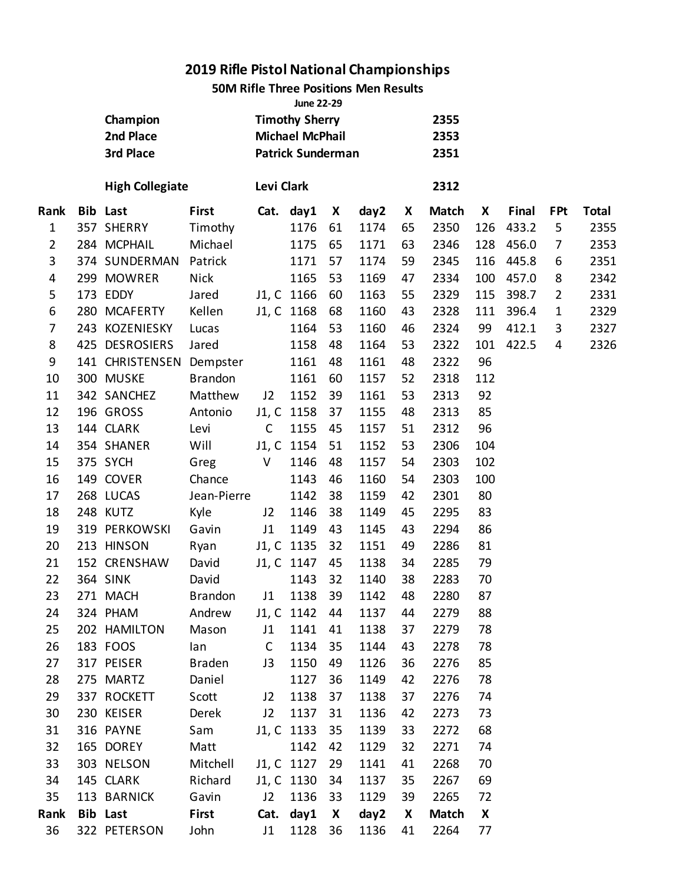**50M Rifle Three Positions Men Results**

|                |                        |                |                                                 | <b>June 22-29</b>        |    |      |              |              |                  |       |                |              |
|----------------|------------------------|----------------|-------------------------------------------------|--------------------------|----|------|--------------|--------------|------------------|-------|----------------|--------------|
|                | Champion               |                | <b>Timothy Sherry</b><br><b>Michael McPhail</b> |                          |    |      |              | 2355         |                  |       |                |              |
|                | 2nd Place              |                |                                                 |                          |    |      |              | 2353         |                  |       |                |              |
|                | 3rd Place              |                |                                                 | <b>Patrick Sunderman</b> |    |      |              | 2351         |                  |       |                |              |
|                | <b>High Collegiate</b> |                | Levi Clark                                      |                          |    |      |              | 2312         |                  |       |                |              |
| Rank           | <b>Bib Last</b>        | <b>First</b>   |                                                 | Cat. day1                | X  | day2 | X            | <b>Match</b> | X                | Final | <b>FPt</b>     | <b>Total</b> |
| $\mathbf{1}$   | 357 SHERRY             | Timothy        |                                                 | 1176                     | 61 | 1174 | 65           | 2350         | 126              | 433.2 | 5              | 2355         |
| $\overline{2}$ | 284 MCPHAIL            | Michael        |                                                 | 1175                     | 65 | 1171 | 63           | 2346         | 128              | 456.0 | 7              | 2353         |
| 3              | 374 SUNDERMAN          | Patrick        |                                                 | 1171                     | 57 | 1174 | 59           | 2345         | 116              | 445.8 | 6              | 2351         |
| 4              | 299 MOWRER             | <b>Nick</b>    |                                                 | 1165                     | 53 | 1169 | 47           | 2334         | 100              | 457.0 | 8              | 2342         |
| 5              | 173 EDDY               | Jared          |                                                 | J1, C 1166               | 60 | 1163 | 55           | 2329         | 115              | 398.7 | $\overline{2}$ | 2331         |
| 6              | 280 MCAFERTY           | Kellen         |                                                 | J1, C 1168               | 68 | 1160 | 43           | 2328         | 111              | 396.4 | $\mathbf{1}$   | 2329         |
| 7              | 243 KOZENIESKY         | Lucas          |                                                 | 1164                     | 53 | 1160 | 46           | 2324         | 99               | 412.1 | 3              | 2327         |
| 8              | 425 DESROSIERS         | Jared          |                                                 | 1158                     | 48 | 1164 | 53           | 2322         | 101              | 422.5 | $\overline{4}$ | 2326         |
| 9              | 141 CHRISTENSEN        | Dempster       |                                                 | 1161                     | 48 | 1161 | 48           | 2322         | 96               |       |                |              |
| 10             | 300 MUSKE              | <b>Brandon</b> |                                                 | 1161                     | 60 | 1157 | 52           | 2318         | 112              |       |                |              |
| 11             | 342 SANCHEZ            | Matthew        | J2                                              | 1152                     | 39 | 1161 | 53           | 2313         | 92               |       |                |              |
| 12             | 196 GROSS              | Antonio        |                                                 | J1, C 1158               | 37 | 1155 | 48           | 2313         | 85               |       |                |              |
| 13             | 144 CLARK              | Levi           | $\mathsf{C}$                                    | 1155                     | 45 | 1157 | 51           | 2312         | 96               |       |                |              |
| 14             | 354 SHANER             | Will           |                                                 | J1, C 1154               | 51 | 1152 | 53           | 2306         | 104              |       |                |              |
| 15             | 375 SYCH               | Greg           | V                                               | 1146                     | 48 | 1157 | 54           | 2303         | 102              |       |                |              |
| 16             | 149 COVER              | Chance         |                                                 | 1143                     | 46 | 1160 | 54           | 2303         | 100              |       |                |              |
| 17             | 268 LUCAS              | Jean-Pierre    |                                                 | 1142                     | 38 | 1159 | 42           | 2301         | 80               |       |                |              |
| 18             | 248 KUTZ               | Kyle           | J2                                              | 1146                     | 38 | 1149 | 45           | 2295         | 83               |       |                |              |
| 19             | 319 PERKOWSKI          | Gavin          | J1                                              | 1149                     | 43 | 1145 | 43           | 2294         | 86               |       |                |              |
| 20             | 213 HINSON             | Ryan           |                                                 | J1, C 1135               | 32 | 1151 | 49           | 2286         | 81               |       |                |              |
| 21             | 152 CRENSHAW           | David          |                                                 | J1, C 1147               | 45 | 1138 | 34           | 2285         | 79               |       |                |              |
| 22             | <b>364 SINK</b>        | David          |                                                 | 1143                     | 32 | 1140 | 38           | 2283         | 70               |       |                |              |
| 23             | 271 MACH               | Brandon        | J <sub>1</sub>                                  | 1138                     | 39 | 1142 | 48           | 2280         | 87               |       |                |              |
| 24             | 324 PHAM Andrew        |                |                                                 | J1, C 1142 44            |    | 1137 | 44           | 2279         | 88               |       |                |              |
| 25             | 202 HAMILTON           | Mason          | J1                                              | 1141                     | 41 | 1138 | 37           | 2279         | 78               |       |                |              |
| 26             | 183 FOOS               | lan C          |                                                 | 1134                     | 35 | 1144 | 43           | 2278         | 78               |       |                |              |
| 27             | 317 PEISER             | Braden         | J3                                              | 1150                     | 49 | 1126 | 36           | 2276         | 85               |       |                |              |
| 28             | 275 MARTZ              | Daniel         |                                                 | 1127                     | 36 | 1149 | 42           | 2276         | 78               |       |                |              |
| 29             | 337 ROCKETT            | Scott J2       |                                                 | 1138                     | 37 | 1138 | 37           | 2276         | 74               |       |                |              |
| 30             | 230 KEISER             | Derek          | J2                                              | 1137                     | 31 | 1136 | 42           | 2273         | 73               |       |                |              |
| 31             | 316 PAYNE              | Sam            |                                                 | J1, C 1133 35            |    | 1139 | 33           | 2272         | 68               |       |                |              |
| 32             | 165 DOREY              | Matt           |                                                 | 1142 42                  |    | 1129 | 32           | 2271         | 74               |       |                |              |
| 33             | 303 NELSON             | Mitchell       |                                                 | J1, C 1127               | 29 | 1141 | 41           | 2268         | 70               |       |                |              |
| 34             | 145 CLARK              | Richard        |                                                 | J1, C 1130 34            |    | 1137 | 35           | 2267         | 69               |       |                |              |
| 35             | 113 BARNICK            | Gavin          | J2                                              | 1136 33                  |    | 1129 | 39           | 2265         | 72               |       |                |              |
|                | Rank Bib Last          | <b>First</b>   |                                                 | Cat. day1 X              |    | day2 | $\mathsf{X}$ | <b>Match</b> | $\boldsymbol{X}$ |       |                |              |
| 36             | 322 PETERSON           | John           | J1                                              | 1128 36                  |    | 1136 | 41           | 2264         | 77               |       |                |              |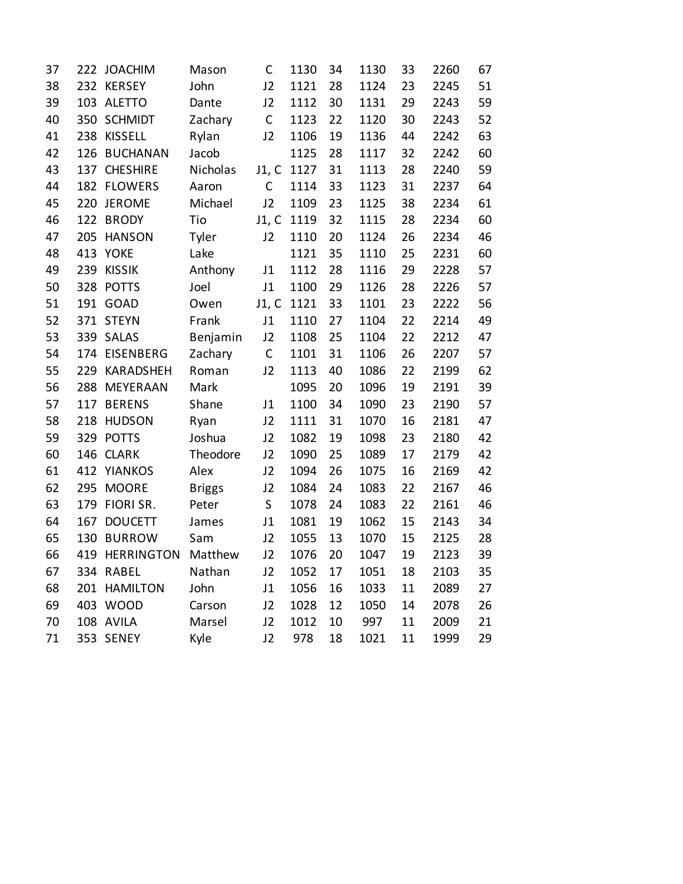| 37 | 222 | <b>JOACHIM</b>    | Mason         | C              | 1130 | 34 | 1130 | 33 | 2260 | 67 |
|----|-----|-------------------|---------------|----------------|------|----|------|----|------|----|
| 38 | 232 | <b>KERSEY</b>     | John          | J2             | 1121 | 28 | 1124 | 23 | 2245 | 51 |
| 39 | 103 | <b>ALETTO</b>     | Dante         | J2             | 1112 | 30 | 1131 | 29 | 2243 | 59 |
| 40 | 350 | <b>SCHMIDT</b>    | Zachary       | $\mathsf C$    | 1123 | 22 | 1120 | 30 | 2243 | 52 |
| 41 | 238 | <b>KISSELL</b>    | Rylan         | J2             | 1106 | 19 | 1136 | 44 | 2242 | 63 |
| 42 | 126 | <b>BUCHANAN</b>   | Jacob         |                | 1125 | 28 | 1117 | 32 | 2242 | 60 |
| 43 | 137 | <b>CHESHIRE</b>   | Nicholas      | J1, C          | 1127 | 31 | 1113 | 28 | 2240 | 59 |
| 44 |     | 182 FLOWERS       | Aaron         | $\mathsf C$    | 1114 | 33 | 1123 | 31 | 2237 | 64 |
| 45 | 220 | <b>JEROME</b>     | Michael       | J2             | 1109 | 23 | 1125 | 38 | 2234 | 61 |
| 46 | 122 | <b>BRODY</b>      | Tio           | J1, C          | 1119 | 32 | 1115 | 28 | 2234 | 60 |
| 47 | 205 | <b>HANSON</b>     | Tyler         | J2             | 1110 | 20 | 1124 | 26 | 2234 | 46 |
| 48 | 413 | <b>YOKE</b>       | Lake          |                | 1121 | 35 | 1110 | 25 | 2231 | 60 |
| 49 | 239 | <b>KISSIK</b>     | Anthony       | J1             | 1112 | 28 | 1116 | 29 | 2228 | 57 |
| 50 | 328 | <b>POTTS</b>      | Joel          | J1             | 1100 | 29 | 1126 | 28 | 2226 | 57 |
| 51 |     | 191 GOAD          | Owen          | J1, C          | 1121 | 33 | 1101 | 23 | 2222 | 56 |
| 52 | 371 | <b>STEYN</b>      | Frank         | J1             | 1110 | 27 | 1104 | 22 | 2214 | 49 |
| 53 | 339 | SALAS             | Benjamin      | J2             | 1108 | 25 | 1104 | 22 | 2212 | 47 |
| 54 |     | 174 EISENBERG     | Zachary       | $\mathsf C$    | 1101 | 31 | 1106 | 26 | 2207 | 57 |
| 55 | 229 | KARADSHEH         | Roman         | J2             | 1113 | 40 | 1086 | 22 | 2199 | 62 |
| 56 | 288 | MEYERAAN          | Mark          |                | 1095 | 20 | 1096 | 19 | 2191 | 39 |
| 57 | 117 | <b>BERENS</b>     | Shane         | J1             | 1100 | 34 | 1090 | 23 | 2190 | 57 |
| 58 | 218 | <b>HUDSON</b>     | Ryan          | J2             | 1111 | 31 | 1070 | 16 | 2181 | 47 |
| 59 |     | 329 POTTS         | Joshua        | J2             | 1082 | 19 | 1098 | 23 | 2180 | 42 |
| 60 | 146 | <b>CLARK</b>      | Theodore      | J2             | 1090 | 25 | 1089 | 17 | 2179 | 42 |
| 61 | 412 | YIANKOS           | Alex          | J2             | 1094 | 26 | 1075 | 16 | 2169 | 42 |
| 62 | 295 | <b>MOORE</b>      | <b>Briggs</b> | J2             | 1084 | 24 | 1083 | 22 | 2167 | 46 |
| 63 | 179 | FIORI SR.         | Peter         | $\mathsf S$    | 1078 | 24 | 1083 | 22 | 2161 | 46 |
| 64 | 167 | <b>DOUCETT</b>    | James         | J1             | 1081 | 19 | 1062 | 15 | 2143 | 34 |
| 65 | 130 | <b>BURROW</b>     | Sam           | J2             | 1055 | 13 | 1070 | 15 | 2125 | 28 |
| 66 | 419 | <b>HERRINGTON</b> | Matthew       | J2             | 1076 | 20 | 1047 | 19 | 2123 | 39 |
| 67 |     | 334 RABEL         | Nathan        | J2             | 1052 | 17 | 1051 | 18 | 2103 | 35 |
| 68 |     | 201 HAMILTON      | John          | J1             | 1056 | 16 | 1033 | 11 | 2089 | 27 |
| 69 |     | 403 WOOD          | Carson        | J <sub>2</sub> | 1028 | 12 | 1050 | 14 | 2078 | 26 |
| 70 |     | 108 AVILA         | Marsel        | J2             | 1012 | 10 | 997  | 11 | 2009 | 21 |
| 71 |     | 353 SENEY         | Kyle          | J2             | 978  | 18 | 1021 | 11 | 1999 | 29 |
|    |     |                   |               |                |      |    |      |    |      |    |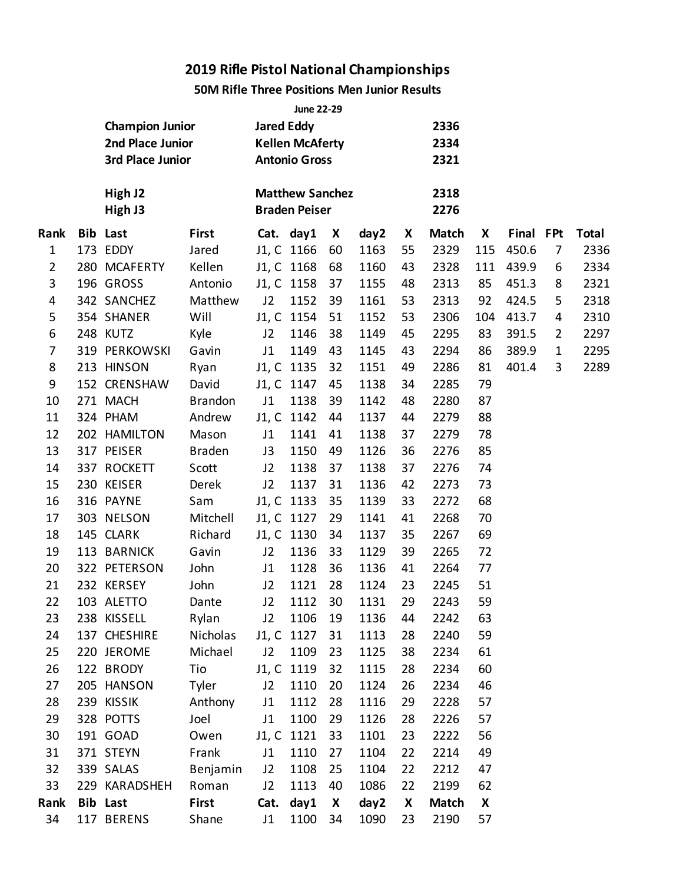### **50M Rifle Three Positions Men Junior Results**

|                |                        |                |                   | <b>June 22-29</b>                              |    |      |    |              |     |           |                |              |
|----------------|------------------------|----------------|-------------------|------------------------------------------------|----|------|----|--------------|-----|-----------|----------------|--------------|
|                | <b>Champion Junior</b> |                | <b>Jared Eddy</b> |                                                |    |      |    | 2336         |     |           |                |              |
|                | 2nd Place Junior       |                |                   | <b>Kellen McAferty</b>                         |    |      |    | 2334         |     |           |                |              |
|                | 3rd Place Junior       |                |                   | <b>Antonio Gross</b>                           |    |      |    | 2321         |     |           |                |              |
|                | High J2<br>High J3     |                |                   | <b>Matthew Sanchez</b><br><b>Braden Peiser</b> |    |      |    | 2318<br>2276 |     |           |                |              |
| Rank           | <b>Bib Last</b>        | First          |                   | Cat. day1                                      | X  | day2 | X  | <b>Match</b> | X   | Final FPt |                | <b>Total</b> |
| $\mathbf 1$    | 173 EDDY               | Jared          |                   | J1, C 1166                                     | 60 | 1163 | 55 | 2329         | 115 | 450.6     | $\overline{7}$ | 2336         |
| $\overline{2}$ | 280 MCAFERTY           | Kellen         |                   | J1, C 1168                                     | 68 | 1160 | 43 | 2328         | 111 | 439.9     | 6              | 2334         |
| 3              | 196 GROSS              | Antonio        |                   | J1, C 1158                                     | 37 | 1155 | 48 | 2313         | 85  | 451.3     | 8              | 2321         |
| 4              | 342 SANCHEZ            | Matthew        | J2                | 1152                                           | 39 | 1161 | 53 | 2313         | 92  | 424.5     | 5              | 2318         |
| 5              | 354 SHANER             | Will           |                   | J1, C 1154                                     | 51 | 1152 | 53 | 2306         | 104 | 413.7     | 4              | 2310         |
| 6              | 248 KUTZ               | Kyle           | J2                | 1146                                           | 38 | 1149 | 45 | 2295         | 83  | 391.5     | $\overline{2}$ | 2297         |
| 7              | 319 PERKOWSKI          | Gavin          | J1                | 1149                                           | 43 | 1145 | 43 | 2294         | 86  | 389.9     | $\mathbf 1$    | 2295         |
| 8              | 213 HINSON             | Ryan           |                   | J1, C 1135                                     | 32 | 1151 | 49 | 2286         | 81  | 401.4     | 3              | 2289         |
| 9              | 152 CRENSHAW           | David          |                   | J1, C 1147                                     | 45 | 1138 | 34 | 2285         | 79  |           |                |              |
| 10             | 271 MACH               | <b>Brandon</b> | J1                | 1138                                           | 39 | 1142 | 48 | 2280         | 87  |           |                |              |
| 11             | 324 PHAM               | Andrew         |                   | J1, C 1142                                     | 44 | 1137 | 44 | 2279         | 88  |           |                |              |
| 12             | 202 HAMILTON           | Mason          | J1                | 1141                                           | 41 | 1138 | 37 | 2279         | 78  |           |                |              |
| 13             | 317 PEISER             | <b>Braden</b>  | J3                | 1150                                           | 49 | 1126 | 36 | 2276         | 85  |           |                |              |
| 14             | 337 ROCKETT            | Scott          | J2                | 1138                                           | 37 | 1138 | 37 | 2276         | 74  |           |                |              |
| 15             | 230 KEISER             | Derek          | J2                | 1137                                           | 31 | 1136 | 42 | 2273         | 73  |           |                |              |
| 16             | 316 PAYNE              | Sam            |                   | J1, C 1133                                     | 35 | 1139 | 33 | 2272         | 68  |           |                |              |
| 17             | 303 NELSON             | Mitchell       |                   | J1, C 1127                                     | 29 | 1141 | 41 | 2268         | 70  |           |                |              |
| 18             | 145 CLARK              | Richard        |                   | J1, C 1130                                     | 34 | 1137 | 35 | 2267         | 69  |           |                |              |
| 19             | 113 BARNICK            | Gavin          | J2                | 1136                                           | 33 | 1129 | 39 | 2265         | 72  |           |                |              |
| 20             | 322 PETERSON           | John           | J1                | 1128                                           | 36 | 1136 | 41 | 2264         | 77  |           |                |              |
| 21             | 232 KERSEY             | John           | J2                | 1121                                           | 28 | 1124 | 23 | 2245         | 51  |           |                |              |
| 22             | 103 ALETTO             | Dante          | J <sub>2</sub>    | 1112                                           | 30 | 1131 | 29 | 2243         | 59  |           |                |              |
| 23             | 238 KISSELL            | Rylan          | J2                | 1106                                           | 19 | 1136 | 44 | 2242         | 63  |           |                |              |
| 24             | 137 CHESHIRE           | Nicholas       |                   | J1, C 1127                                     | 31 | 1113 | 28 | 2240         | 59  |           |                |              |
| 25             | 220 JEROME             | Michael        | J2                | 1109                                           | 23 | 1125 | 38 | 2234         | 61  |           |                |              |
| 26             | 122 BRODY              | Tio            |                   | J1, C 1119                                     | 32 | 1115 | 28 | 2234         | 60  |           |                |              |
| 27             | 205 HANSON             | Tyler          | J2                | 1110                                           | 20 | 1124 | 26 | 2234         | 46  |           |                |              |
| 28             | 239 KISSIK             | Anthony        | J1                | 1112                                           | 28 | 1116 | 29 | 2228         | 57  |           |                |              |
| 29             | 328 POTTS              | Joel           | J1                | 1100                                           | 29 | 1126 | 28 | 2226         | 57  |           |                |              |
| 30             | 191 GOAD               | Owen           |                   | J1, C 1121                                     | 33 | 1101 | 23 | 2222         | 56  |           |                |              |
| 31             | 371 STEYN              | Frank          | J1                | 1110                                           | 27 | 1104 | 22 | 2214         | 49  |           |                |              |
| 32             | 339 SALAS              | Benjamin       | J2                | 1108                                           | 25 | 1104 | 22 | 2212         | 47  |           |                |              |
| 33             | 229 KARADSHEH          | Roman          | J2                | 1113                                           | 40 | 1086 | 22 | 2199         | 62  |           |                |              |
| Rank           | <b>Bib Last</b>        | <b>First</b>   | Cat.              | day1                                           | X  | day2 | X  | <b>Match</b> | X   |           |                |              |
| 34             | 117 BERENS             | Shane          | J1                | 1100                                           | 34 | 1090 | 23 | 2190         | 57  |           |                |              |
|                |                        |                |                   |                                                |    |      |    |              |     |           |                |              |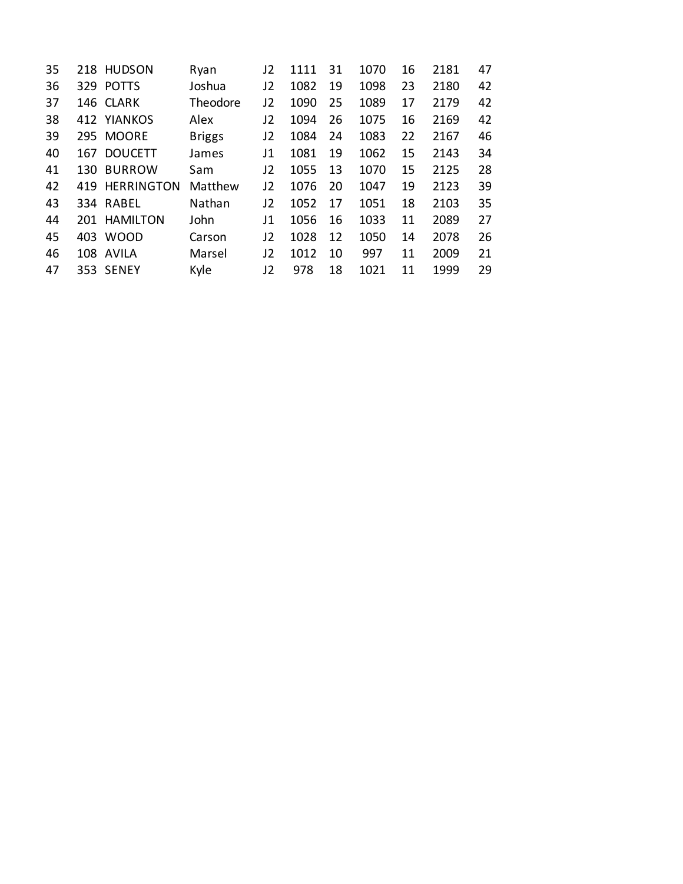| 35 |     | 218 HUDSON        | Ryan          | 12 | 1111 | 31 | 1070 | 16 | 2181 | 47 |
|----|-----|-------------------|---------------|----|------|----|------|----|------|----|
| 36 |     | 329 POTTS         | Joshua        | J2 | 1082 | 19 | 1098 | 23 | 2180 | 42 |
| 37 |     | 146 CLARK         | Theodore      | J2 | 1090 | 25 | 1089 | 17 | 2179 | 42 |
| 38 |     | 412 YIANKOS       | Alex          | J2 | 1094 | 26 | 1075 | 16 | 2169 | 42 |
| 39 |     | 295 MOORE         | <b>Briggs</b> | J2 | 1084 | 24 | 1083 | 22 | 2167 | 46 |
| 40 | 167 | <b>DOUCETT</b>    | James         | J1 | 1081 | 19 | 1062 | 15 | 2143 | 34 |
| 41 |     | 130 BURROW        | Sam           | J2 | 1055 | 13 | 1070 | 15 | 2125 | 28 |
| 42 | 419 | <b>HERRINGTON</b> | Matthew       | J2 | 1076 | 20 | 1047 | 19 | 2123 | 39 |
| 43 |     | 334 RABEL         | Nathan        | J2 | 1052 | 17 | 1051 | 18 | 2103 | 35 |
| 44 |     | 201 HAMILTON      | John          | J1 | 1056 | 16 | 1033 | 11 | 2089 | 27 |
| 45 | 403 | <b>WOOD</b>       | Carson        | J2 | 1028 | 12 | 1050 | 14 | 2078 | 26 |
| 46 |     | 108 AVILA         | Marsel        | J2 | 1012 | 10 | 997  | 11 | 2009 | 21 |
| 47 |     | 353 SENEY         | Kyle          | J2 | 978  | 18 | 1021 | 11 | 1999 | 29 |
|    |     |                   |               |    |      |    |      |    |      |    |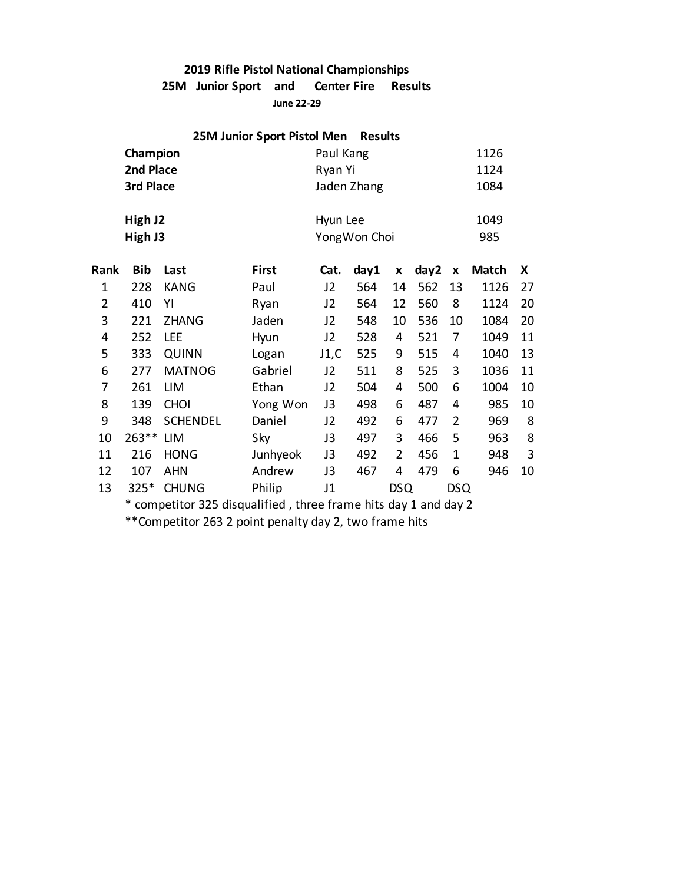**25M Junior Sport and Center Fire Results**

**June 22-29**

|                                                                          |                                                                 |                 | 25M Junior Sport Pistol Men |                | <b>Results</b> |                |      |                |              |    |
|--------------------------------------------------------------------------|-----------------------------------------------------------------|-----------------|-----------------------------|----------------|----------------|----------------|------|----------------|--------------|----|
|                                                                          | Champion                                                        |                 |                             | Paul Kang      |                |                |      |                | 1126         |    |
|                                                                          | 2nd Place                                                       |                 |                             | Ryan Yi        |                |                |      |                | 1124         |    |
|                                                                          | 3rd Place                                                       |                 |                             |                | Jaden Zhang    |                |      |                | 1084         |    |
|                                                                          |                                                                 |                 |                             |                |                |                |      |                |              |    |
|                                                                          | High J2                                                         |                 |                             | Hyun Lee       |                |                |      |                | 1049         |    |
|                                                                          | High J3                                                         |                 |                             |                | Yong Won Choi  |                |      |                | 985          |    |
| Rank                                                                     | <b>Bib</b>                                                      | Last            | <b>First</b>                | Cat.           | day1           | X              | day2 | X              | <b>Match</b> | X  |
| $\mathbf{1}$                                                             | 228                                                             | <b>KANG</b>     | Paul                        | J2             | 564            | 14             | 562  | 13             | 1126         | 27 |
| $\overline{2}$                                                           | 410                                                             | ΥI              | Ryan                        | J2             | 564            | 12             | 560  | 8              | 1124         | 20 |
| 3                                                                        | 221                                                             | <b>ZHANG</b>    | Jaden                       | J <sub>2</sub> | 548            | 10             | 536  | 10             | 1084         | 20 |
| 4                                                                        | 252                                                             | <b>LEE</b>      | Hyun                        | J2             | 528            | 4              | 521  | $\overline{7}$ | 1049         | 11 |
| 5                                                                        | 333                                                             | <b>QUINN</b>    | Logan                       | J1,C           | 525            | 9              | 515  | 4              | 1040         | 13 |
| 6                                                                        | 277                                                             | <b>MATNOG</b>   | Gabriel                     | J2             | 511            | 8              | 525  | 3              | 1036         | 11 |
| 7                                                                        | 261                                                             | LIM             | Ethan                       | J2             | 504            | 4              | 500  | 6              | 1004         | 10 |
| 8                                                                        | 139                                                             | <b>CHOI</b>     | Yong Won                    | J3             | 498            | 6              | 487  | 4              | 985          | 10 |
| 9                                                                        | 348                                                             | <b>SCHENDEL</b> | Daniel                      | J2             | 492            | 6              | 477  | $\overline{2}$ | 969          | 8  |
| 10                                                                       | 263 **                                                          | LIM             | Sky                         | J3             | 497            | 3              | 466  | 5              | 963          | 8  |
| 11                                                                       | 216                                                             | <b>HONG</b>     | Junhyeok                    | J3             | 492            | $\overline{2}$ | 456  | $\mathbf 1$    | 948          | 3  |
| 12                                                                       | 107                                                             | <b>AHN</b>      | Andrew                      | J3             | 467            | 4              | 479  | 6              | 946          | 10 |
| Philip<br><b>DSQ</b><br><b>DSQ</b><br>13<br>$325*$<br><b>CHUNG</b><br>J1 |                                                                 |                 |                             |                |                |                |      |                |              |    |
|                                                                          | * competitor 325 disqualified, three frame hits day 1 and day 2 |                 |                             |                |                |                |      |                |              |    |

\*\*Competitor 263 2 point penalty day 2, two frame hits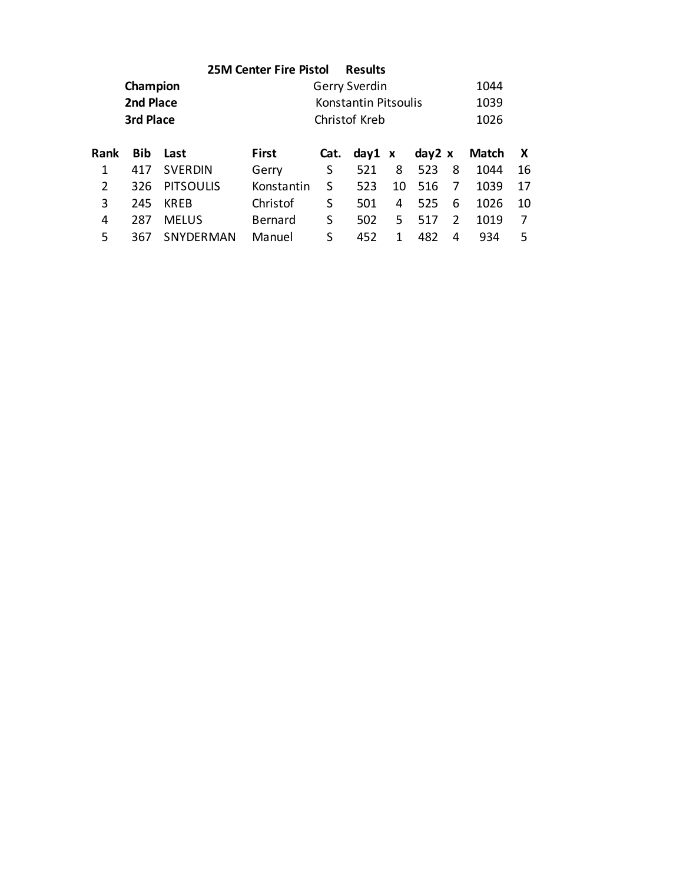|                |            |                  | <b>25M Center Fire Pistol</b> |      | <b>Results</b>       |    |        |               |              |    |
|----------------|------------|------------------|-------------------------------|------|----------------------|----|--------|---------------|--------------|----|
|                | Champion   |                  |                               |      | Gerry Sverdin        |    |        |               | 1044         |    |
|                | 2nd Place  |                  |                               |      | Konstantin Pitsoulis |    |        |               | 1039         |    |
|                | 3rd Place  |                  |                               |      | Christof Kreb        |    |        |               | 1026         |    |
| <b>Rank</b>    | <b>Bib</b> | Last             | <b>First</b>                  | Cat. | day1 x               |    | day2 x |               | <b>Match</b> | X  |
| 1              | 417        | <b>SVERDIN</b>   | Gerry                         | S    | 521                  | 8  | 523    | 8             | 1044         | 16 |
| $\overline{2}$ | 326        | <b>PITSOULIS</b> | Konstantin                    | S    | 523                  | 10 | 516    | 7             | 1039         | 17 |
| 3              | 245        | <b>KREB</b>      | Christof                      | S    | 501                  | 4  | 525    | 6             | 1026         | 10 |
| 4              | 287        | <b>MELUS</b>     | Bernard                       | S    | 502                  | 5  | 517    | $\mathcal{P}$ | 1019         | 7  |
| 5              | 367        | <b>SNYDERMAN</b> | Manuel                        | S    | 452                  | 1  | 482    | 4             | 934          | 5  |
|                |            |                  |                               |      |                      |    |        |               |              |    |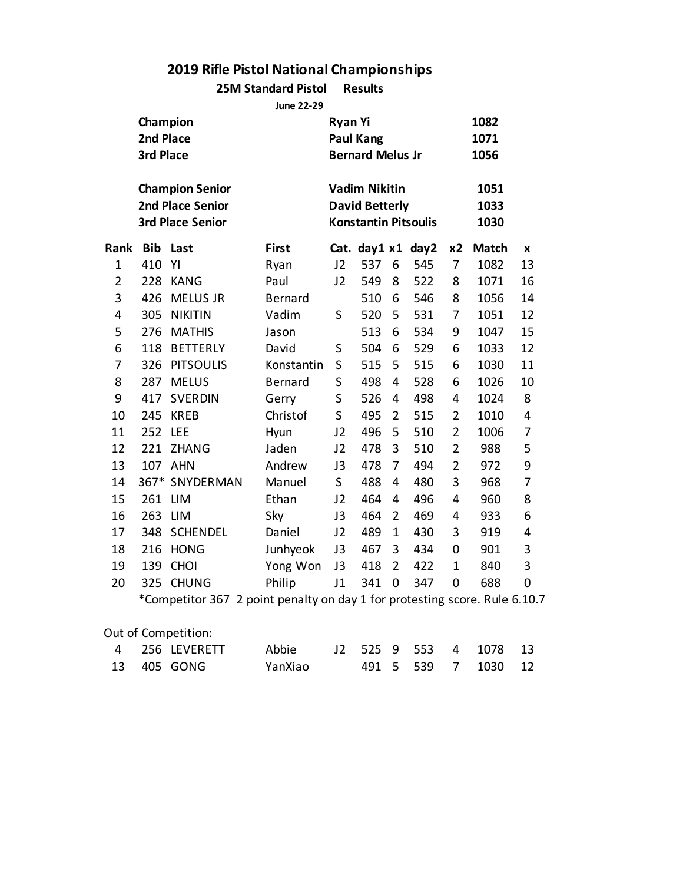**25M Standard Pistol Results**

**June 22-29**

|                | Champion<br>2nd Place<br>3rd Place |                                                                              |                | <b>Ryan Yi</b> | <b>Paul Kang</b><br><b>Bernard Melus Jr</b>                                  |                |     |                | 1082<br>1071<br>1056 |                |
|----------------|------------------------------------|------------------------------------------------------------------------------|----------------|----------------|------------------------------------------------------------------------------|----------------|-----|----------------|----------------------|----------------|
|                |                                    | <b>Champion Senior</b><br><b>2nd Place Senior</b><br><b>3rd Place Senior</b> |                |                | <b>Vadim Nikitin</b><br><b>David Betterly</b><br><b>Konstantin Pitsoulis</b> |                |     |                | 1051<br>1033<br>1030 |                |
| Rank           | <b>Bib</b>                         | Last                                                                         | First          |                | Cat. day1 x1 day2                                                            |                |     | x2             | <b>Match</b>         | X              |
| $\mathbf{1}$   | 410                                | YI                                                                           | Ryan           | J2             | 537                                                                          | 6              | 545 | 7              | 1082                 | 13             |
| $\overline{2}$ | 228                                | <b>KANG</b>                                                                  | Paul           | J2             | 549                                                                          | 8              | 522 | 8              | 1071                 | 16             |
| 3              | 426                                | MELUS JR                                                                     | <b>Bernard</b> |                | 510                                                                          | 6              | 546 | 8              | 1056                 | 14             |
| 4              | 305                                | <b>NIKITIN</b>                                                               | Vadim          | S              | 520                                                                          | 5              | 531 | 7              | 1051                 | 12             |
| 5              | 276                                | <b>MATHIS</b>                                                                | Jason          |                | 513                                                                          | 6              | 534 | 9              | 1047                 | 15             |
| 6              | 118                                | <b>BETTERLY</b>                                                              | David          | S              | 504                                                                          | 6              | 529 | 6              | 1033                 | 12             |
| 7              | 326                                | <b>PITSOULIS</b>                                                             | Konstantin     | S              | 515                                                                          | 5              | 515 | 6              | 1030                 | 11             |
| 8              | 287                                | <b>MELUS</b>                                                                 | Bernard        | S              | 498                                                                          | 4              | 528 | 6              | 1026                 | 10             |
| 9              | 417                                | <b>SVERDIN</b>                                                               | Gerry          | S              | 526                                                                          | 4              | 498 | 4              | 1024                 | 8              |
| 10             | 245                                | <b>KREB</b>                                                                  | Christof       | S              | 495                                                                          | 2              | 515 | $\overline{2}$ | 1010                 | 4              |
| 11             | 252                                | LEE                                                                          | Hyun           | J2             | 496                                                                          | 5              | 510 | $\overline{2}$ | 1006                 | 7              |
| 12             | 221                                | <b>ZHANG</b>                                                                 | Jaden          | J2             | 478                                                                          | 3              | 510 | $\overline{2}$ | 988                  | 5              |
| 13             | 107                                | <b>AHN</b>                                                                   | Andrew         | J3             | 478                                                                          | 7              | 494 | $\overline{2}$ | 972                  | 9              |
| 14             |                                    | 367* SNYDERMAN                                                               | Manuel         | S.             | 488                                                                          | 4              | 480 | 3              | 968                  | $\overline{7}$ |
| 15             | 261                                | <b>LIM</b>                                                                   | Ethan          | J2             | 464                                                                          | 4              | 496 | 4              | 960                  | 8              |
| 16             | 263                                | <b>LIM</b>                                                                   | Sky            | J3             | 464                                                                          | $\overline{2}$ | 469 | 4              | 933                  | 6              |
| 17             | 348                                | <b>SCHENDEL</b>                                                              | Daniel         | J2             | 489                                                                          | $\mathbf{1}$   | 430 | 3              | 919                  | 4              |
| 18             | 216                                | <b>HONG</b>                                                                  | Junhyeok       | J3             | 467                                                                          | 3              | 434 | $\mathbf 0$    | 901                  | 3              |
| 19             | 139                                | <b>CHOI</b>                                                                  | Yong Won       | J3             | 418                                                                          | $\overline{2}$ | 422 | $\mathbf 1$    | 840                  | 3              |
| 20             | 325                                | <b>CHUNG</b>                                                                 | Philip         | J1             | 341                                                                          | $\mathbf 0$    | 347 | $\mathbf 0$    | 688                  | 0              |
|                |                                    | *Competitor 367 2 point penalty on day 1 for protesting score. Rule 6.10.7   |                |                |                                                                              |                |     |                |                      |                |

### Out of Competition:

|  | 13 405 GONG | YanXiao |  |  | 491 5 539 7 1030 12 |  |
|--|-------------|---------|--|--|---------------------|--|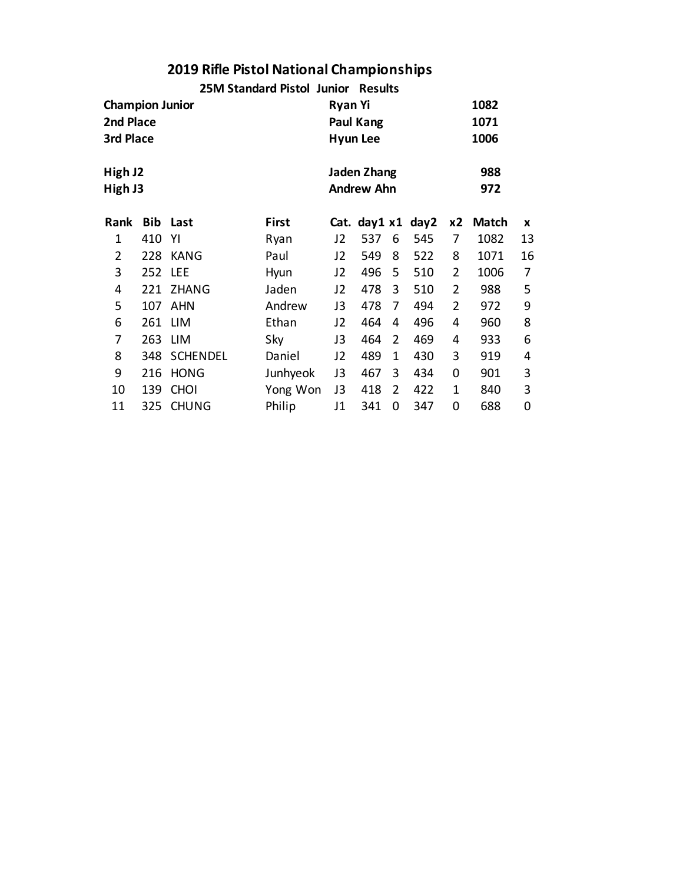|                        |     |                 | 25M Standard Pistol Junior |    | <b>Results</b>    |   |                   |    |       |    |
|------------------------|-----|-----------------|----------------------------|----|-------------------|---|-------------------|----|-------|----|
| <b>Champion Junior</b> |     | 1082            |                            |    |                   |   |                   |    |       |    |
| 2nd Place              |     |                 |                            |    | Paul Kang         |   |                   |    | 1071  |    |
| 3rd Place              |     |                 |                            |    | <b>Hyun Lee</b>   |   |                   |    | 1006  |    |
| High J2                |     |                 |                            |    | Jaden Zhang       |   |                   |    | 988   |    |
| High J3                |     |                 |                            |    | <b>Andrew Ahn</b> |   |                   |    | 972   |    |
| <b>Rank</b>            | Bib | Last            | First                      |    |                   |   | Cat. day1 x1 day2 | x2 | Match | X  |
| $\mathbf 1$            | 410 | ΥI              | Ryan                       | J2 | 537               | 6 | 545               | 7  | 1082  | 13 |
| $\overline{2}$         | 228 | KANG            | Paul                       | J2 | 549               | 8 | 522               | 8  | 1071  | 16 |
| 3                      | 252 | LEE             | <b>Hyun</b>                | J2 | 496               | 5 | 510               | 2  | 1006  | 7  |
| 4                      | 221 | <b>ZHANG</b>    | Jaden                      | J2 | 478               | 3 | 510               | 2  | 988   | 5  |
| 5                      | 107 | <b>AHN</b>      | Andrew                     | J3 | 478               | 7 | 494               | 2  | 972   | 9  |
| 6                      | 261 | <b>LIM</b>      | Ethan                      | J2 | 464               | 4 | 496               | 4  | 960   | 8  |
| 7                      | 263 | LIM             | Sky                        | J3 | 464               | 2 | 469               | 4  | 933   | 6  |
| 8                      | 348 | <b>SCHENDEL</b> | Daniel                     | J2 | 489               | 1 | 430               | 3  | 919   | 4  |
| 9                      | 216 | <b>HONG</b>     | Junhyeok                   | J3 | 467               | 3 | 434               | 0  | 901   | 3  |
| 10                     | 139 | <b>CHOI</b>     | Yong Won                   | J3 | 418               | 2 | 422               | 1  | 840   | 3  |
| 11                     | 325 | <b>CHUNG</b>    | Philip                     | J1 | 341               | 0 | 347               | 0  | 688   | 0  |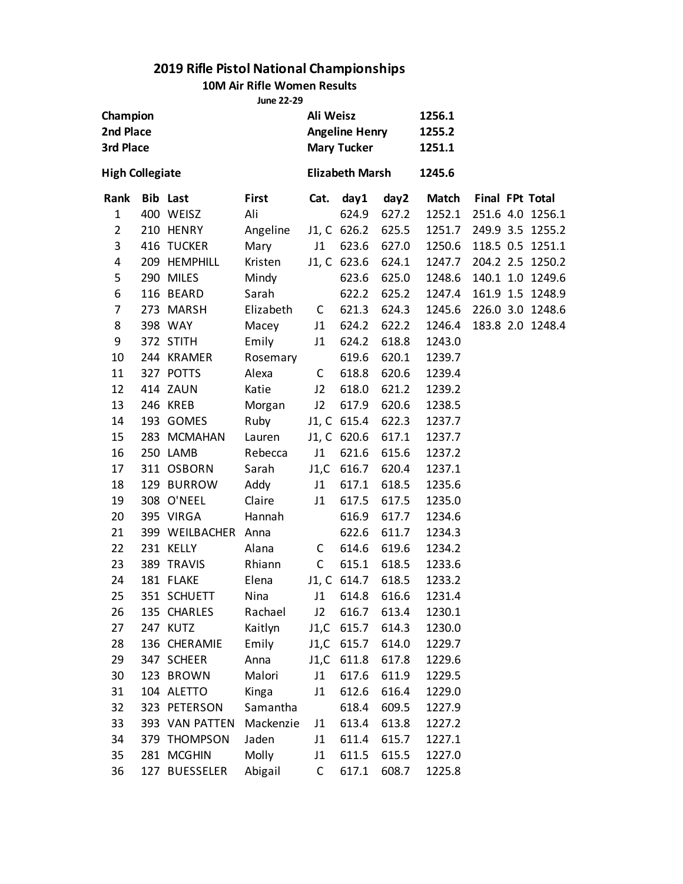#### **10M Air Rifle Women Results**

**June 22-29**

| 3rd Place      | Champion<br>2nd Place<br><b>High Collegiate</b> |                     |           | Ali Weisz    | <b>Angeline Henry</b><br><b>Mary Tucker</b> |             | 1256.1<br>1255.2<br>1251.1 |  |                  |
|----------------|-------------------------------------------------|---------------------|-----------|--------------|---------------------------------------------|-------------|----------------------------|--|------------------|
|                |                                                 |                     |           |              | <b>Elizabeth Marsh</b>                      |             | 1245.6                     |  |                  |
| Rank           |                                                 | <b>Bib Last</b>     | First     | Cat.         | day1                                        | day2        | Match                      |  | Final FPt Total  |
| $\mathbf{1}$   |                                                 | 400 WEISZ           | Ali       |              | 624.9                                       | 627.2       | 1252.1                     |  | 251.6 4.0 1256.1 |
| $\overline{2}$ |                                                 | 210 HENRY           | Angeline  |              | J1, C 626.2                                 | 625.5       | 1251.7                     |  | 249.9 3.5 1255.2 |
| 3              |                                                 | 416 TUCKER          | Mary      | J1           | 623.6                                       | 627.0       | 1250.6                     |  | 118.5 0.5 1251.1 |
| 4              |                                                 | 209 HEMPHILL        | Kristen   |              | J1, C 623.6                                 | 624.1       | 1247.7                     |  | 204.2 2.5 1250.2 |
| 5              |                                                 | 290 MILES           | Mindy     |              | 623.6                                       | 625.0       | 1248.6                     |  | 140.1 1.0 1249.6 |
| 6              |                                                 | 116 BEARD           | Sarah     |              | 622.2                                       | 625.2       | 1247.4                     |  | 161.9 1.5 1248.9 |
| 7              |                                                 | 273 MARSH           | Elizabeth | C            | 621.3                                       | 624.3       | 1245.6                     |  | 226.0 3.0 1248.6 |
| 8              |                                                 | 398 WAY             | Macey     | J1           | 624.2                                       | 622.2       | 1246.4                     |  | 183.8 2.0 1248.4 |
| 9              |                                                 | 372 STITH           | Emily     | J1           | 624.2                                       | 618.8       | 1243.0                     |  |                  |
| 10             |                                                 | 244 KRAMER          | Rosemary  |              | 619.6                                       | 620.1       | 1239.7                     |  |                  |
| 11             |                                                 | 327 POTTS           | Alexa     | C            | 618.8                                       | 620.6       | 1239.4                     |  |                  |
| 12             |                                                 | 414 ZAUN            | Katie     | J2           | 618.0                                       | 621.2       | 1239.2                     |  |                  |
| 13             |                                                 | 246 KREB            | Morgan    | J2           | 617.9                                       | 620.6       | 1238.5                     |  |                  |
| 14             |                                                 | 193 GOMES           | Ruby      |              | J1, C 615.4                                 | 622.3       | 1237.7                     |  |                  |
| 15             |                                                 | 283 MCMAHAN         | Lauren    |              | J1, C 620.6                                 | 617.1       | 1237.7                     |  |                  |
| 16             |                                                 | 250 LAMB            | Rebecca   | J1           | 621.6                                       | 615.6       | 1237.2                     |  |                  |
| 17             |                                                 | 311 OSBORN          | Sarah     |              | J1,C 616.7 620.4                            |             | 1237.1                     |  |                  |
| 18             |                                                 | 129 BURROW          | Addy      | J1           | 617.1                                       | 618.5       | 1235.6                     |  |                  |
| 19             |                                                 | 308 O'NEEL          | Claire    | J1           | 617.5                                       | 617.5       | 1235.0                     |  |                  |
| 20             |                                                 | 395 VIRGA           | Hannah    |              | 616.9                                       | 617.7       | 1234.6                     |  |                  |
| 21             |                                                 | 399 WEILBACHER Anna |           |              | 622.6                                       | 611.7       | 1234.3                     |  |                  |
| 22             |                                                 | 231 KELLY           | Alana     | C            |                                             | 614.6 619.6 | 1234.2                     |  |                  |
| 23             |                                                 | 389 TRAVIS          | Rhiann    | $\mathsf{C}$ | 615.1                                       | 618.5       | 1233.6                     |  |                  |
| 24             |                                                 | 181 FLAKE           | Elena     |              | J1, C 614.7                                 | 618.5       | 1233.2                     |  |                  |
| 25             |                                                 | 351 SCHUETT         | Nina      | J1           | 614.8                                       | 616.6       | 1231.4                     |  |                  |
| 26             |                                                 | 135 CHARLES         | Rachael   | J2           | 616.7                                       | 613.4       | 1230.1                     |  |                  |
| 27             |                                                 | 247 KUTZ            | Kaitlyn   | J1,C         | 615.7                                       | 614.3       | 1230.0                     |  |                  |
| 28             |                                                 | 136 CHERAMIE        | Emily     |              | J1,C 615.7                                  | 614.0       | 1229.7                     |  |                  |
| 29             |                                                 | 347 SCHEER          | Anna      | J1,C         | 611.8                                       | 617.8       | 1229.6                     |  |                  |
| 30             |                                                 | 123 BROWN           | Malori    | J1           | 617.6                                       | 611.9       | 1229.5                     |  |                  |
| 31             |                                                 | 104 ALETTO          | Kinga     | J1           | 612.6                                       | 616.4       | 1229.0                     |  |                  |
| 32             |                                                 | 323 PETERSON        | Samantha  |              | 618.4                                       | 609.5       | 1227.9                     |  |                  |
| 33             |                                                 | 393 VAN PATTEN      | Mackenzie | J1           | 613.4                                       | 613.8       | 1227.2                     |  |                  |
| 34             |                                                 | 379 THOMPSON        | Jaden     | J1           | 611.4                                       | 615.7       | 1227.1                     |  |                  |
| 35             |                                                 | 281 MCGHIN          | Molly     | J1           | 611.5                                       | 615.5       | 1227.0                     |  |                  |
| 36             |                                                 | 127 BUESSELER       | Abigail   | $\mathsf C$  | 617.1                                       | 608.7       | 1225.8                     |  |                  |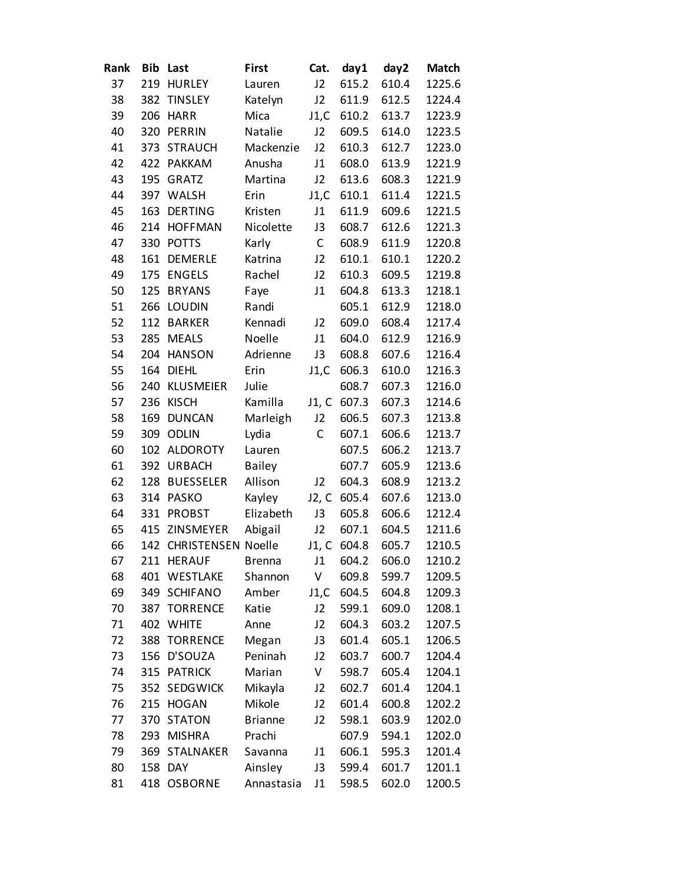| Rank |     | <b>Bib Last</b>        | <b>First</b>   | Cat.        | day1        | day2  | <b>Match</b> |
|------|-----|------------------------|----------------|-------------|-------------|-------|--------------|
| 37   | 219 | <b>HURLEY</b>          | Lauren         | J2          | 615.2       | 610.4 | 1225.6       |
| 38   | 382 | <b>TINSLEY</b>         | Katelyn        | J2          | 611.9       | 612.5 | 1224.4       |
| 39   | 206 | <b>HARR</b>            | Mica           | J1,C        | 610.2       | 613.7 | 1223.9       |
| 40   | 320 | PERRIN                 | Natalie        | J2          | 609.5       | 614.0 | 1223.5       |
| 41   | 373 | <b>STRAUCH</b>         | Mackenzie      | J2          | 610.3       | 612.7 | 1223.0       |
| 42   | 422 | <b>PAKKAM</b>          | Anusha         | J1          | 608.0       | 613.9 | 1221.9       |
| 43   | 195 | <b>GRATZ</b>           | Martina        | J2          | 613.6       | 608.3 | 1221.9       |
| 44   |     | 397 WALSH              | Erin           | J1,C        | 610.1       | 611.4 | 1221.5       |
| 45   | 163 | <b>DERTING</b>         | Kristen        | J1          | 611.9       | 609.6 | 1221.5       |
| 46   |     | 214 HOFFMAN            | Nicolette      | J3          | 608.7       | 612.6 | 1221.3       |
| 47   |     | 330 POTTS              | Karly          | C           | 608.9       | 611.9 | 1220.8       |
| 48   | 161 | <b>DEMERLE</b>         | Katrina        | J2          | 610.1       | 610.1 | 1220.2       |
| 49   | 175 | <b>ENGELS</b>          | Rachel         | J2          | 610.3       | 609.5 | 1219.8       |
| 50   | 125 | <b>BRYANS</b>          | Faye           | J1          | 604.8       | 613.3 | 1218.1       |
| 51   | 266 | <b>LOUDIN</b>          | Randi          |             | 605.1       | 612.9 | 1218.0       |
| 52   | 112 | <b>BARKER</b>          | Kennadi        | J2          | 609.0       | 608.4 | 1217.4       |
| 53   | 285 | <b>MEALS</b>           | Noelle         | J1          | 604.0       | 612.9 | 1216.9       |
| 54   | 204 | <b>HANSON</b>          | Adrienne       | J3          | 608.8       | 607.6 | 1216.4       |
| 55   | 164 | <b>DIEHL</b>           | Erin           | J1,C        | 606.3       | 610.0 | 1216.3       |
| 56   | 240 | <b>KLUSMEIER</b>       | Julie          |             | 608.7       | 607.3 | 1216.0       |
| 57   | 236 | <b>KISCH</b>           | Kamilla        |             | J1, C 607.3 | 607.3 | 1214.6       |
| 58   | 169 | <b>DUNCAN</b>          | Marleigh       | J2          | 606.5       | 607.3 | 1213.8       |
| 59   | 309 | <b>ODLIN</b>           | Lydia          | $\mathsf C$ | 607.1       | 606.6 | 1213.7       |
| 60   |     | 102 ALDOROTY           | Lauren         |             | 607.5       | 606.2 | 1213.7       |
| 61   | 392 | <b>URBACH</b>          | <b>Bailey</b>  |             | 607.7       | 605.9 | 1213.6       |
| 62   | 128 | <b>BUESSELER</b>       | Allison        | J2          | 604.3       | 608.9 | 1213.2       |
| 63   |     | 314 PASKO              | Kayley         | J2, C       | 605.4       | 607.6 | 1213.0       |
| 64   | 331 | <b>PROBST</b>          | Elizabeth      | J3          | 605.8       | 606.6 | 1212.4       |
| 65   | 415 | ZINSMEYER              | Abigail        | J2          | 607.1       | 604.5 | 1211.6       |
| 66   |     | 142 CHRISTENSEN Noelle |                |             | J1, C 604.8 | 605.7 | 1210.5       |
| 67   |     | 211 HERAUF             | <b>Brenna</b>  | J1          | 604.2       | 606.0 | 1210.2       |
| 68   |     | 401 WESTLAKE           | Shannon        | V           | 609.8       | 599.7 | 1209.5       |
| 69   |     | 349 SCHIFANO           | Amber          | J1,C        | 604.5       | 604.8 | 1209.3       |
| 70   |     | 387 TORRENCE           | Katie          | J2          | 599.1       | 609.0 | 1208.1       |
| 71   |     | 402 WHITE              | Anne           | J2          | 604.3       | 603.2 | 1207.5       |
| 72   | 388 | <b>TORRENCE</b>        | Megan          | J3          | 601.4       | 605.1 | 1206.5       |
| 73   |     | 156 D'SOUZA            | Peninah        | J2          | 603.7       | 600.7 | 1204.4       |
| 74   |     | 315 PATRICK            | Marian         | V           | 598.7       | 605.4 | 1204.1       |
| 75   |     | 352 SEDGWICK           | Mikayla        | J2          | 602.7       | 601.4 | 1204.1       |
| 76   |     | 215 HOGAN              | Mikole         | J2          | 601.4       | 600.8 | 1202.2       |
| 77   |     | 370 STATON             | <b>Brianne</b> | J2          | 598.1       | 603.9 | 1202.0       |
| 78   |     | 293 MISHRA             | Prachi         |             | 607.9       | 594.1 | 1202.0       |
| 79   |     | 369 STALNAKER          | Savanna        | J1          | 606.1       | 595.3 | 1201.4       |
| 80   |     | 158 DAY                | Ainsley        | J3          | 599.4       | 601.7 | 1201.1       |
| 81   |     | 418 OSBORNE            | Annastasia     | J1          | 598.5       | 602.0 | 1200.5       |
|      |     |                        |                |             |             |       |              |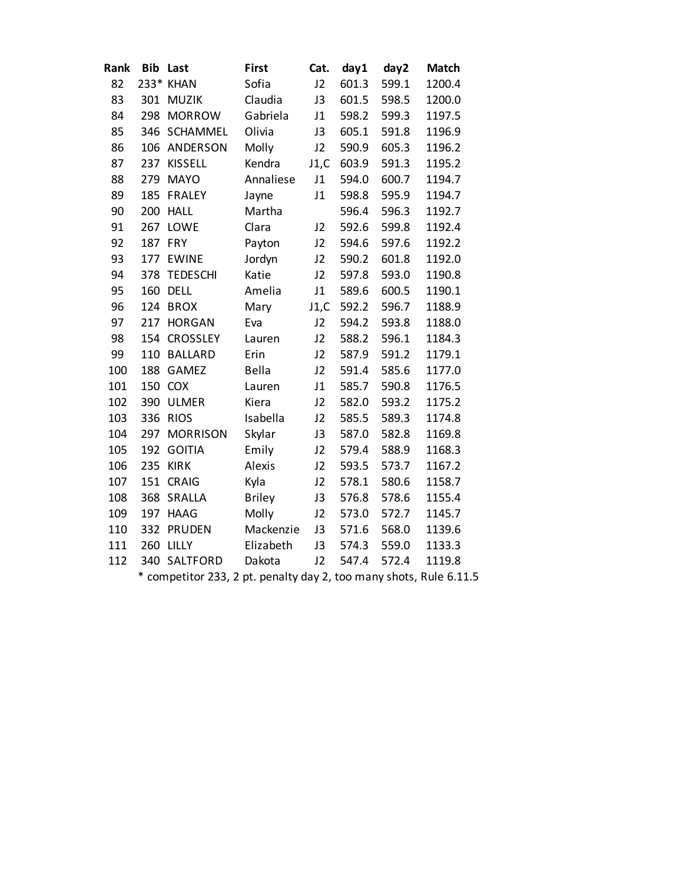| Rank |         | <b>Bib Last</b>                                                    | First         | Cat. | day1  | day2  | <b>Match</b> |
|------|---------|--------------------------------------------------------------------|---------------|------|-------|-------|--------------|
| 82   |         | 233* KHAN                                                          | Sofia         | J2   | 601.3 | 599.1 | 1200.4       |
| 83   |         | 301 MUZIK                                                          | Claudia       | J3   | 601.5 | 598.5 | 1200.0       |
| 84   |         | 298 MORROW                                                         | Gabriela      | J1   | 598.2 | 599.3 | 1197.5       |
| 85   |         | 346 SCHAMMEL                                                       | Olivia        | J3   | 605.1 | 591.8 | 1196.9       |
| 86   |         | 106 ANDERSON                                                       | Molly         | J2   | 590.9 | 605.3 | 1196.2       |
| 87   | 237     | <b>KISSELL</b>                                                     | Kendra        | J1,C | 603.9 | 591.3 | 1195.2       |
| 88   |         | 279 MAYO                                                           | Annaliese     | J1   | 594.0 | 600.7 | 1194.7       |
| 89   |         | 185 FRALEY                                                         | Jayne         | J1   | 598.8 | 595.9 | 1194.7       |
| 90   |         | 200 HALL                                                           | Martha        |      | 596.4 | 596.3 | 1192.7       |
| 91   |         | 267 LOWE                                                           | Clara         | J2   | 592.6 | 599.8 | 1192.4       |
| 92   | 187 FRY |                                                                    | Payton        | J2   | 594.6 | 597.6 | 1192.2       |
| 93   |         | 177 EWINE                                                          | Jordyn        | J2   | 590.2 | 601.8 | 1192.0       |
| 94   | 378     | <b>TEDESCHI</b>                                                    | Katie         | J2   | 597.8 | 593.0 | 1190.8       |
| 95   | 160     | <b>DELL</b>                                                        | Amelia        | J1   | 589.6 | 600.5 | 1190.1       |
| 96   |         | 124 BROX                                                           | Mary          | J1,C | 592.2 | 596.7 | 1188.9       |
| 97   |         | 217 HORGAN                                                         | Eva           | J2   | 594.2 | 593.8 | 1188.0       |
| 98   |         | 154 CROSSLEY                                                       | Lauren        | J2   | 588.2 | 596.1 | 1184.3       |
| 99   | 110     | <b>BALLARD</b>                                                     | Erin          | J2   | 587.9 | 591.2 | 1179.1       |
| 100  |         | 188 GAMEZ                                                          | <b>Bella</b>  | J2   | 591.4 | 585.6 | 1177.0       |
| 101  |         | 150 COX                                                            | Lauren        | J1   | 585.7 | 590.8 | 1176.5       |
| 102  |         | 390 ULMER                                                          | Kiera         | J2   | 582.0 | 593.2 | 1175.2       |
| 103  |         | 336 RIOS                                                           | Isabella      | J2   | 585.5 | 589.3 | 1174.8       |
| 104  | 297     | <b>MORRISON</b>                                                    | Skylar        | J3   | 587.0 | 582.8 | 1169.8       |
| 105  |         | 192 GOITIA                                                         | Emily         | J2   | 579.4 | 588.9 | 1168.3       |
| 106  |         | <b>235 KIRK</b>                                                    | Alexis        | J2   | 593.5 | 573.7 | 1167.2       |
| 107  | 151     | <b>CRAIG</b>                                                       | Kyla          | J2   | 578.1 | 580.6 | 1158.7       |
| 108  | 368     | SRALLA                                                             | <b>Briley</b> | J3   | 576.8 | 578.6 | 1155.4       |
| 109  |         | 197 HAAG                                                           | Molly         | J2   | 573.0 | 572.7 | 1145.7       |
| 110  |         | 332 PRUDEN                                                         | Mackenzie     | J3   | 571.6 | 568.0 | 1139.6       |
| 111  |         | 260 LILLY                                                          | Elizabeth     | J3   | 574.3 | 559.0 | 1133.3       |
| 112  |         | 340 SALTFORD                                                       | Dakota        | J2   | 547.4 | 572.4 | 1119.8       |
|      |         | * competitor 233, 2 pt. penalty day 2, too many shots, Rule 6.11.5 |               |      |       |       |              |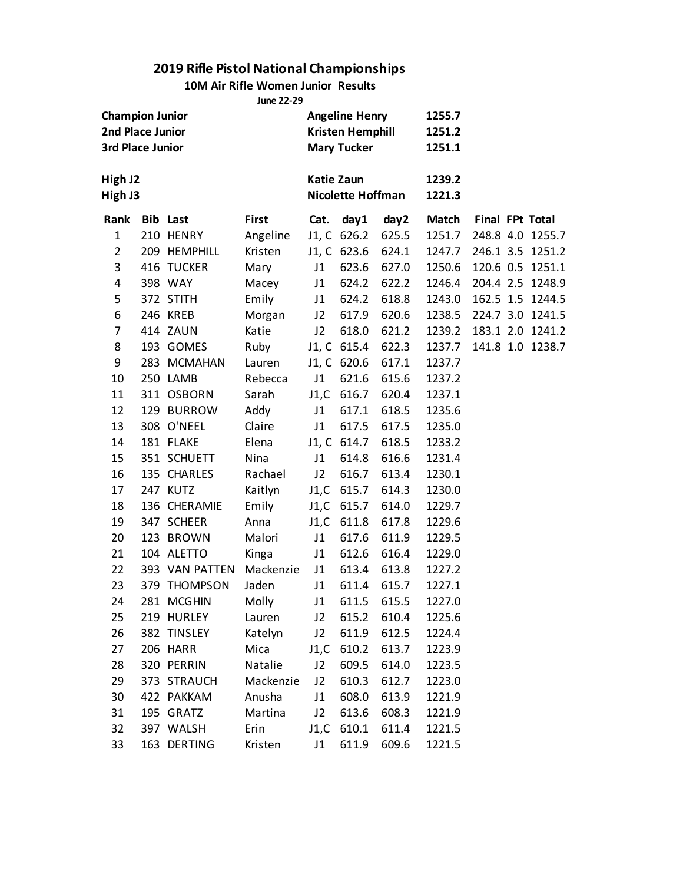#### **10M Air Rifle Women Junior Results**

**June 22-29**

| <b>Champion Junior</b><br>2nd Place Junior<br><b>3rd Place Junior</b><br>High J2<br>High J3 |  |                 |           | <b>Angeline Henry</b><br><b>Kristen Hemphill</b><br><b>Mary Tucker</b><br><b>Katie Zaun</b><br><b>Nicolette Hoffman</b> |             |       | 1255.7<br>1251.2<br>1251.1 |                 |  |                  |
|---------------------------------------------------------------------------------------------|--|-----------------|-----------|-------------------------------------------------------------------------------------------------------------------------|-------------|-------|----------------------------|-----------------|--|------------------|
|                                                                                             |  |                 |           |                                                                                                                         |             |       | 1239.2<br>1221.3           |                 |  |                  |
| Rank                                                                                        |  | <b>Bib Last</b> | First     | Cat.                                                                                                                    | day1        | day2  | <b>Match</b>               | Final FPt Total |  |                  |
| $\mathbf{1}$                                                                                |  | 210 HENRY       | Angeline  |                                                                                                                         | J1, C 626.2 | 625.5 | 1251.7                     |                 |  | 248.8 4.0 1255.7 |
| $\overline{2}$                                                                              |  | 209 HEMPHILL    | Kristen   |                                                                                                                         | J1, C 623.6 | 624.1 | 1247.7                     |                 |  | 246.1 3.5 1251.2 |
| 3                                                                                           |  | 416 TUCKER      | Mary      | J1                                                                                                                      | 623.6       | 627.0 | 1250.6                     |                 |  | 120.6 0.5 1251.1 |
| 4                                                                                           |  | 398 WAY         | Macey     | J1                                                                                                                      | 624.2       | 622.2 | 1246.4                     |                 |  | 204.4 2.5 1248.9 |
| 5                                                                                           |  | 372 STITH       | Emily     | J1                                                                                                                      | 624.2       | 618.8 | 1243.0                     |                 |  | 162.5 1.5 1244.5 |
| 6                                                                                           |  | 246 KREB        | Morgan    | J2                                                                                                                      | 617.9       | 620.6 | 1238.5                     |                 |  | 224.7 3.0 1241.5 |
| 7                                                                                           |  | 414 ZAUN        | Katie     | J2                                                                                                                      | 618.0       | 621.2 | 1239.2                     |                 |  | 183.1 2.0 1241.2 |
| 8                                                                                           |  | 193 GOMES       | Ruby      |                                                                                                                         | J1, C 615.4 | 622.3 | 1237.7                     |                 |  | 141.8 1.0 1238.7 |
| 9                                                                                           |  | 283 MCMAHAN     | Lauren    |                                                                                                                         | J1, C 620.6 | 617.1 | 1237.7                     |                 |  |                  |
| 10                                                                                          |  | 250 LAMB        | Rebecca   | J1                                                                                                                      | 621.6       | 615.6 | 1237.2                     |                 |  |                  |
| 11                                                                                          |  | 311 OSBORN      | Sarah     |                                                                                                                         | J1,C 616.7  | 620.4 | 1237.1                     |                 |  |                  |
| 12                                                                                          |  | 129 BURROW      | Addy      | J1                                                                                                                      | 617.1       | 618.5 | 1235.6                     |                 |  |                  |
| 13                                                                                          |  | 308 O'NEEL      | Claire    | J1                                                                                                                      | 617.5       | 617.5 | 1235.0                     |                 |  |                  |
| 14                                                                                          |  | 181 FLAKE       | Elena     |                                                                                                                         | J1, C 614.7 | 618.5 | 1233.2                     |                 |  |                  |
| 15                                                                                          |  | 351 SCHUETT     | Nina      | J1                                                                                                                      | 614.8       | 616.6 | 1231.4                     |                 |  |                  |
| 16                                                                                          |  | 135 CHARLES     | Rachael   | J2                                                                                                                      | 616.7       | 613.4 | 1230.1                     |                 |  |                  |
| 17                                                                                          |  | 247 KUTZ        | Kaitlyn   | J1,C                                                                                                                    | 615.7       | 614.3 | 1230.0                     |                 |  |                  |
| 18                                                                                          |  | 136 CHERAMIE    | Emily     |                                                                                                                         | J1,C 615.7  | 614.0 | 1229.7                     |                 |  |                  |
| 19                                                                                          |  | 347 SCHEER      | Anna      |                                                                                                                         | J1,C 611.8  | 617.8 | 1229.6                     |                 |  |                  |
| 20                                                                                          |  | 123 BROWN       | Malori    | J1                                                                                                                      | 617.6       | 611.9 | 1229.5                     |                 |  |                  |
| 21                                                                                          |  | 104 ALETTO      | Kinga     | J1                                                                                                                      | 612.6       | 616.4 | 1229.0                     |                 |  |                  |
| 22                                                                                          |  | 393 VAN PATTEN  | Mackenzie | J1                                                                                                                      | 613.4       | 613.8 | 1227.2                     |                 |  |                  |
| 23                                                                                          |  | 379 THOMPSON    | Jaden     | J1                                                                                                                      | 611.4       | 615.7 | 1227.1                     |                 |  |                  |
| 24                                                                                          |  | 281 MCGHIN      | Molly     | J1                                                                                                                      | 611.5       | 615.5 | 1227.0                     |                 |  |                  |
| 25                                                                                          |  | 219 HURLEY      | Lauren    | J2                                                                                                                      | 615.2       | 610.4 | 1225.6                     |                 |  |                  |
| 26                                                                                          |  | 382 TINSLEY     | Katelyn   | J2                                                                                                                      | 611.9       | 612.5 | 1224.4                     |                 |  |                  |
| 27                                                                                          |  | 206 HARR        | Mica      | J1,C                                                                                                                    | 610.2       | 613.7 | 1223.9                     |                 |  |                  |
| 28                                                                                          |  | 320 PERRIN      | Natalie   | J2                                                                                                                      | 609.5       | 614.0 | 1223.5                     |                 |  |                  |
| 29                                                                                          |  | 373 STRAUCH     | Mackenzie | J2                                                                                                                      | 610.3       | 612.7 | 1223.0                     |                 |  |                  |
| 30                                                                                          |  | 422 PAKKAM      | Anusha    | J1                                                                                                                      | 608.0       | 613.9 | 1221.9                     |                 |  |                  |
| 31                                                                                          |  | 195 GRATZ       | Martina   | J2                                                                                                                      | 613.6       | 608.3 | 1221.9                     |                 |  |                  |
| 32                                                                                          |  | 397 WALSH       | Erin      | J1,C                                                                                                                    | 610.1       | 611.4 | 1221.5                     |                 |  |                  |
| 33                                                                                          |  | 163 DERTING     | Kristen   | J1                                                                                                                      | 611.9       | 609.6 | 1221.5                     |                 |  |                  |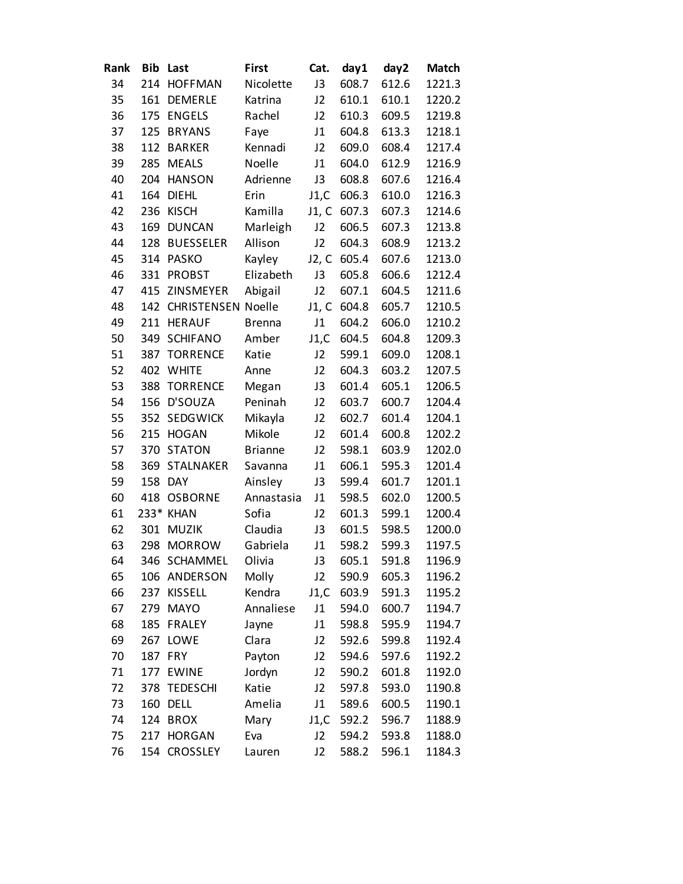| Rank | <b>Bib</b> | Last                   | First          | Cat.           | day1  | day2  | <b>Match</b> |
|------|------------|------------------------|----------------|----------------|-------|-------|--------------|
| 34   | 214        | <b>HOFFMAN</b>         | Nicolette      | J3             | 608.7 | 612.6 | 1221.3       |
| 35   | 161        | <b>DEMERLE</b>         | Katrina        | J2             | 610.1 | 610.1 | 1220.2       |
| 36   | 175        | <b>ENGELS</b>          | Rachel         | J2             | 610.3 | 609.5 | 1219.8       |
| 37   | 125        | <b>BRYANS</b>          | Faye           | J <sub>1</sub> | 604.8 | 613.3 | 1218.1       |
| 38   | 112        | <b>BARKER</b>          | Kennadi        | J2             | 609.0 | 608.4 | 1217.4       |
| 39   | 285        | <b>MEALS</b>           | Noelle         | J1             | 604.0 | 612.9 | 1216.9       |
| 40   | 204        | <b>HANSON</b>          | Adrienne       | J3             | 608.8 | 607.6 | 1216.4       |
| 41   | 164        | <b>DIEHL</b>           | Erin           | J1,C           | 606.3 | 610.0 | 1216.3       |
| 42   | 236        | <b>KISCH</b>           | Kamilla        | J1, C          | 607.3 | 607.3 | 1214.6       |
| 43   | 169        | <b>DUNCAN</b>          | Marleigh       | J2             | 606.5 | 607.3 | 1213.8       |
| 44   | 128        | <b>BUESSELER</b>       | Allison        | J2             | 604.3 | 608.9 | 1213.2       |
| 45   | 314        | <b>PASKO</b>           | Kayley         | J2, C          | 605.4 | 607.6 | 1213.0       |
| 46   | 331        | <b>PROBST</b>          | Elizabeth      | J3             | 605.8 | 606.6 | 1212.4       |
| 47   | 415        | ZINSMEYER              | Abigail        | J2             | 607.1 | 604.5 | 1211.6       |
| 48   |            | 142 CHRISTENSEN Noelle |                | J1, C          | 604.8 | 605.7 | 1210.5       |
| 49   | 211        | <b>HERAUF</b>          | <b>Brenna</b>  | J1             | 604.2 | 606.0 | 1210.2       |
| 50   | 349        | <b>SCHIFANO</b>        | Amber          | J1,C           | 604.5 | 604.8 | 1209.3       |
| 51   | 387        | <b>TORRENCE</b>        | Katie          | J2             | 599.1 | 609.0 | 1208.1       |
| 52   | 402        | <b>WHITE</b>           | Anne           | J2             | 604.3 | 603.2 | 1207.5       |
| 53   | 388        | <b>TORRENCE</b>        | Megan          | J3             | 601.4 | 605.1 | 1206.5       |
| 54   | 156        | D'SOUZA                | Peninah        | J2             | 603.7 | 600.7 | 1204.4       |
| 55   | 352        | <b>SEDGWICK</b>        | Mikayla        | J2             | 602.7 | 601.4 | 1204.1       |
| 56   | 215        | <b>HOGAN</b>           | Mikole         | J2             | 601.4 | 600.8 | 1202.2       |
| 57   | 370        | <b>STATON</b>          | <b>Brianne</b> | J2             | 598.1 | 603.9 | 1202.0       |
| 58   | 369        | <b>STALNAKER</b>       | Savanna        | J1             | 606.1 | 595.3 | 1201.4       |
| 59   | 158        | <b>DAY</b>             | Ainsley        | J3             | 599.4 | 601.7 | 1201.1       |
| 60   | 418        | <b>OSBORNE</b>         | Annastasia     | J1             | 598.5 | 602.0 | 1200.5       |
| 61   |            | 233* KHAN              | Sofia          | J2             | 601.3 | 599.1 | 1200.4       |
| 62   | 301        | <b>MUZIK</b>           | Claudia        | J3             | 601.5 | 598.5 | 1200.0       |
| 63   | 298        | <b>MORROW</b>          | Gabriela       | J1             | 598.2 | 599.3 | 1197.5       |
| 64   |            | 346 SCHAMMEL           | Olivia         | J3             | 605.1 | 591.8 | 1196.9       |
| 65   |            | 106 ANDERSON           | Molly          | J2             | 590.9 | 605.3 | 1196.2       |
| 66   | 237        | <b>KISSELL</b>         | Kendra         | J1,C           | 603.9 | 591.3 | 1195.2       |
| 67   | 279        | <b>MAYO</b>            | Annaliese      | J1             | 594.0 | 600.7 | 1194.7       |
| 68   | 185        | <b>FRALEY</b>          | Jayne          | J1             | 598.8 | 595.9 | 1194.7       |
| 69   | 267        | LOWE                   | Clara          | J2             | 592.6 | 599.8 | 1192.4       |
| 70   | 187        | <b>FRY</b>             | Payton         | J2             | 594.6 | 597.6 | 1192.2       |
| 71   | 177        | <b>EWINE</b>           | Jordyn         | J2             | 590.2 | 601.8 | 1192.0       |
| 72   | 378        | <b>TEDESCHI</b>        | Katie          | J2             | 597.8 | 593.0 | 1190.8       |
| 73   | 160        | <b>DELL</b>            | Amelia         | J1             | 589.6 | 600.5 | 1190.1       |
| 74   | 124        | <b>BROX</b>            | Mary           | J1,C           | 592.2 | 596.7 | 1188.9       |
| 75   |            | 217 HORGAN             | Eva            | J2             | 594.2 | 593.8 | 1188.0       |
| 76   |            | 154 CROSSLEY           | Lauren         | J2             | 588.2 | 596.1 | 1184.3       |